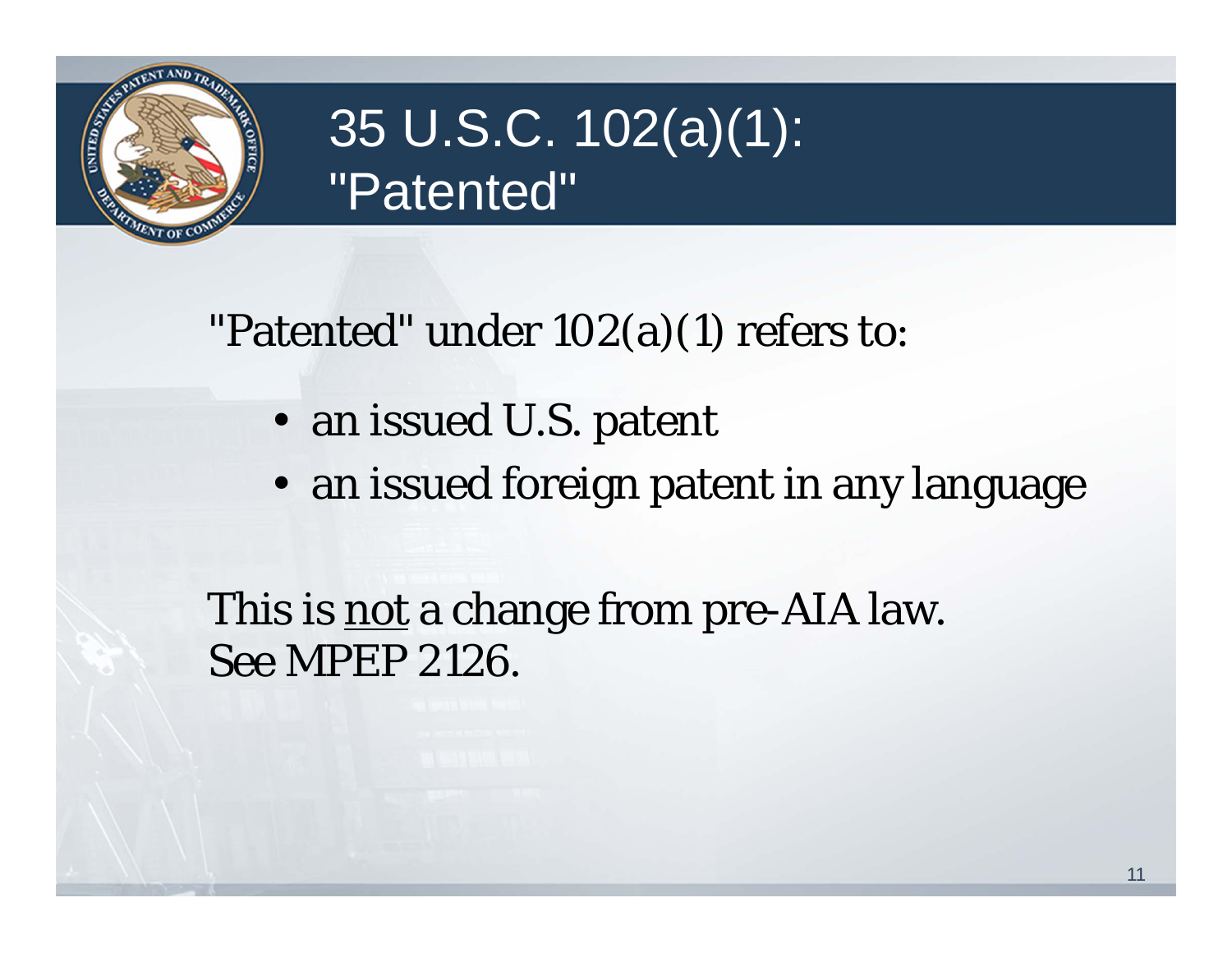

## 35 U.S.C. 102(a)(1): "Patented"

"Patented" under 102(a)(1) refers to:

- an issued U.S. patent
- an issued foreign patent in any language

This is **not** a change from pre-AIA law. See MPEP 2126.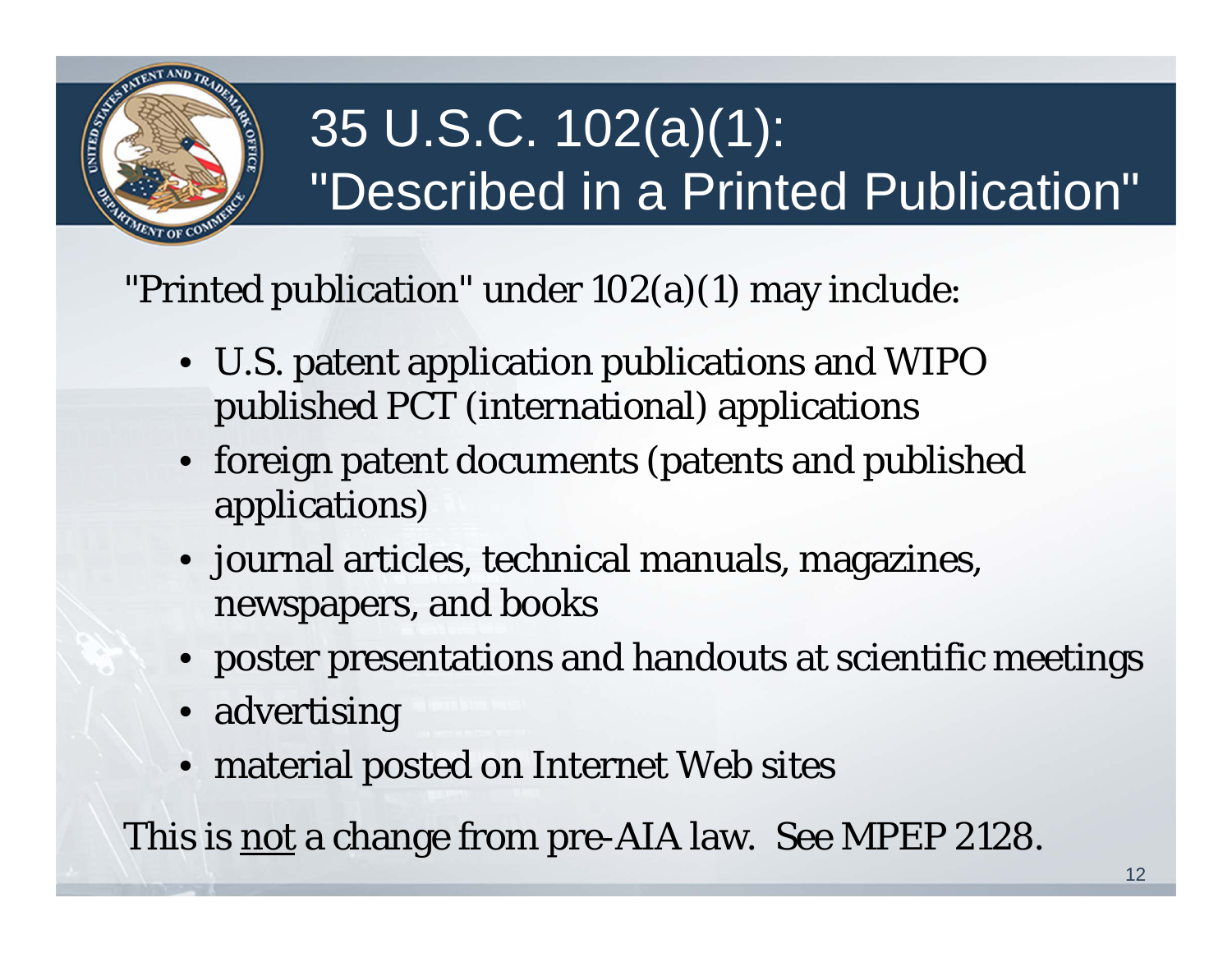

# 35 U.S.C. 102(a)(1): "Described in a Printed Publication"

"Printed publication" under 102(a)(1) may include:

- U.S. patent application publications and WIPO published PCT (international) applications
- foreign patent documents (patents and published applications)
- journal articles, technical manuals, magazines, newspapers, and books
- poster presentations and handouts at scientific meetings
- advertising
- material posted on Internet Web sites

This is not a change from pre-AIA law. See MPEP 2128.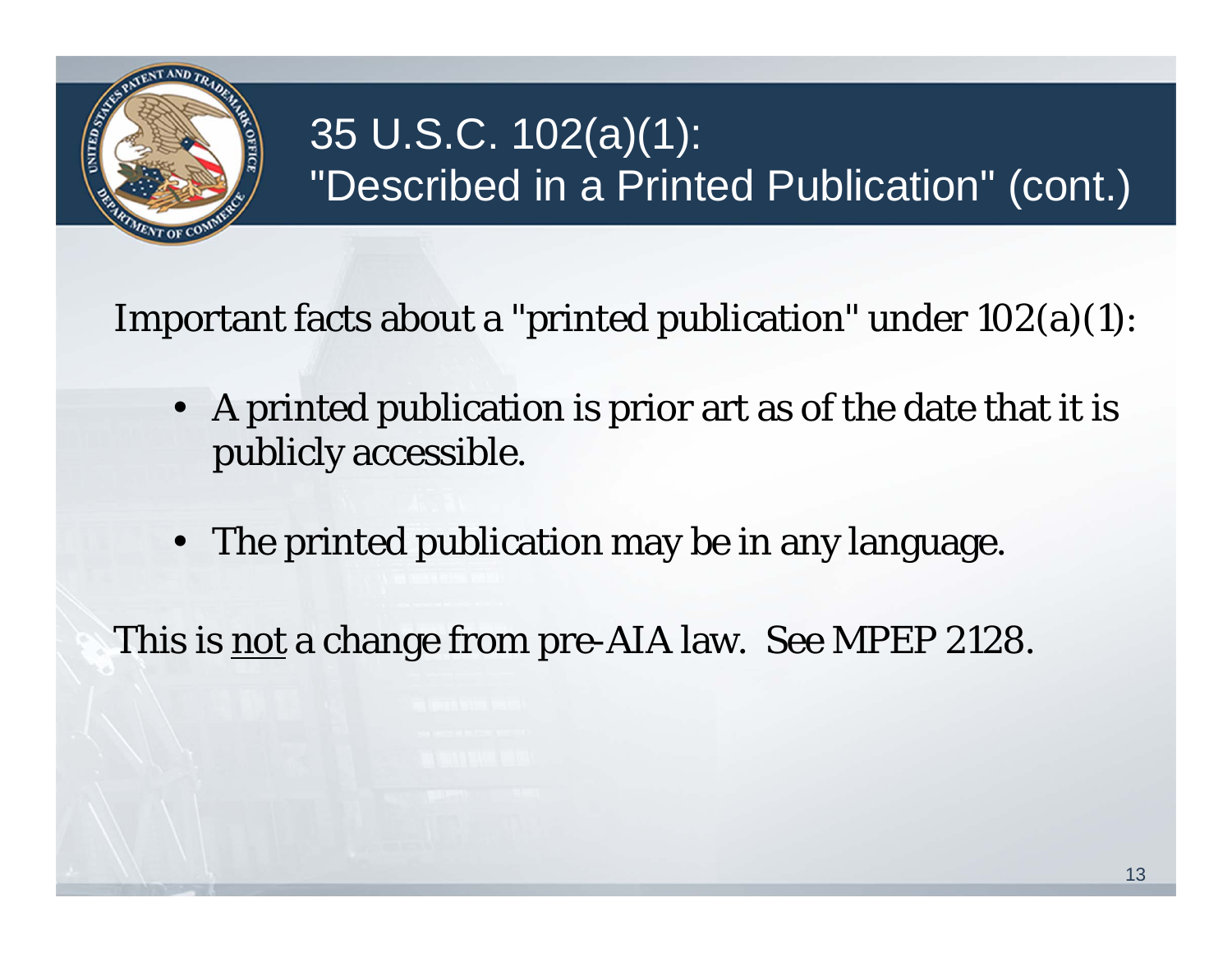

## 35 U.S.C. 102(a)(1): "Described in a Printed Publication" (cont.)

Important facts about a "printed publication" under 102(a)(1):

- • A printed publication is prior art as of the date that it is publicly accessible.
- •The printed publication may be in any language.

This is not a change from pre-AIA law. See MPEP 2128.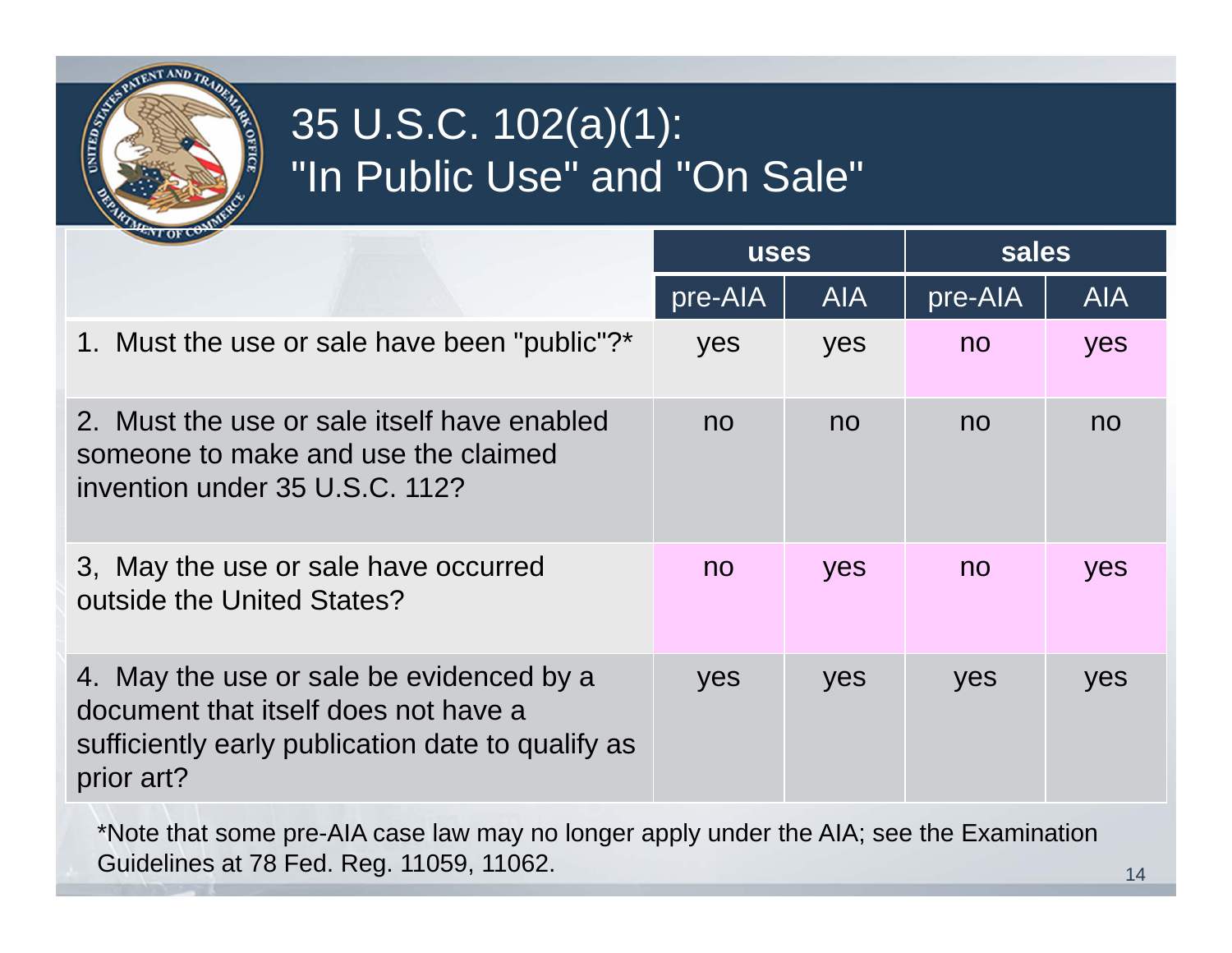

### 35 U.S.C. 102(a)(1): "In Public Use" and "On Sale"

| $\sim$ T of $\sim$                                                                                                                                  | <b>uses</b> |            | sales   |            |
|-----------------------------------------------------------------------------------------------------------------------------------------------------|-------------|------------|---------|------------|
|                                                                                                                                                     | pre-AIA     | <b>AIA</b> | pre-AIA | <b>AIA</b> |
| 1. Must the use or sale have been "public"?*                                                                                                        | yes         | yes        | no      | yes        |
| 2. Must the use or sale itself have enabled<br>someone to make and use the claimed<br>invention under 35 U.S.C. 112?                                | no          | no         | no      | no         |
| 3, May the use or sale have occurred<br>outside the United States?                                                                                  | no          | yes        | no      | yes        |
| 4. May the use or sale be evidenced by a<br>document that itself does not have a<br>sufficiently early publication date to qualify as<br>prior art? | yes         | yes        | yes     | yes        |

\*Note that some pre-AIA case law may no longer apply under the AIA; see the Examination Guidelines at 78 Fed. Reg. 11059, 11062.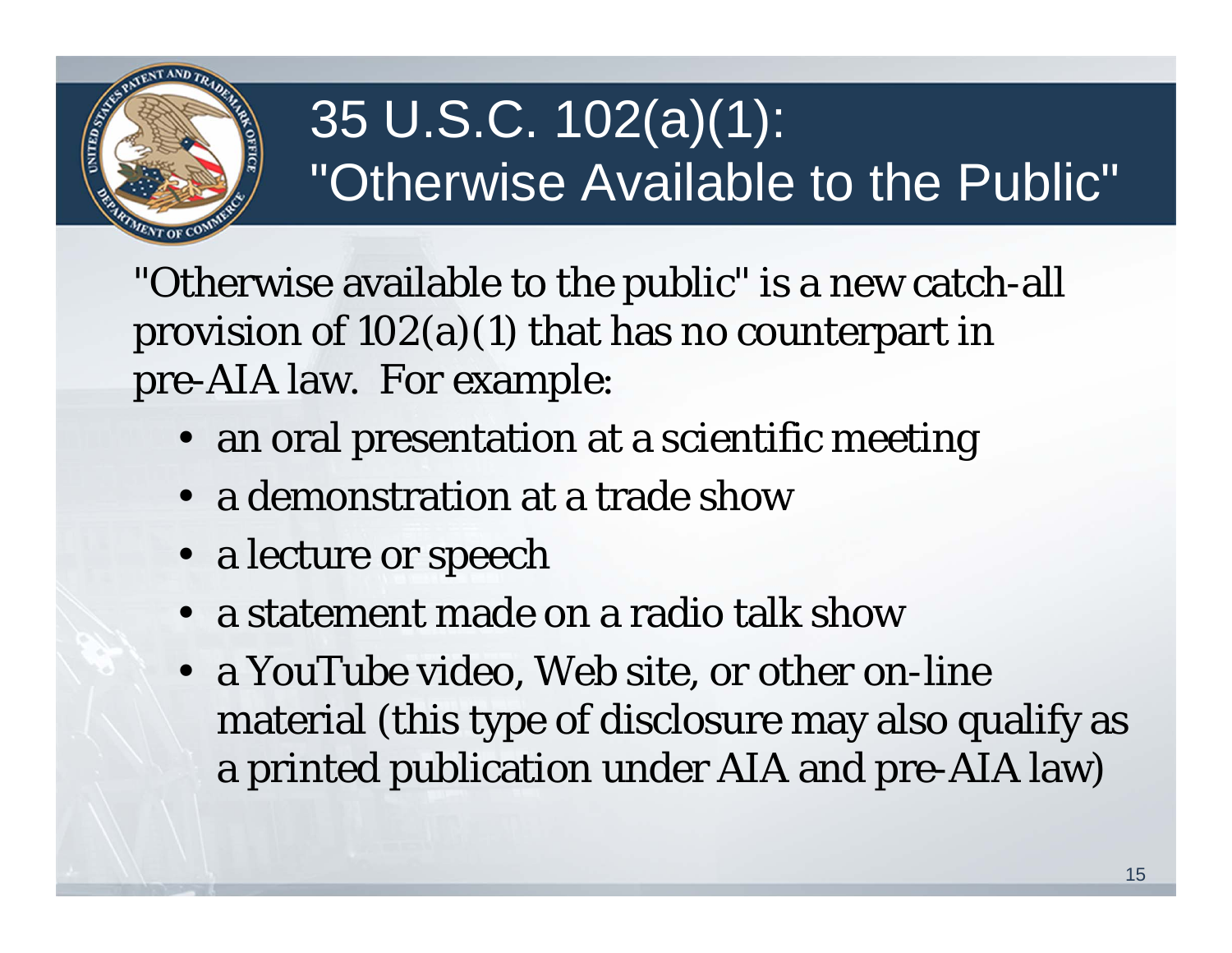

# 35 U.S.C. 102(a)(1): "Otherwise Available to the Public"

"Otherwise available to the public" is a new catch-all provision of 102(a)(1) that has no counterpart in pre-AIA law. For example:

- an oral presentation at a scientific meeting
- a demonstration at a trade show
- a lecture or speech
- a statement made on a radio talk show
- a YouTube video, Web site, or other on-line material (this type of disclosure may also qualify as a printed publication under AIA and pre-AIA law)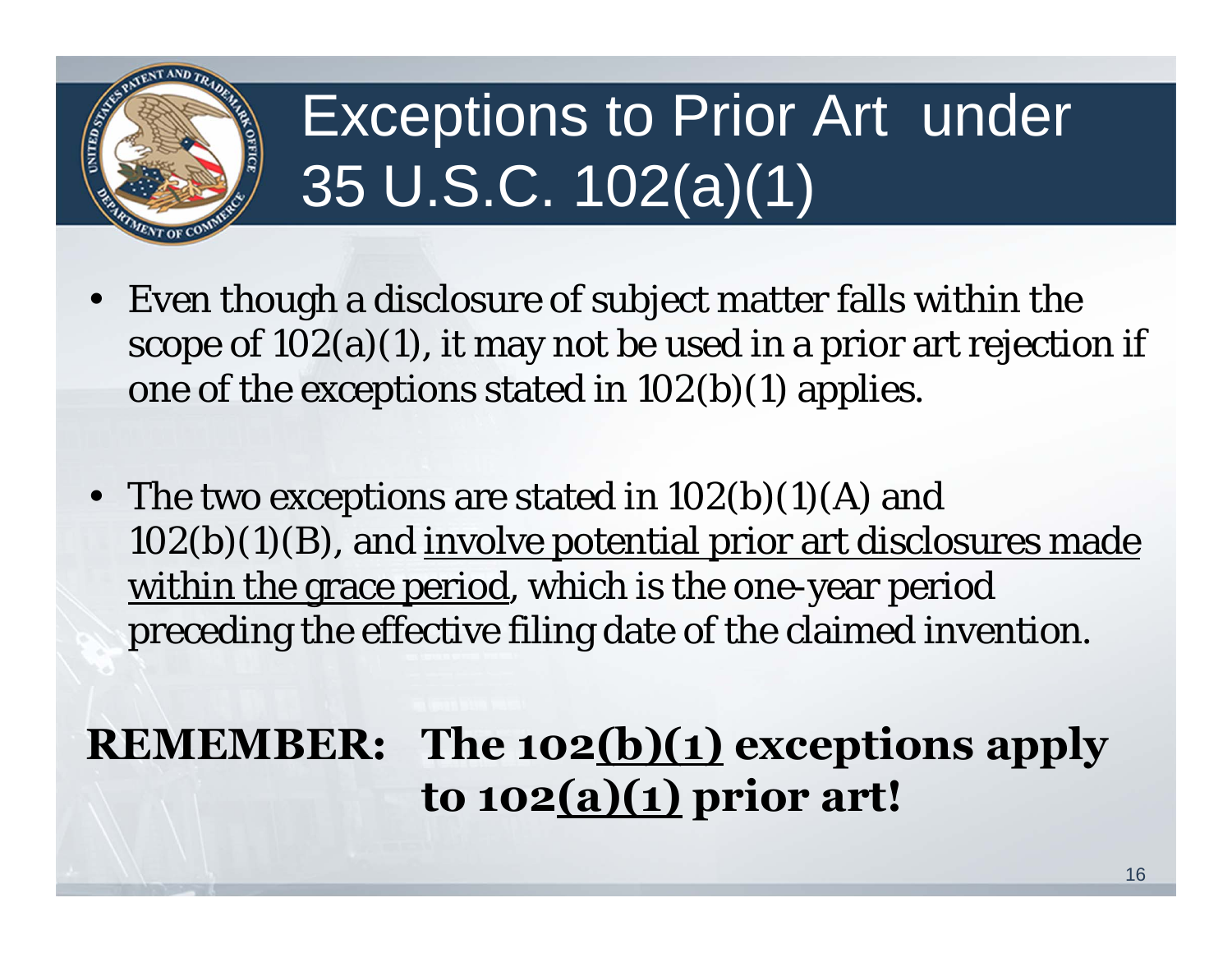

# Exceptions to Prior Art under 35 U.S.C. 102(a)(1)

- Even though a disclosure of subject matter falls within the scope of  $102(a)(1)$ , it may not be used in a prior art rejection if one of the exceptions stated in 102(b)(1) applies.
- The two exceptions are stated in  $102(b)(1)(A)$  and  $102(b)(1)(B)$ , and involve potential prior art disclosures made within the grace period, which is the one-year period preceding the effective filing date of the claimed invention.

### **REMEMBER: The 102(b)(1) exceptions apply to 102(a)(1) prior art!**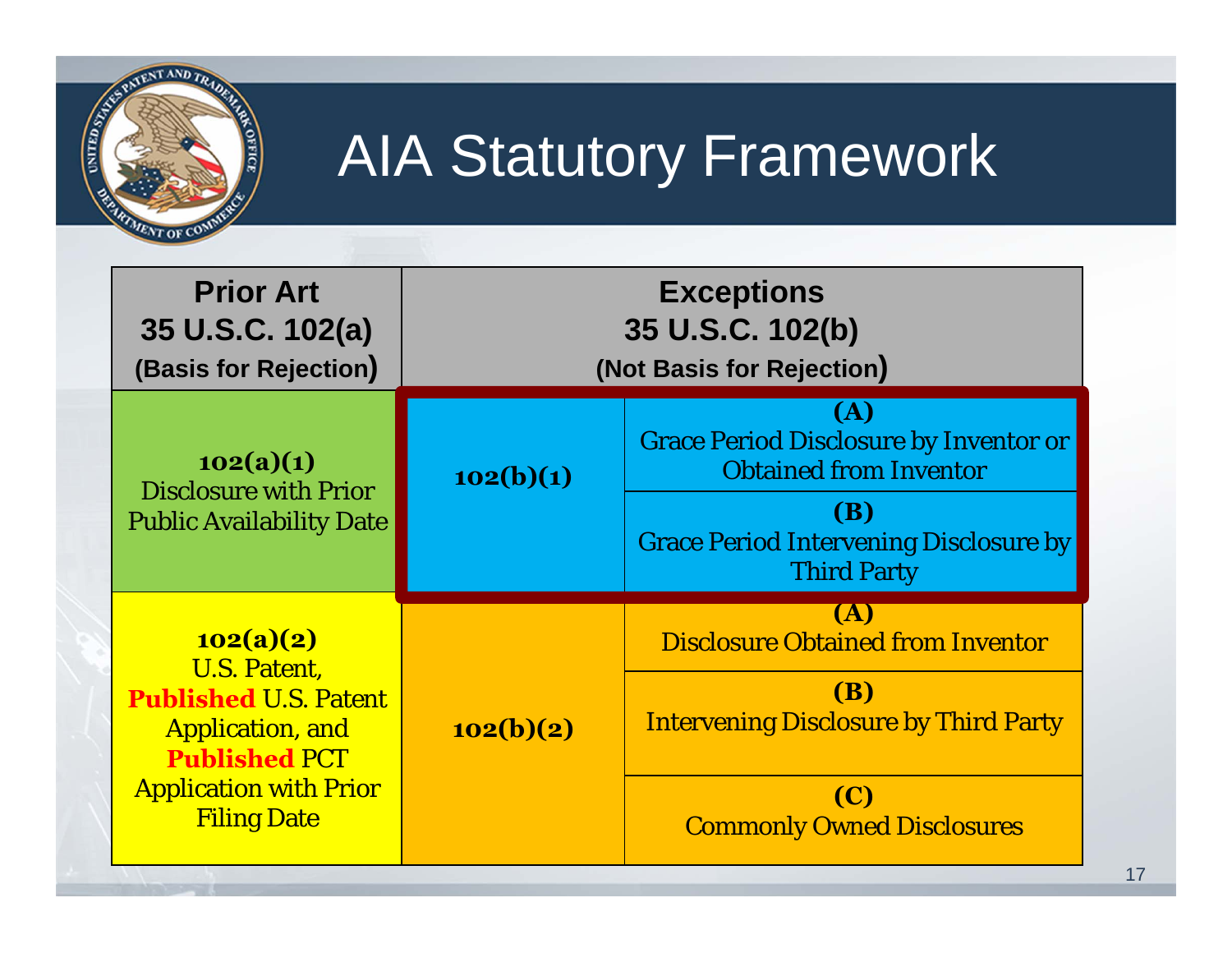

# AIA Statutory Framework

| <b>Prior Art</b><br>35 U.S.C. 102(a)<br>(Basis for Rejection)                                                                                                              | <b>Exceptions</b><br>35 U.S.C. 102(b)<br>(Not Basis for Rejection) |                                                                                                                                                                         |  |
|----------------------------------------------------------------------------------------------------------------------------------------------------------------------------|--------------------------------------------------------------------|-------------------------------------------------------------------------------------------------------------------------------------------------------------------------|--|
| 102(a)(1)<br><b>Disclosure with Prior</b><br><b>Public Availability Date</b>                                                                                               | 102(b)(1)                                                          | (A)<br><b>Grace Period Disclosure by Inventor or</b><br><b>Obtained from Inventor</b><br>(B)<br><b>Grace Period Intervening Disclosure by</b><br><b>Third Party</b>     |  |
| 102(a)(2)<br><b>U.S. Patent,</b><br><b>Published U.S. Patent</b><br><b>Application, and</b><br><b>Published PCT</b><br><b>Application with Prior</b><br><b>Filing Date</b> | 102(b)(2)                                                          | <b>(A)</b><br><b>Disclosure Obtained from Inventor</b><br><b>(B)</b><br><b>Intervening Disclosure by Third Party</b><br><b>(C)</b><br><b>Commonly Owned Disclosures</b> |  |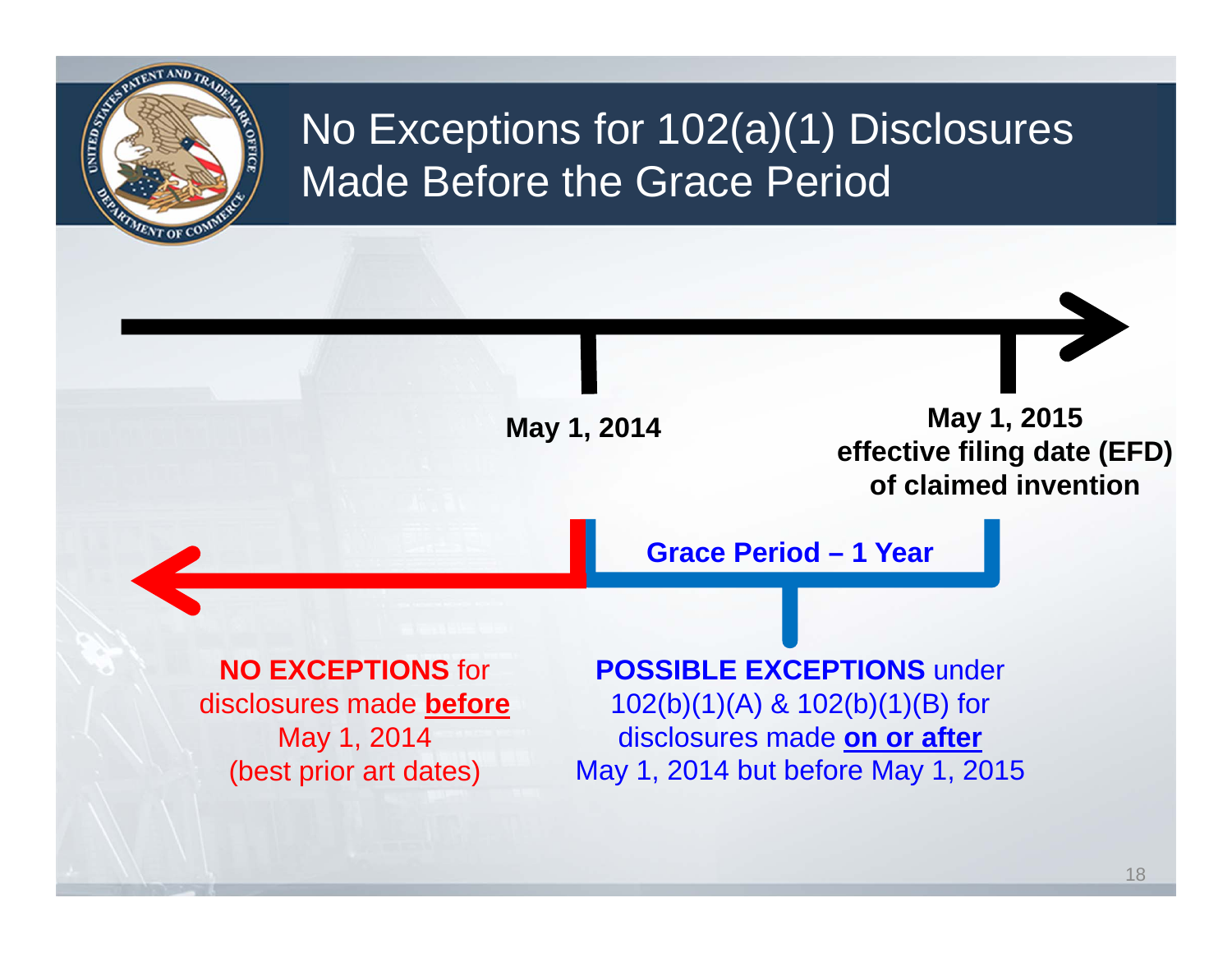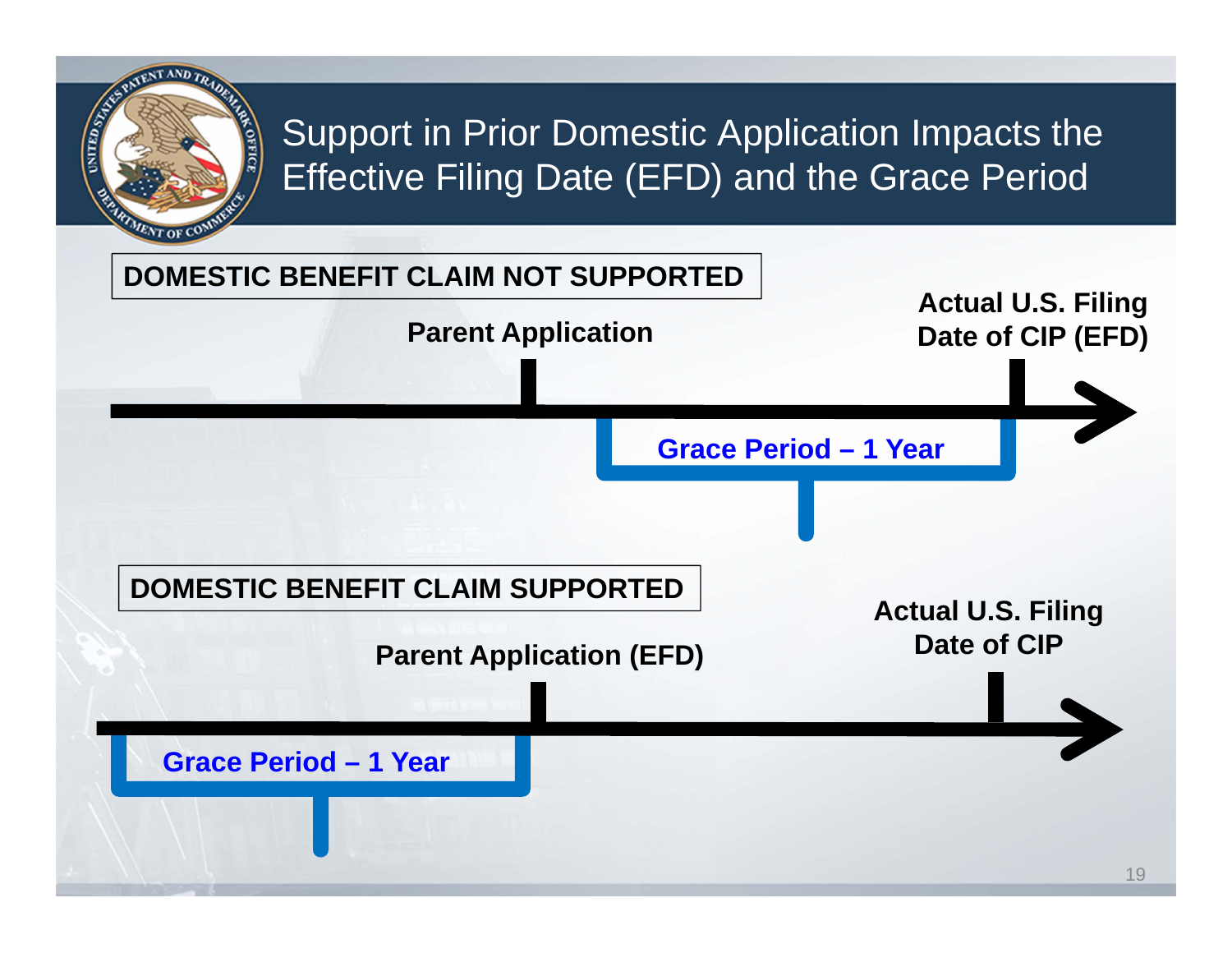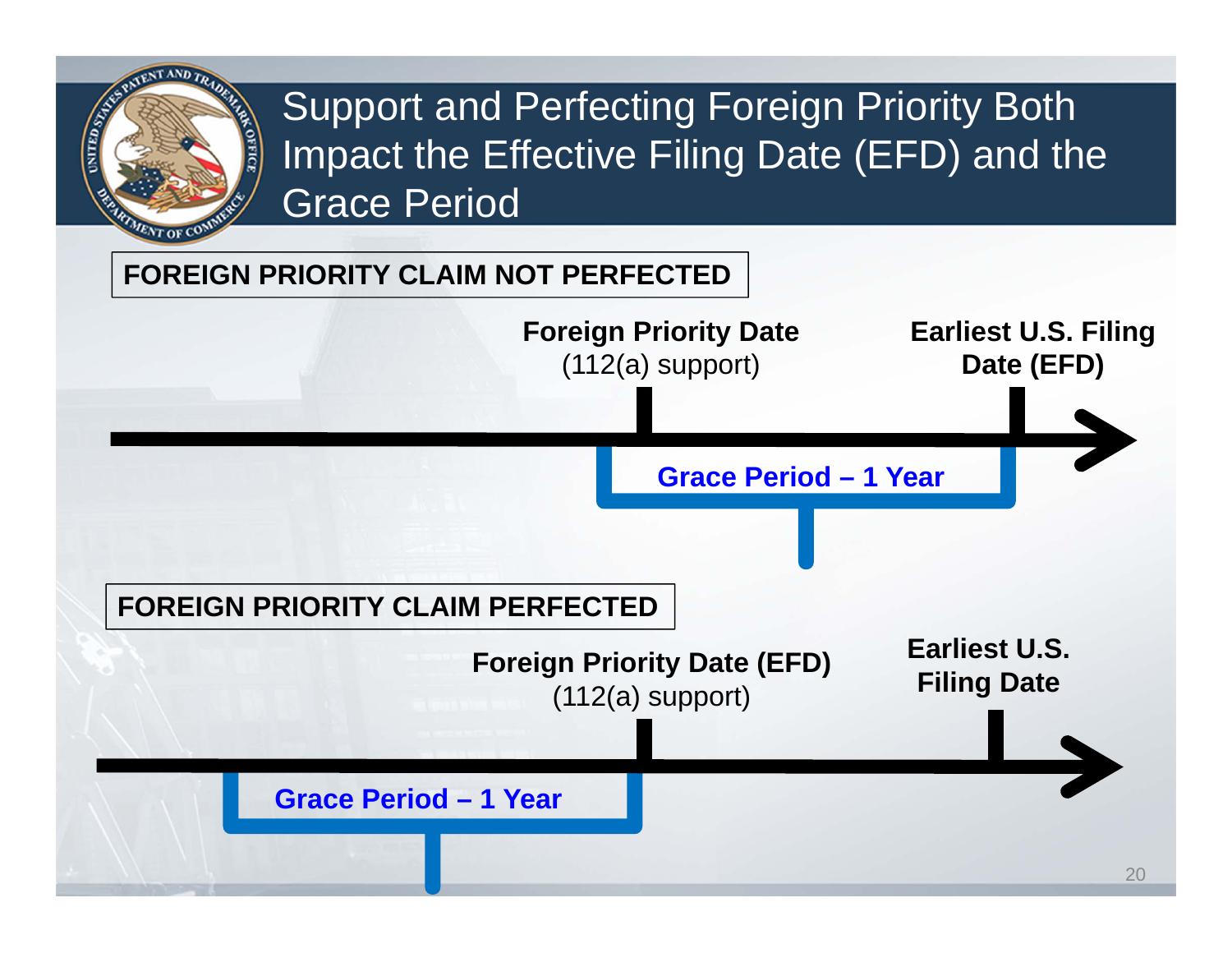

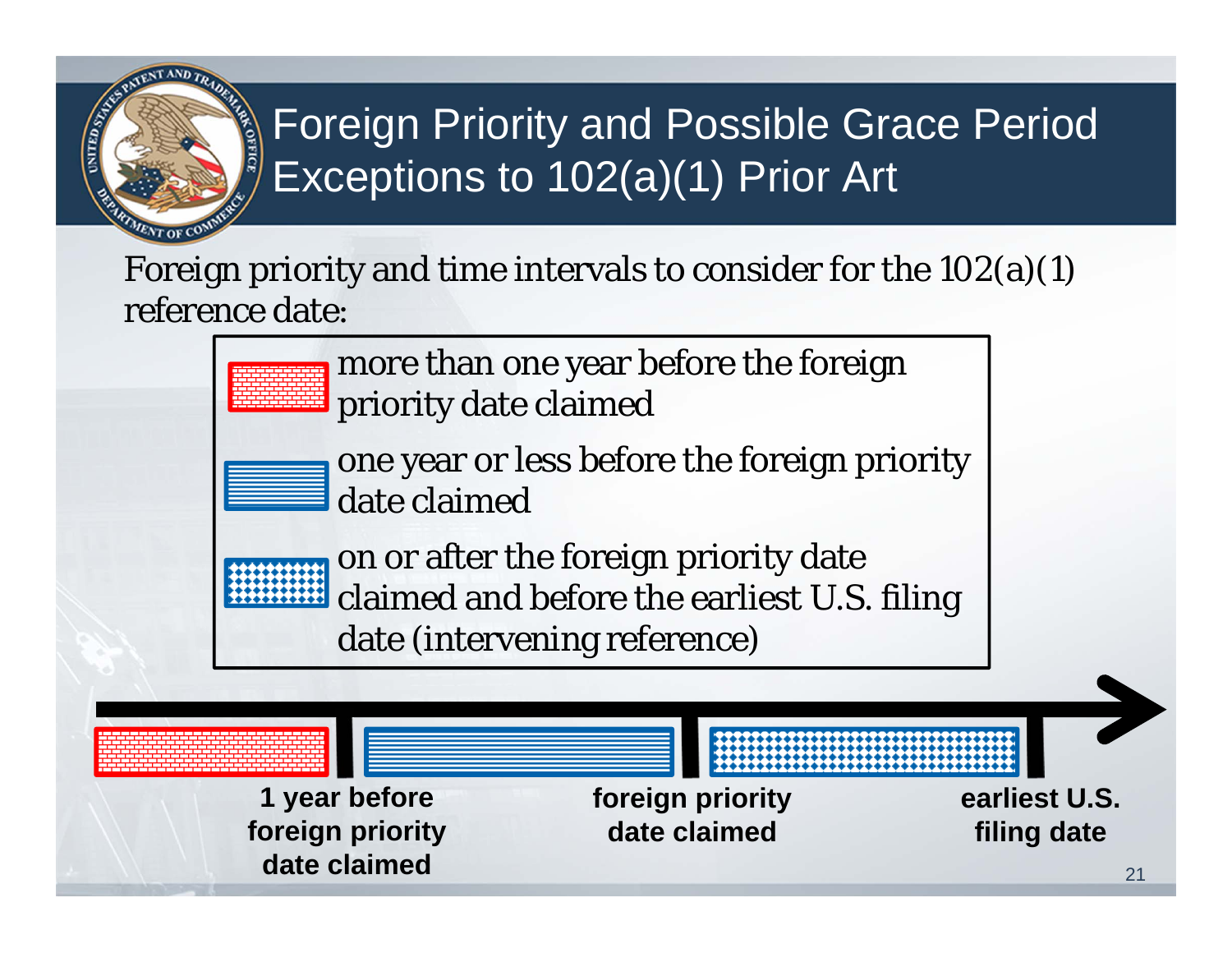

## Foreign Priority and Possible Grace Period Exceptions to 102(a)(1) Prior Art

Foreign priority and time intervals to consider for the 102(a)(1) reference date:

> more than one year before the foreign priority date claimed



one year or less before the foreign priority date claimed

on or after the foreign priority date claimed and before the earliest U.S. filing date (intervening reference)

**date claimed** 21

**1 year before foreign priority earliest U.S. foreign priority date claimed filing date**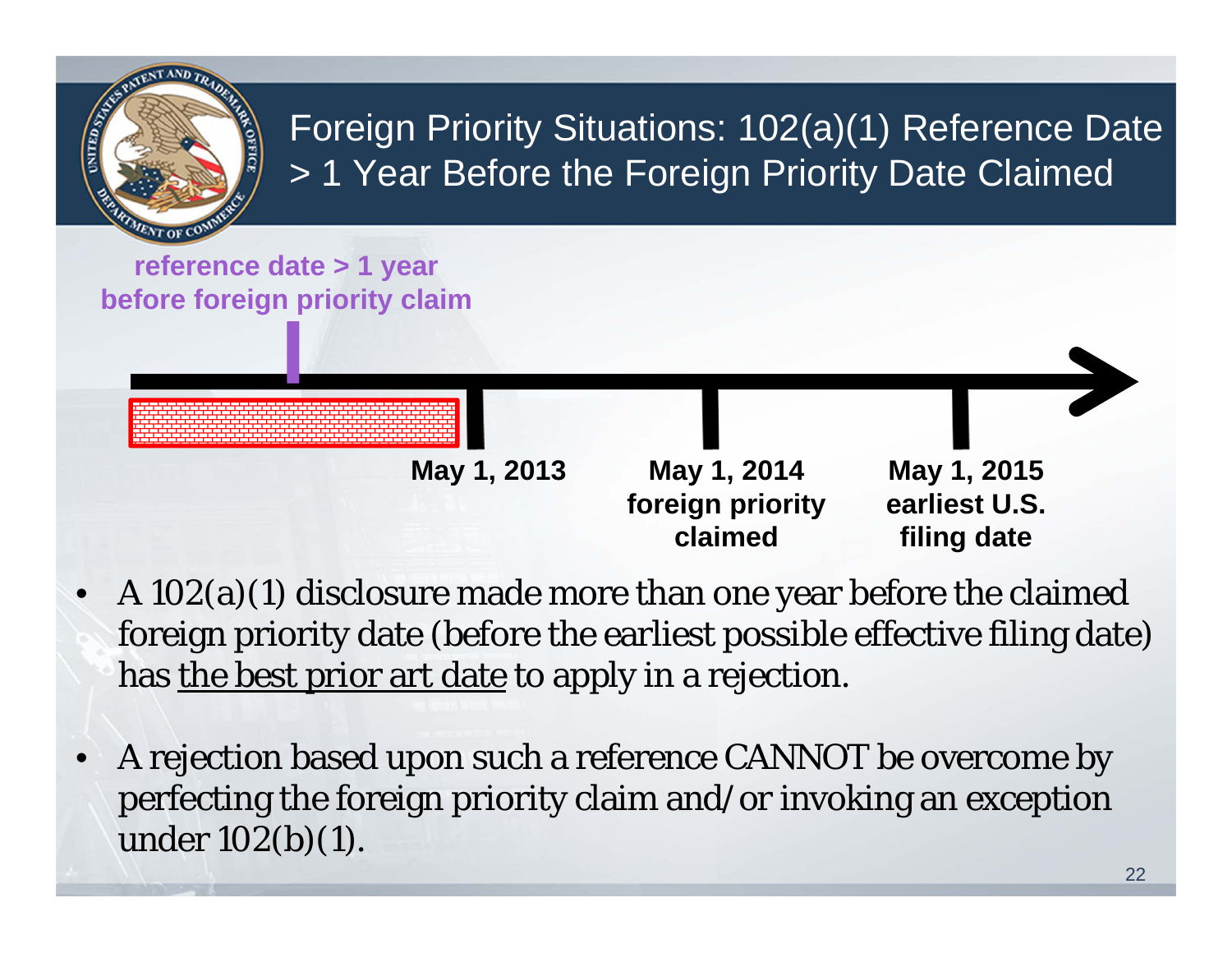

- A 102(a)(1) disclosure made more than one year before the claimed foreign priority date (before the earliest possible effective filing date) has the best prior art date to apply in a rejection.
- • A rejection based upon such a reference CANNOT be overcome by perfecting the foreign priority claim and/or invoking an exception under  $102(b)(1)$ .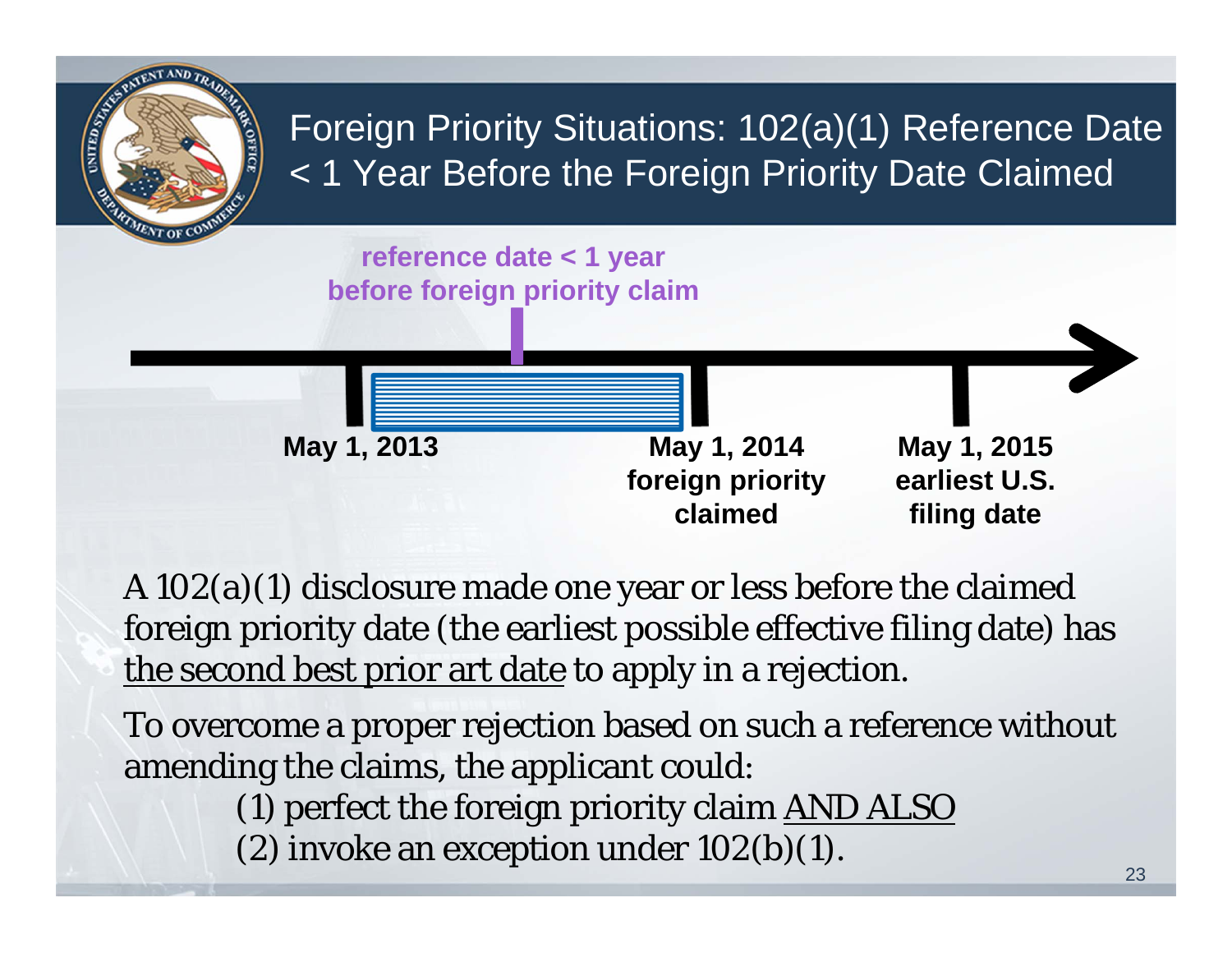

A 102(a)(1) disclosure made one year or less before the claimed foreign priority date (the earliest possible effective filing date) has the second best prior art date to apply in a rejection.

To overcome a proper rejection based on such a reference without amending the claims, the applicant could:

(1) perfect the foreign priority claim AND ALSO

(2) invoke an exception under  $102(b)(1)$ .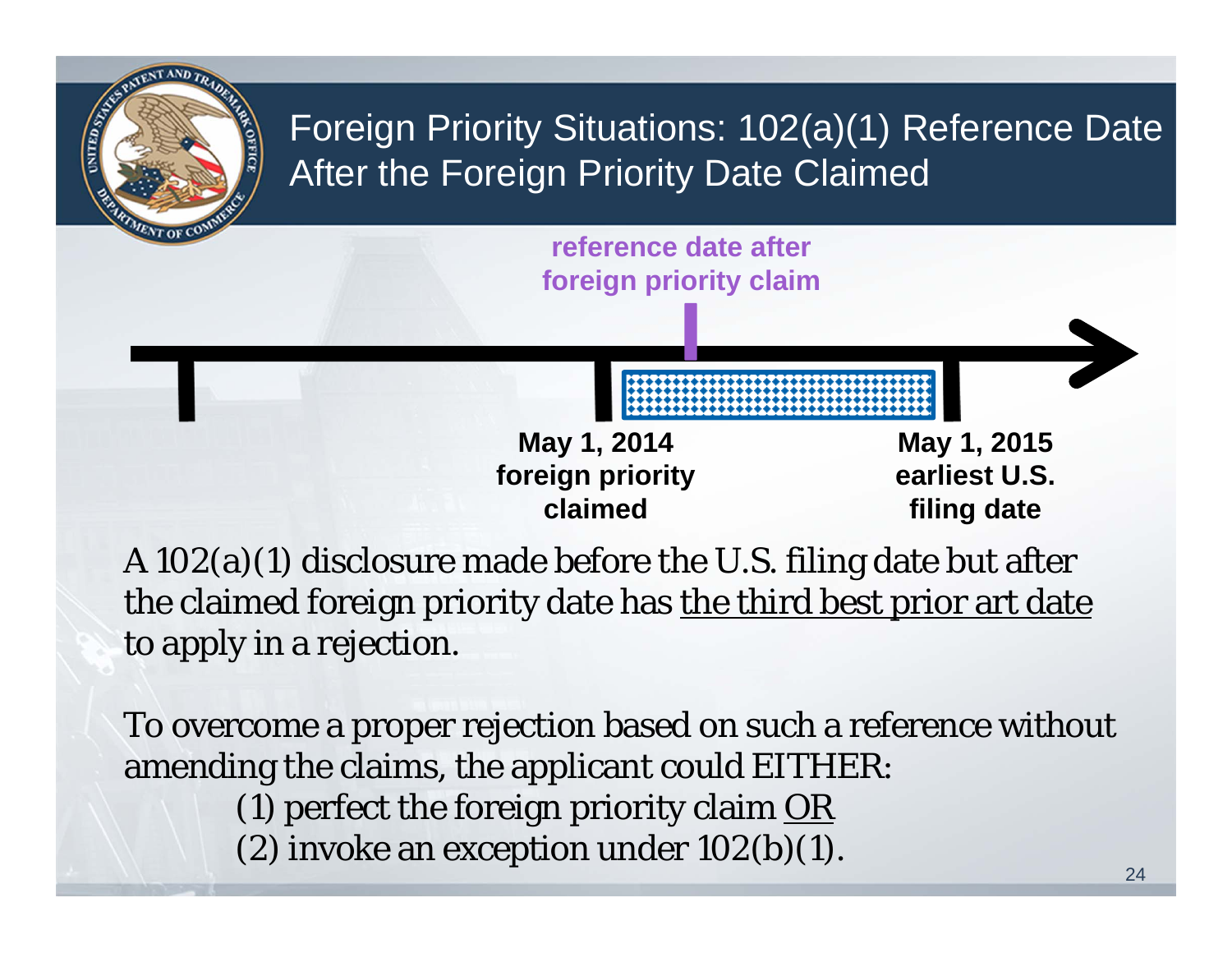

A 102(a)(1) disclosure made before the U.S. filing date but after the claimed foreign priority date has the third best prior art date to apply in a rejection.

To overcome a proper rejection based on such a reference without amending the claims, the applicant could EITHER:

(1) perfect the foreign priority claim  $OR$ 

(2) invoke an exception under  $102(b)(1)$ .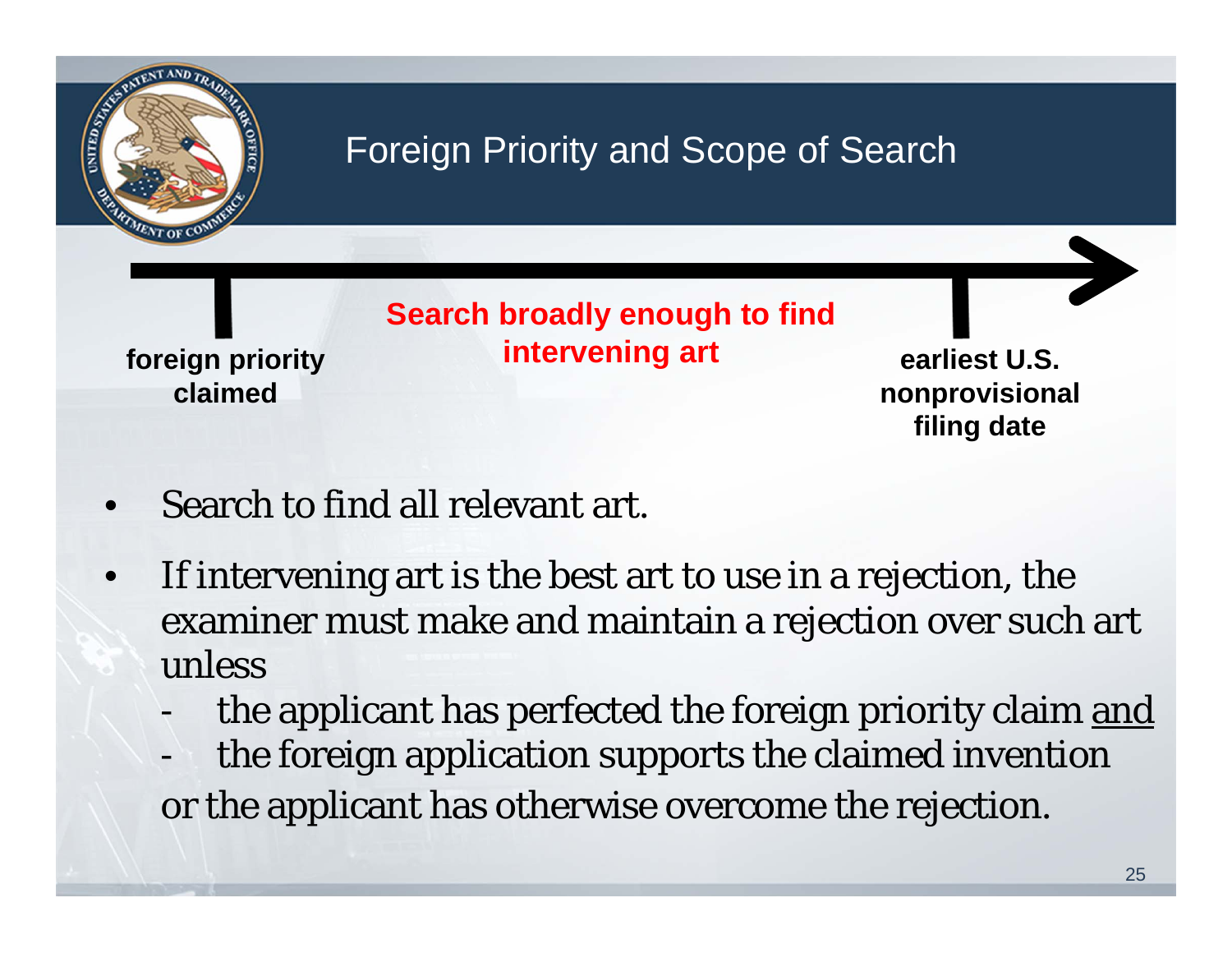

- •Search to find all relevant art.
- • If intervening art is the best art to use in a rejection, the examiner must make and maintain a rejection over such art unless
	- the applicant has perfected the foreign priority claim and
	- the foreign application supports the claimed invention or the applicant has otherwise overcome the rejection.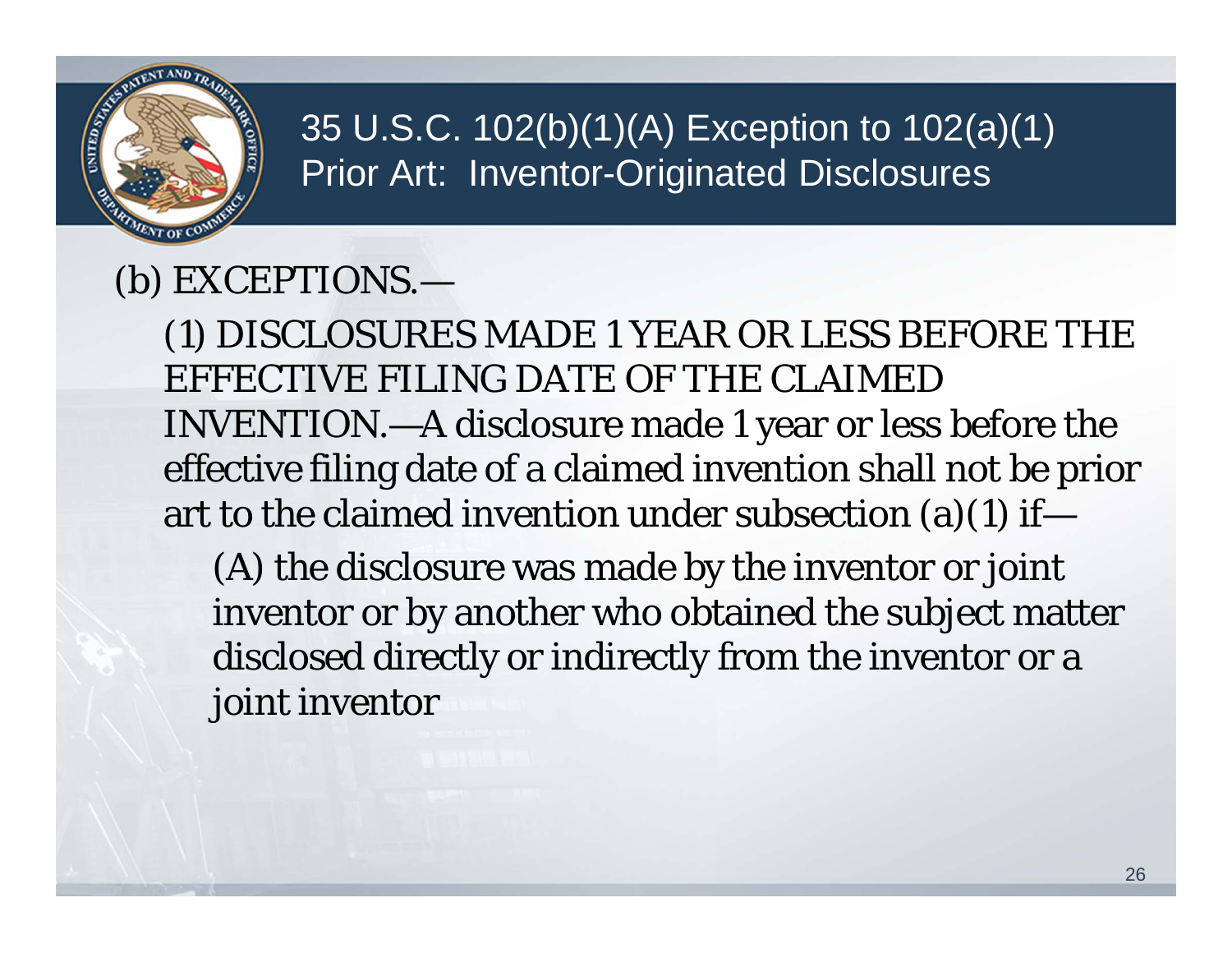

#### 35 U.S.C. 102(b)(1)(A) Exception to 102(a)(1) Prior Art: Inventor-Originated Disclosures

#### (b) EXCEPTIONS.—

(1) DISCLOSURES MADE 1 YEAR OR LESS BEFORE THE EFFECTIVE FILING DATE OF THE CLAIMED INVENTION.—A disclosure made 1 year or less before the effective filing date of a claimed invention shall not be prior art to the claimed invention under subsection (a)(1) if—

(A) the disclosure was made by the inventor or joint inventor or by another who obtained the subject matter disclosed directly or indirectly from the inventor or a joint inventor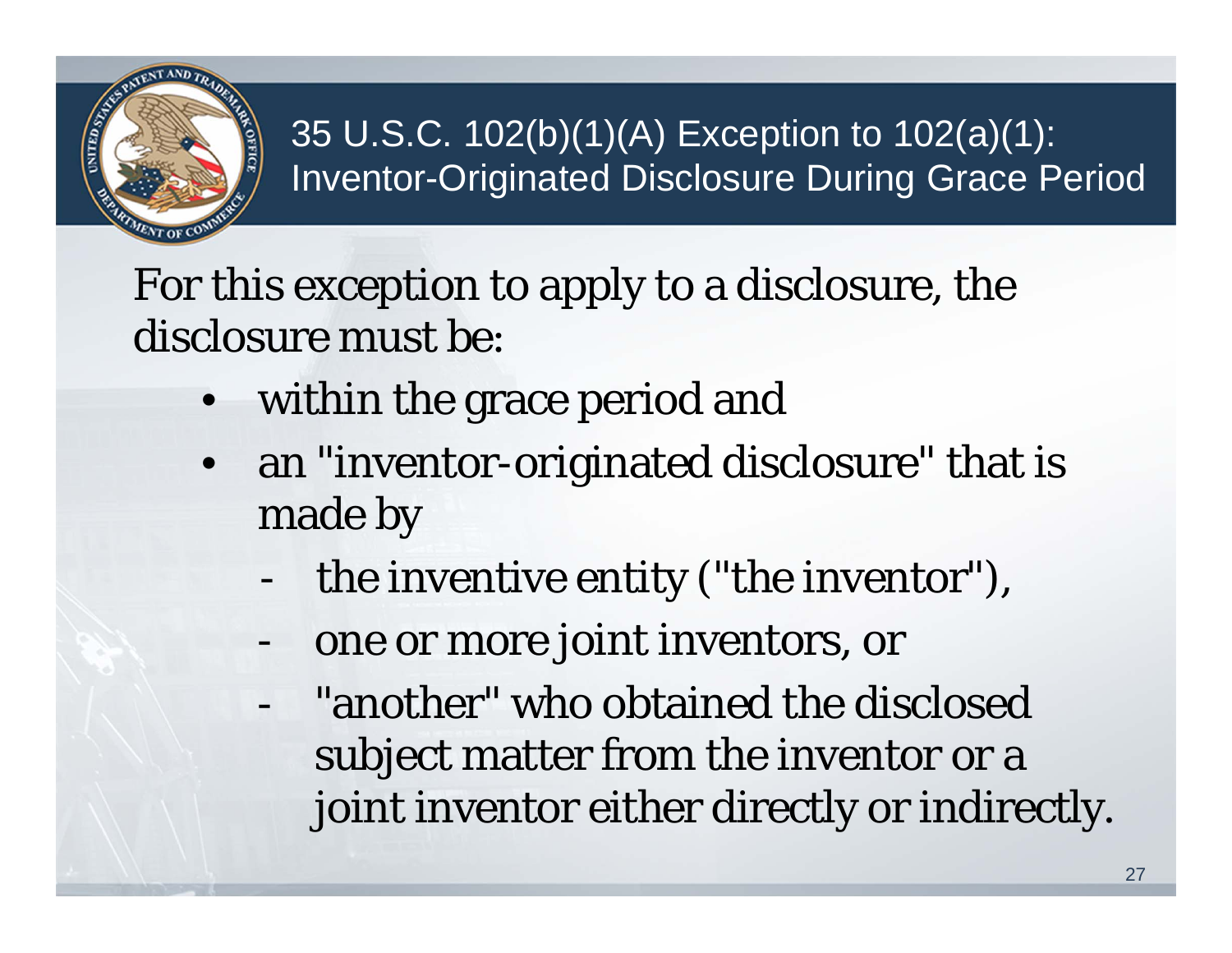

#### 35 U.S.C. 102(b)(1)(A) Exception to 102(a)(1): Inventor-Originated Disclosure During Grace Period

For this exception to apply to a disclosure, the disclosure must be:

- •within the grace period and
- $\bullet$  an "inventor-originated disclosure" that is made by
	- the inventive entity ("the inventor"),
	- one or more joint inventors, or
	- "another" who obtained the disclosed subject matter from the inventor or a joint inventor either directly or indirectly.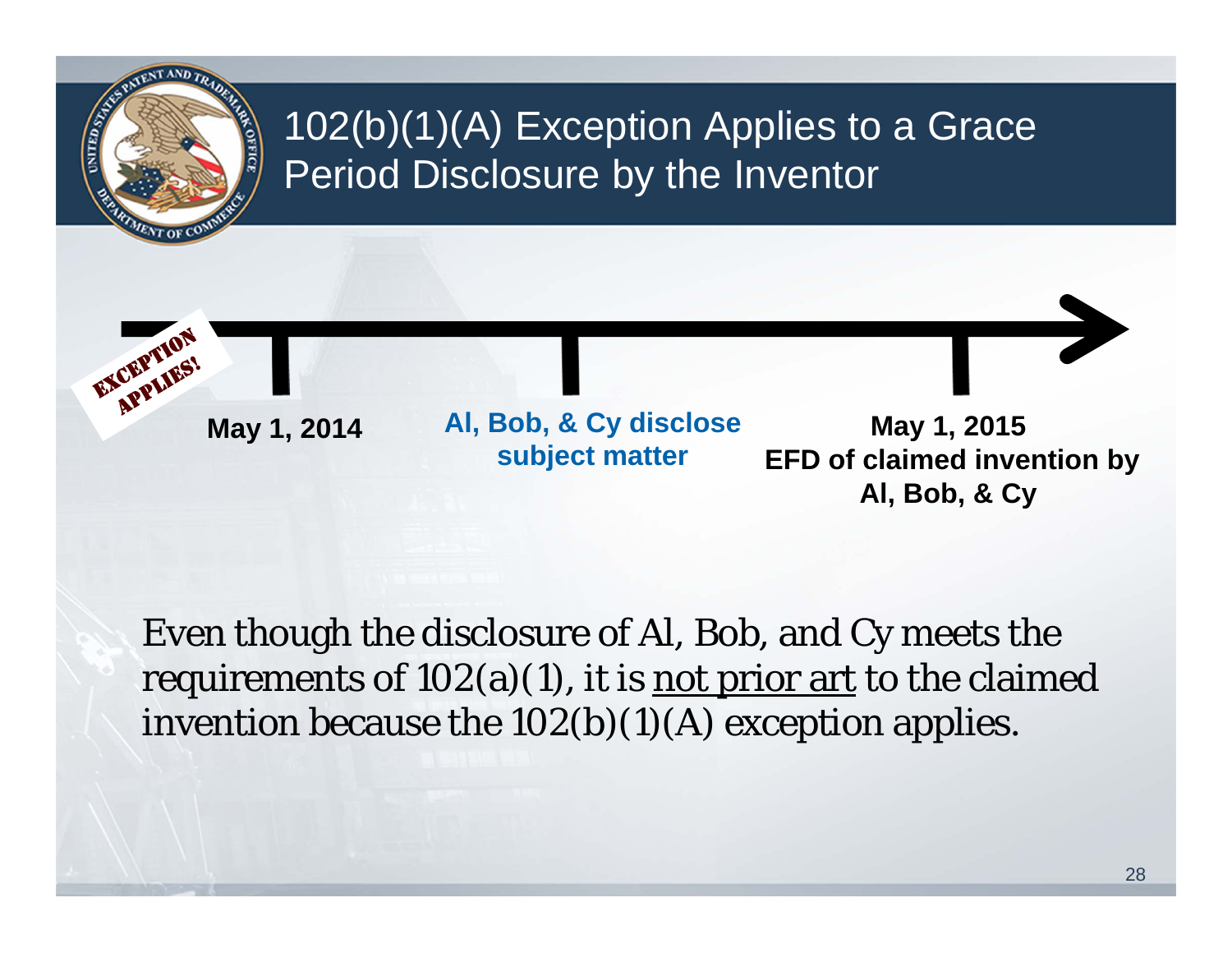

#### 102(b)(1)(A) Exception Applies to a Grace Period Disclosure by the Inventor

**APPLIES!** 

EXCEPTION

May 1, 2014 Al, Bob, & Cy disclose May 1, 2015<br>subject matter EFD of claimed inve

**EFD of claimed invention by Al, Bob, & Cy** 

Even though the disclosure of Al, Bob, and Cy meets the requirements of  $102(a)(1)$ , it is not prior art to the claimed invention because the 102(b)(1)(A) exception applies.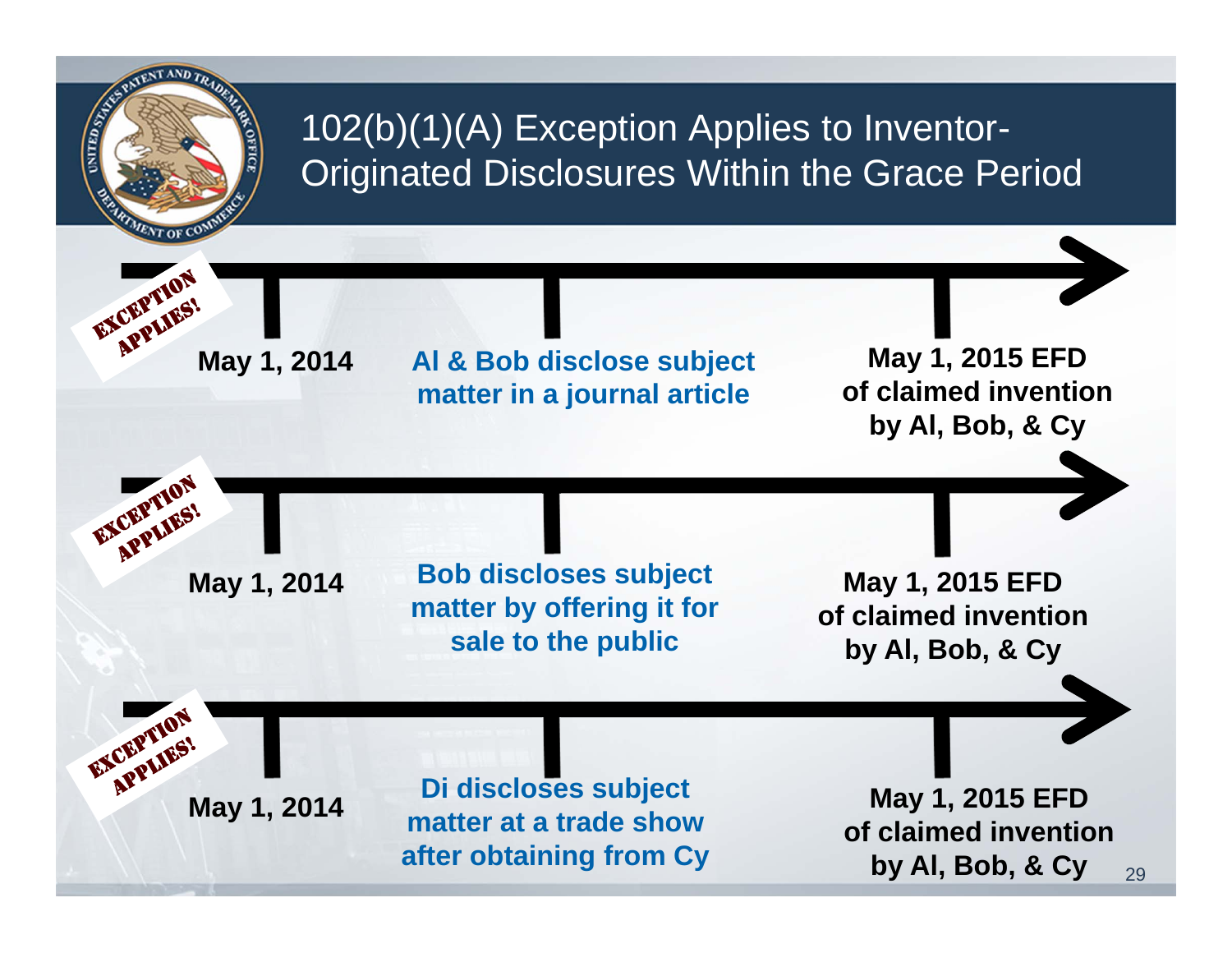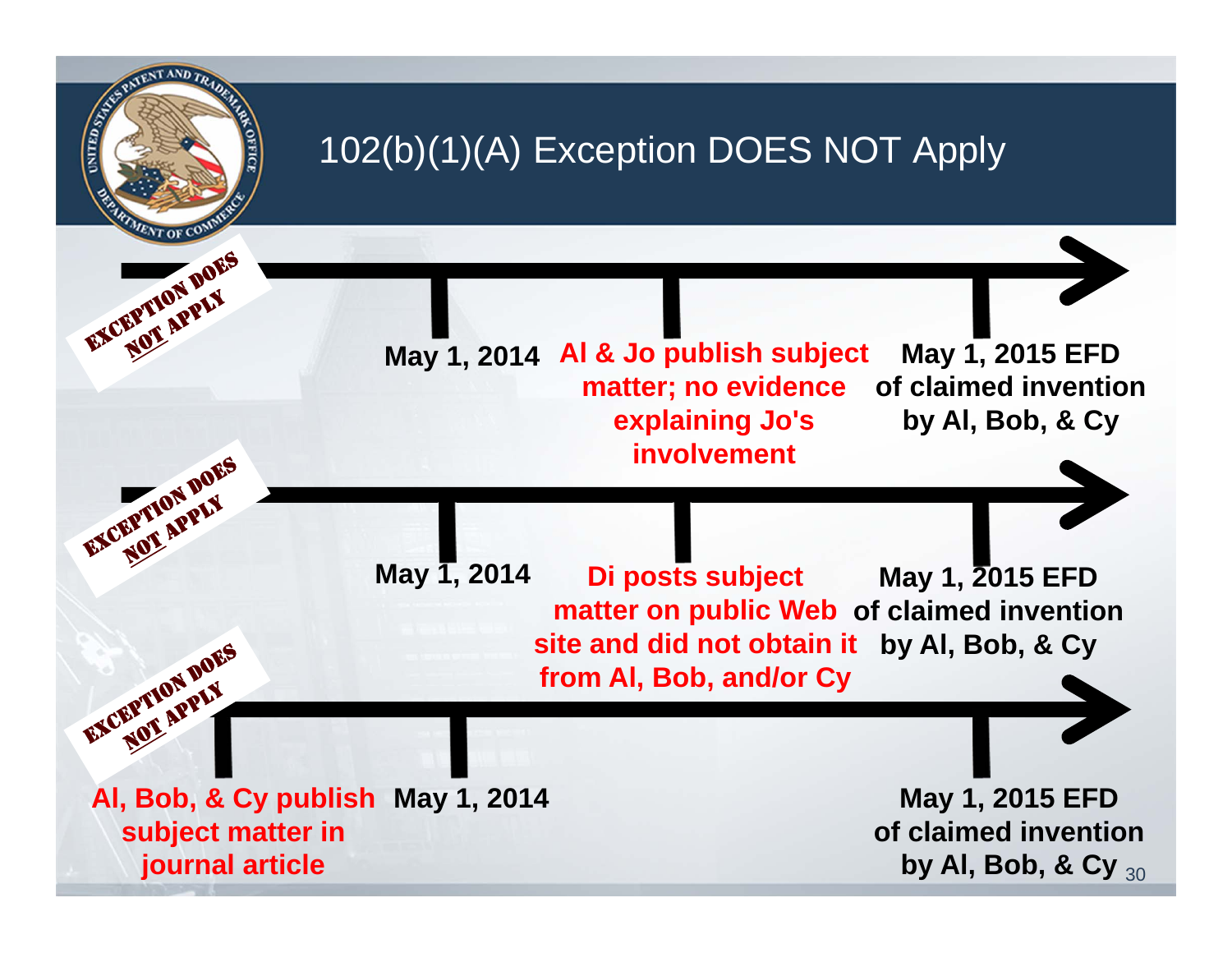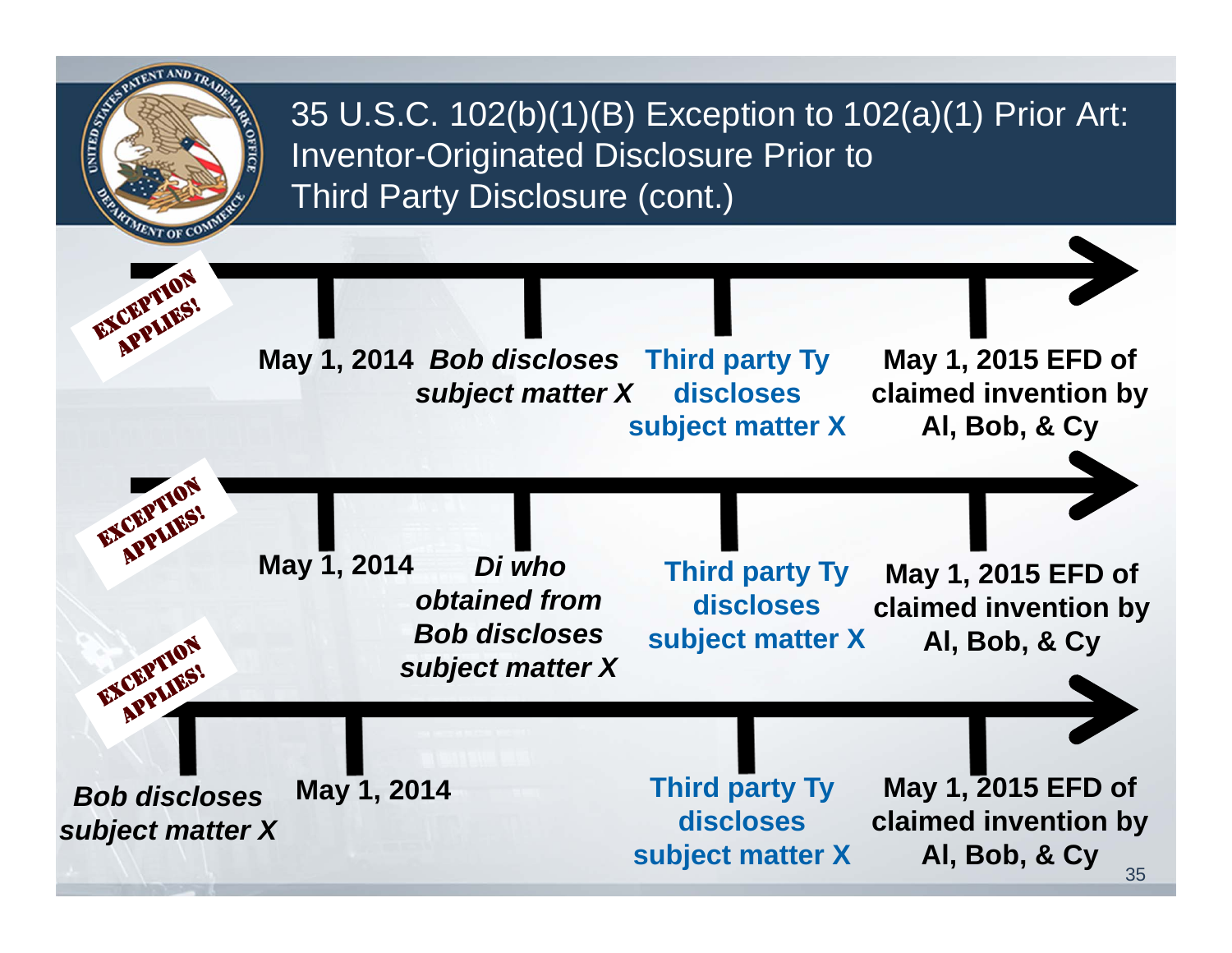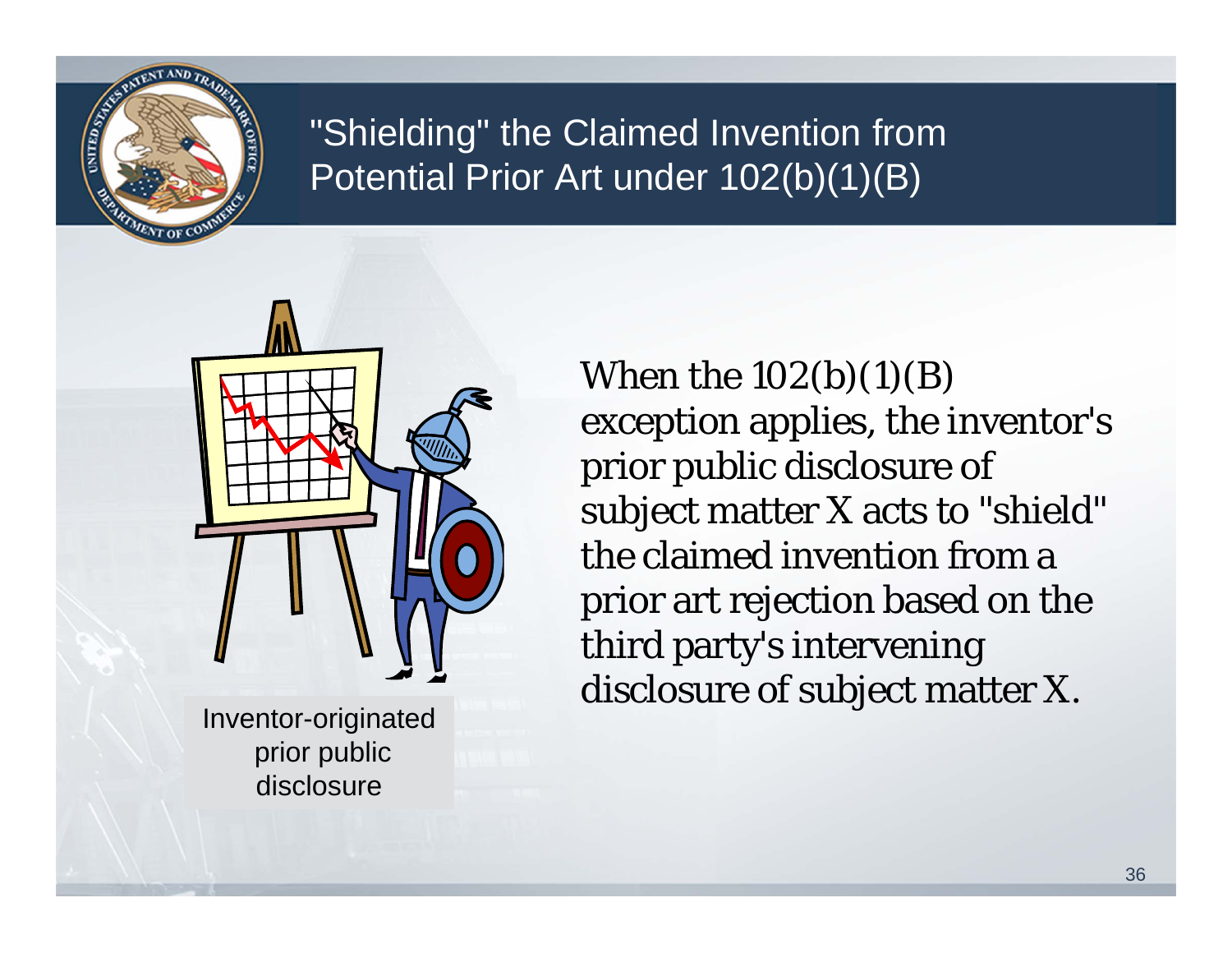

#### "Shielding" the Claimed Invention from Potential Prior Art under 102(b)(1)(B)



prior public disclosure

When the  $102(b)(1)(B)$ exception applies, the inventor's prior public disclosure of subject matter X acts to "shield" the claimed invention from a prior art rejection based on the third party's intervening disclosure of subject matter X.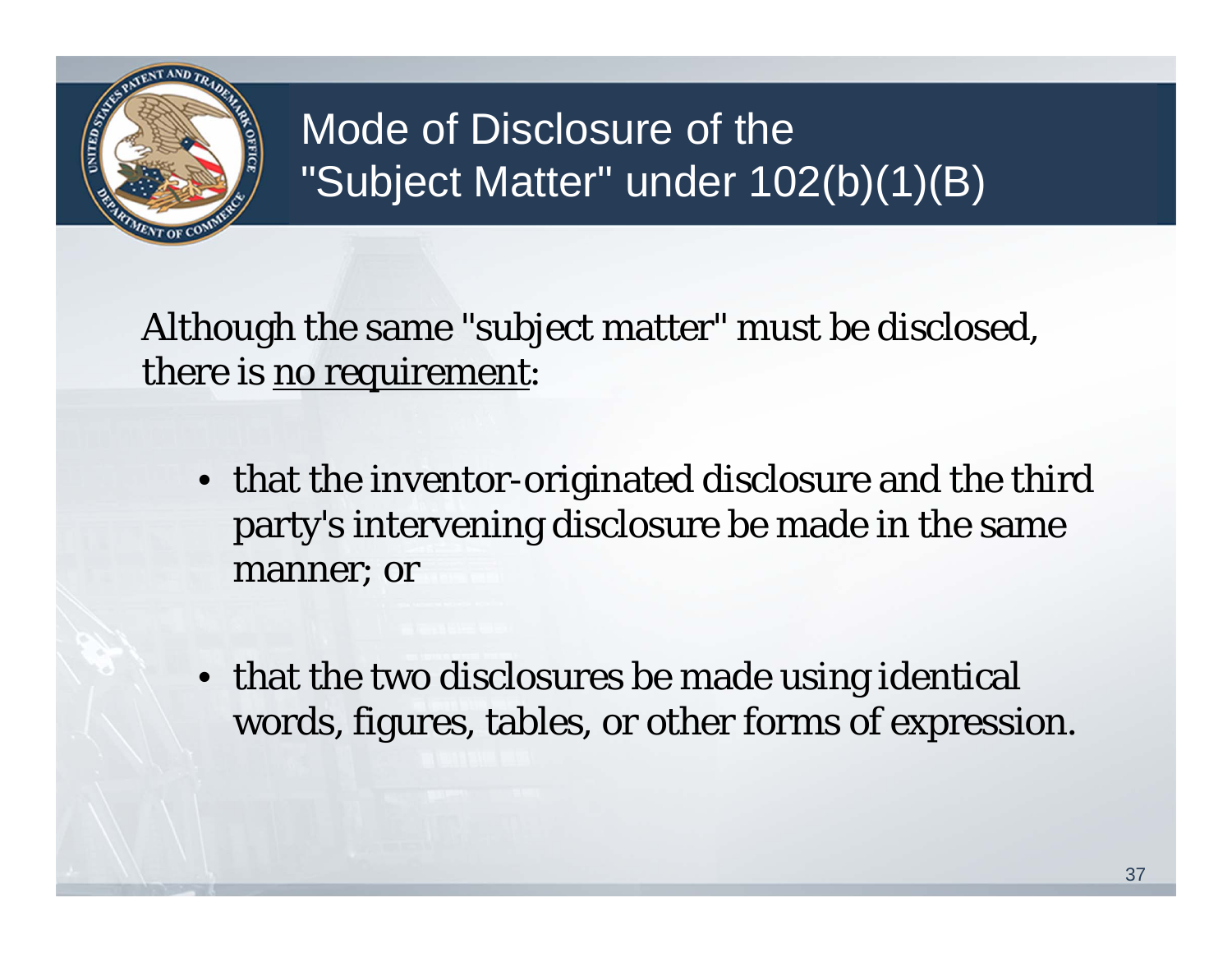

### Mode of Disclosure of the "Subject Matter" under 102(b)(1)(B)

Although the same "subject matter" must be disclosed, there is no requirement:

- that the inventor-originated disclosure and the third party's intervening disclosure be made in the same manner; or
- that the two disclosures be made using identical words, figures, tables, or other forms of expression.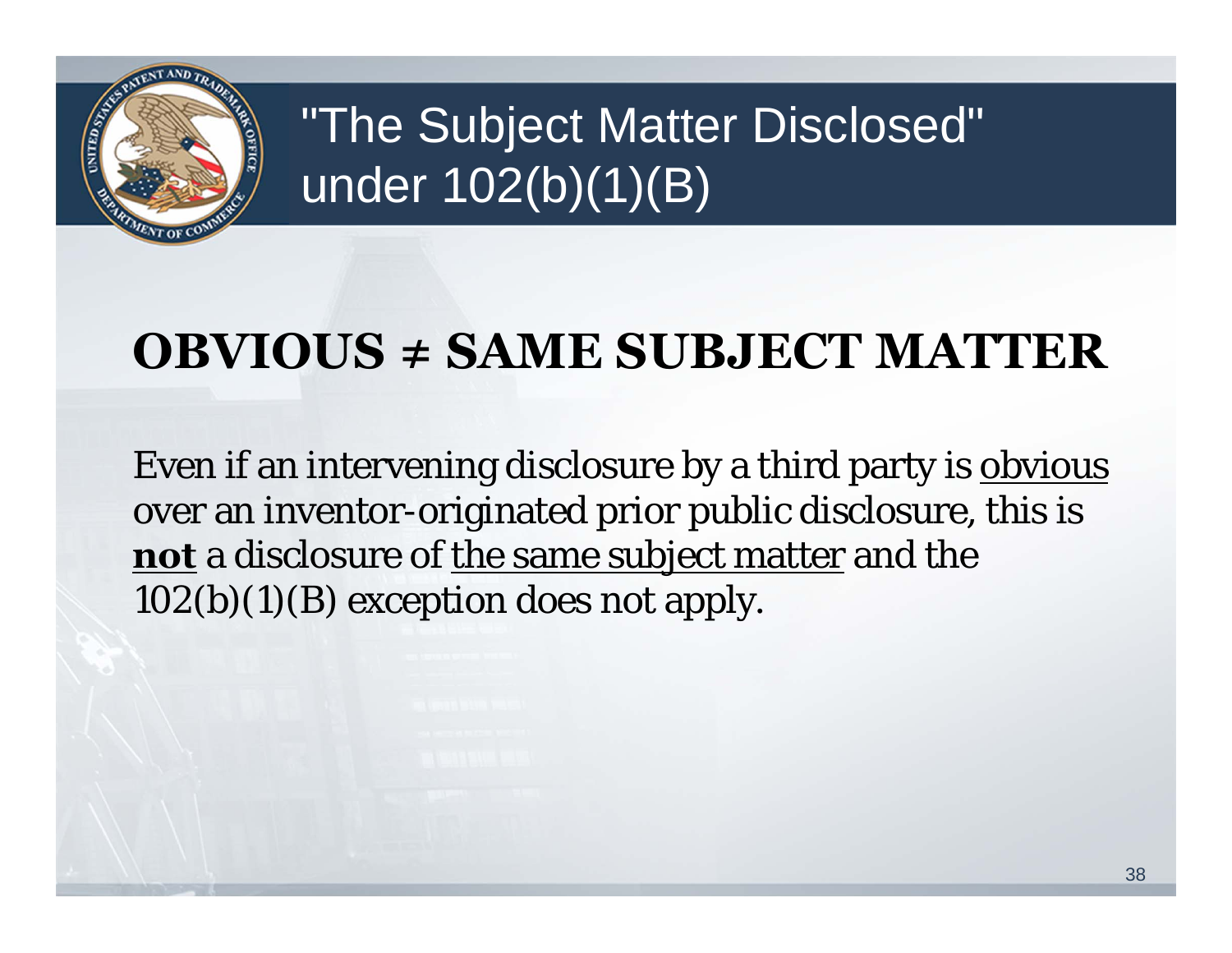

## "The Subject Matter Disclosed" under 102(b)(1)(B)

### **OBVIOUS ≠ SAME SUBJECT MATTER**

Even if an intervening disclosure by a third party is obvious over an inventor-originated prior public disclosure, this is **not** a disclosure of the same subject matter and the  $102(b)(1)(B)$  exception does not apply.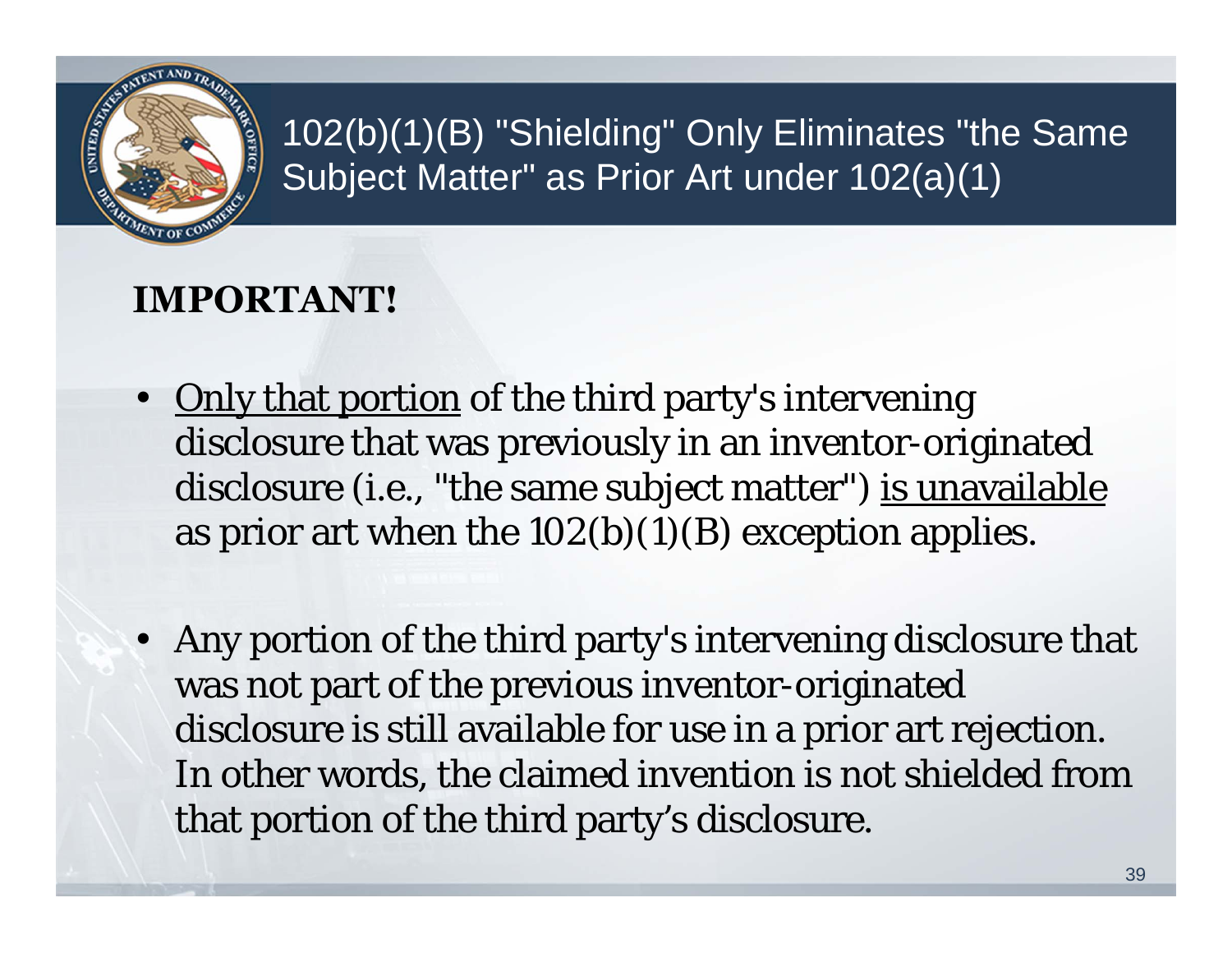

102(b)(1)(B) "Shielding" Only Eliminates "the Same Subject Matter" as Prior Art under 102(a)(1)

#### **IMPORTANT!**

- Only that portion of the third party's intervening disclosure that was previously in an inventor-originated disclosure (i.e., "the same subject matter") is unavailable as prior art when the  $102(b)(1)(B)$  exception applies.
- Any portion of the third party's intervening disclosure that was not part of the previous inventor-originated disclosure is still available for use in a prior art rejection. In other words, the claimed invention is not shielded from that portion of the third party's disclosure.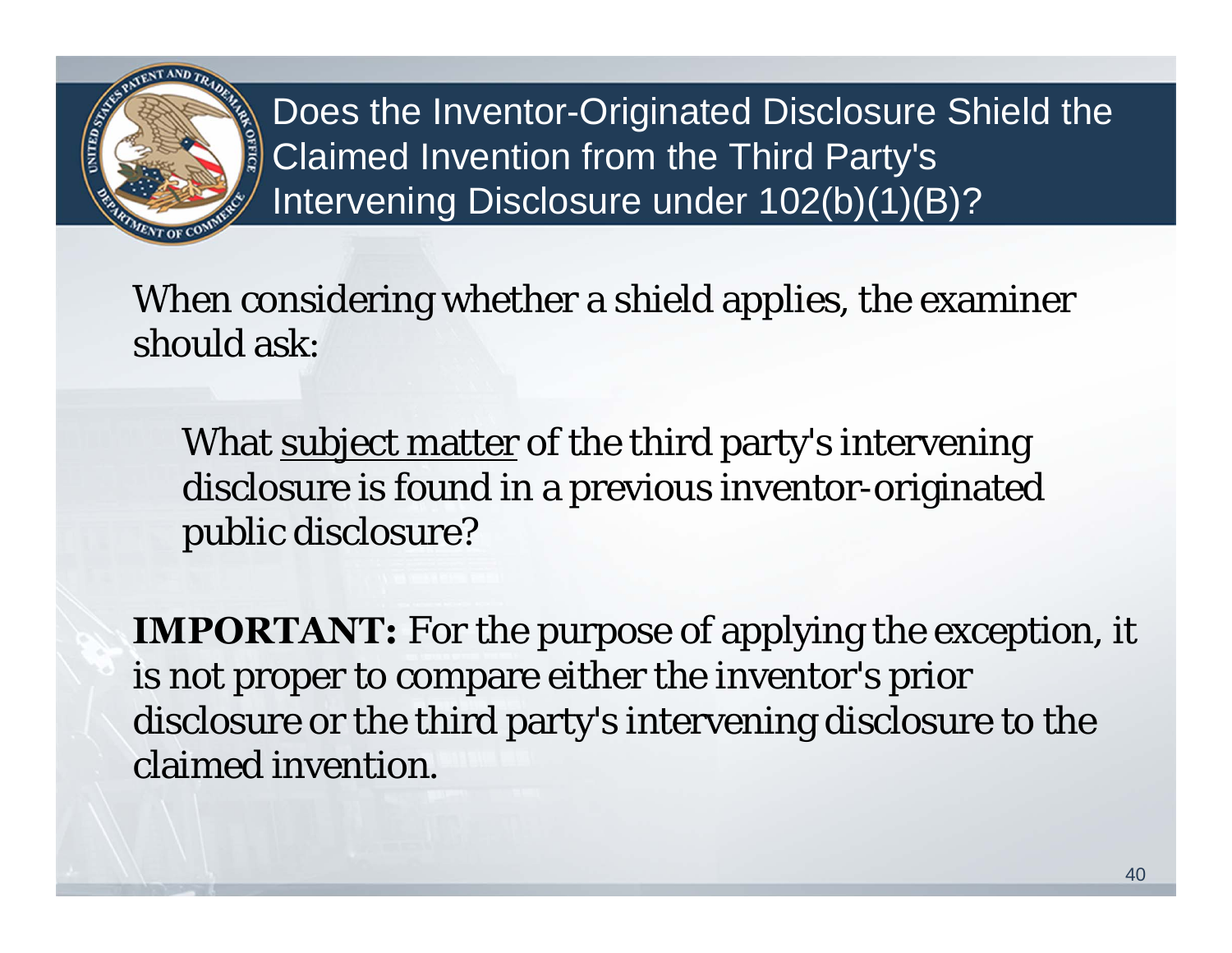

Does the Inventor-Originated Disclosure Shield the Claimed Invention from the Third Party's Intervening Disclosure under 102(b)(1)(B)?

When considering whether a shield applies, the examiner should ask:

What <u>subject matter</u> of the third party's intervening disclosure is found in a previous inventor-originated public disclosure?

**IMPORTANT:** For the purpose of applying the exception, it is not proper to compare either the inventor's prior disclosure or the third party's intervening disclosure to the claimed invention.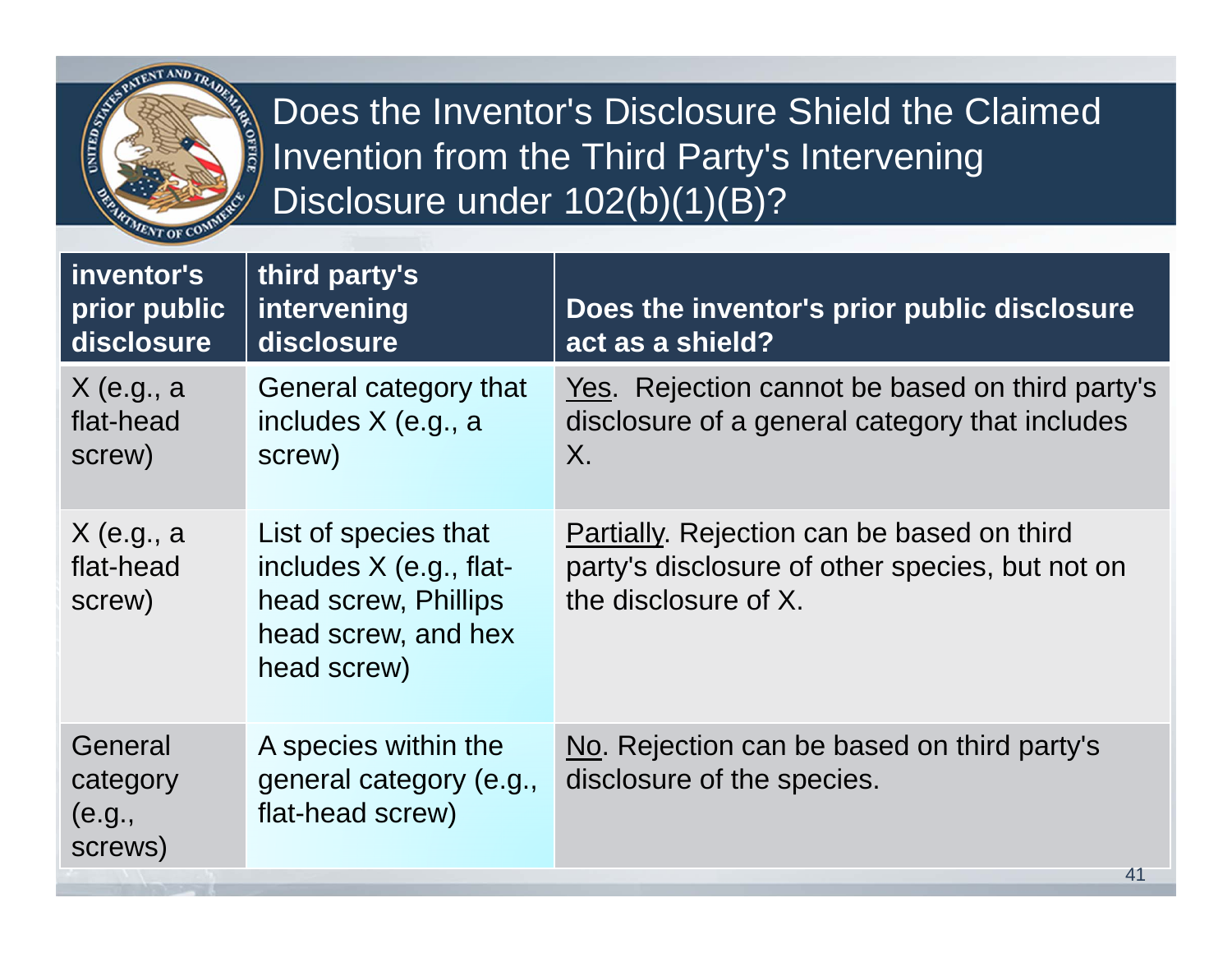

Does the Inventor's Disclosure Shield the Claimed Invention from the Third Party's Intervening Disclosure under 102(b)(1)(B)?

| inventor's<br>prior public<br>disclosure | third party's<br>intervening<br>disclosure                                                                    | Does the inventor's prior public disclosure<br>act as a shield?                                                       |
|------------------------------------------|---------------------------------------------------------------------------------------------------------------|-----------------------------------------------------------------------------------------------------------------------|
| $X$ (e.g., a<br>flat-head<br>screw)      | General category that<br>includes X (e.g., a<br>screw)                                                        | Yes. Rejection cannot be based on third party's<br>disclosure of a general category that includes<br>X.               |
| $X$ (e.g., a<br>flat-head<br>screw)      | List of species that<br>includes X (e.g., flat-<br>head screw, Phillips<br>head screw, and hex<br>head screw) | Partially. Rejection can be based on third<br>party's disclosure of other species, but not on<br>the disclosure of X. |
| General<br>category<br>(e.g.,<br>screws) | A species within the<br>general category (e.g.,<br>flat-head screw)                                           | No. Rejection can be based on third party's<br>disclosure of the species.<br>41                                       |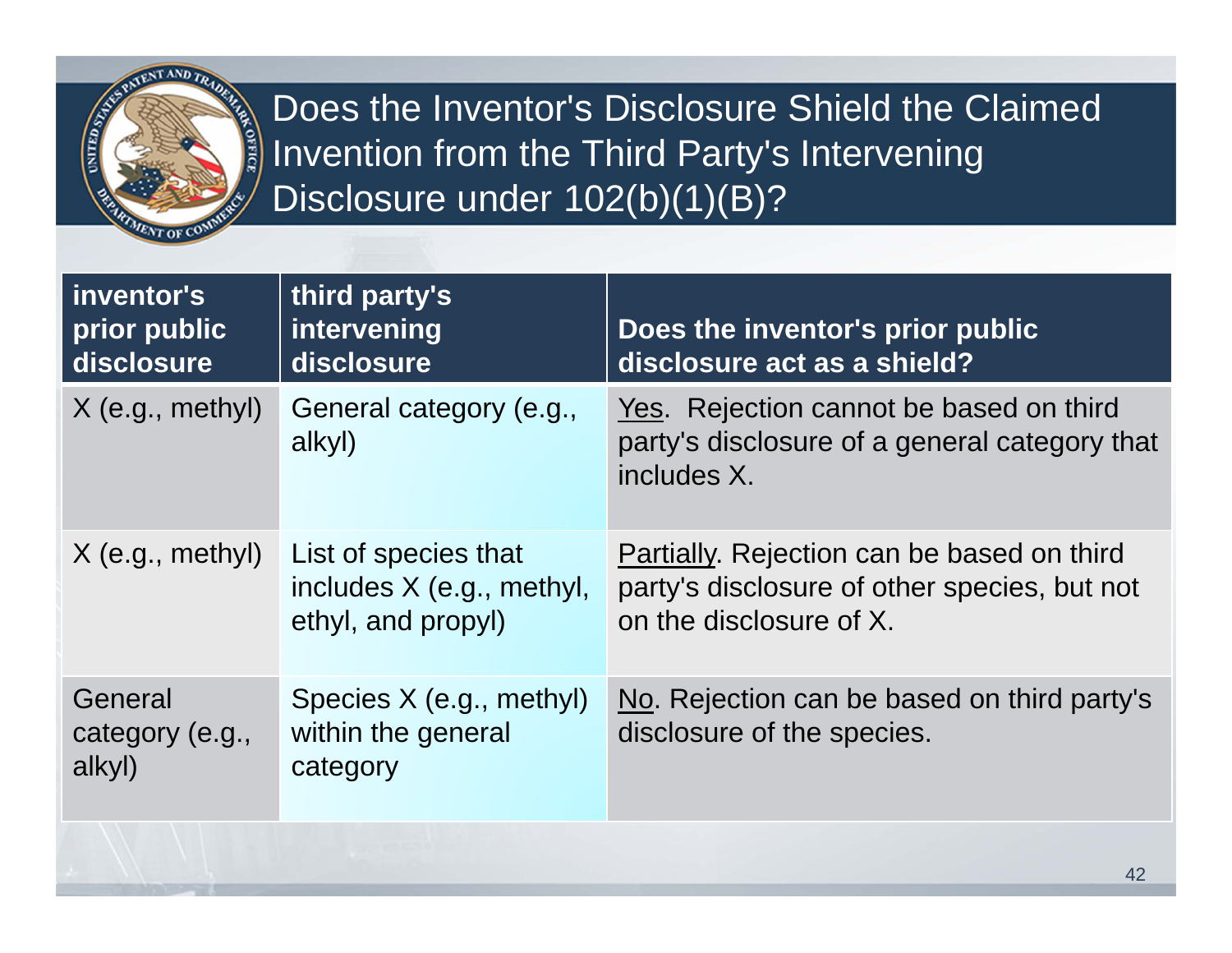

Does the Inventor's Disclosure Shield the Claimed Invention from the Third Party's Intervening Disclosure under 102(b)(1)(B)?

| inventor's<br>prior public<br>disclosure | third party's<br>intervening<br>disclosure                              | Does the inventor's prior public<br>disclosure act as a shield?                                                       |
|------------------------------------------|-------------------------------------------------------------------------|-----------------------------------------------------------------------------------------------------------------------|
| $X$ (e.g., methyl)                       | General category (e.g.,<br>alkyl)                                       | Yes. Rejection cannot be based on third<br>party's disclosure of a general category that<br>includes X.               |
| $X$ (e.g., methyl)                       | List of species that<br>includes X (e.g., methyl,<br>ethyl, and propyl) | Partially. Rejection can be based on third<br>party's disclosure of other species, but not<br>on the disclosure of X. |
| General<br>category (e.g.,<br>alkyl)     | Species X (e.g., methyl)<br>within the general<br>category              | No. Rejection can be based on third party's<br>disclosure of the species.                                             |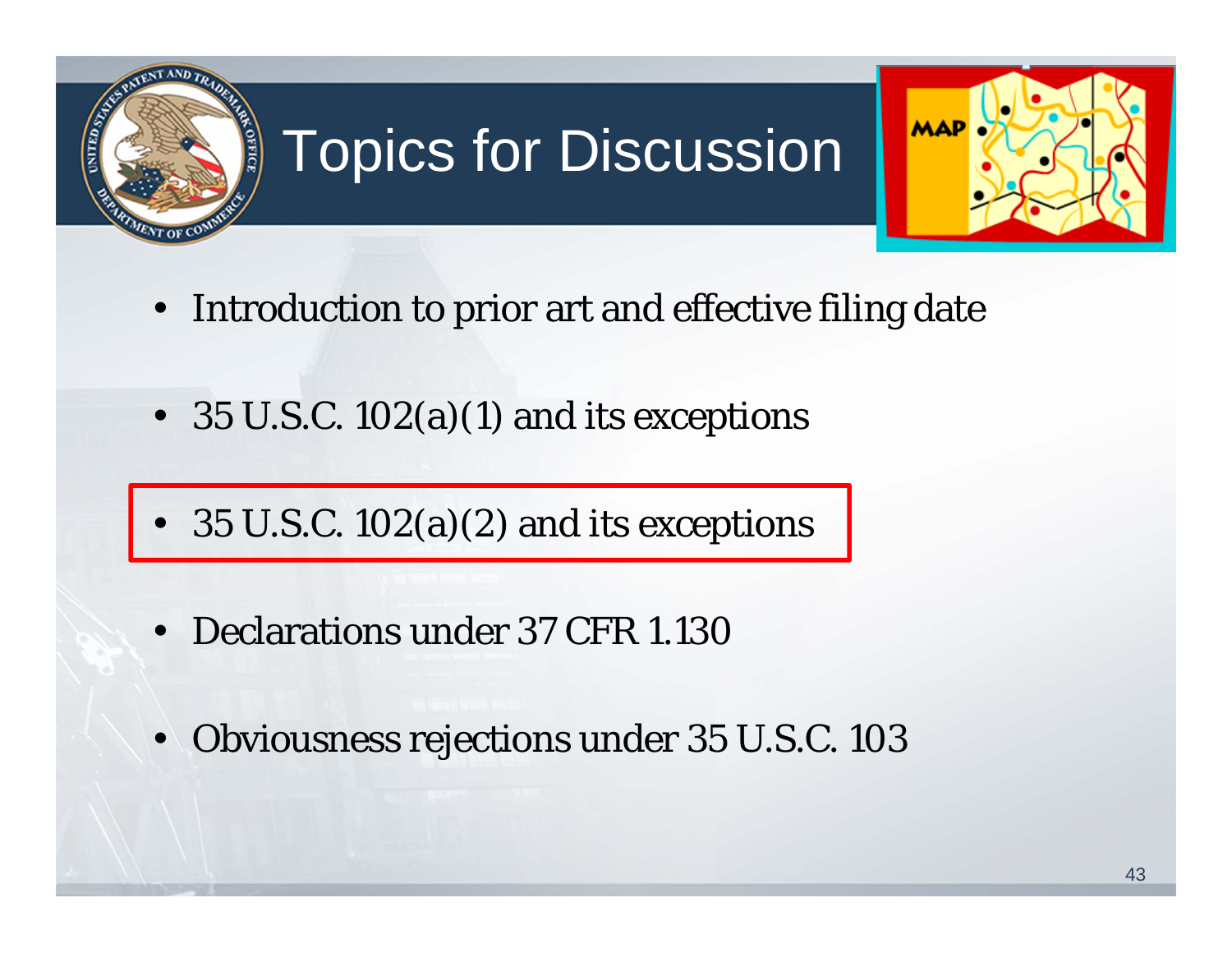

# Topics for Discussion



- Introduction to prior art and effective filing date
- 35 U.S.C. 102(a)(1) and its exceptions
- 35 U.S.C.  $102(a)(2)$  and its exceptions
- Declarations under 37 CFR 1.130
- Obviousness rejections under 35 U.S.C. 103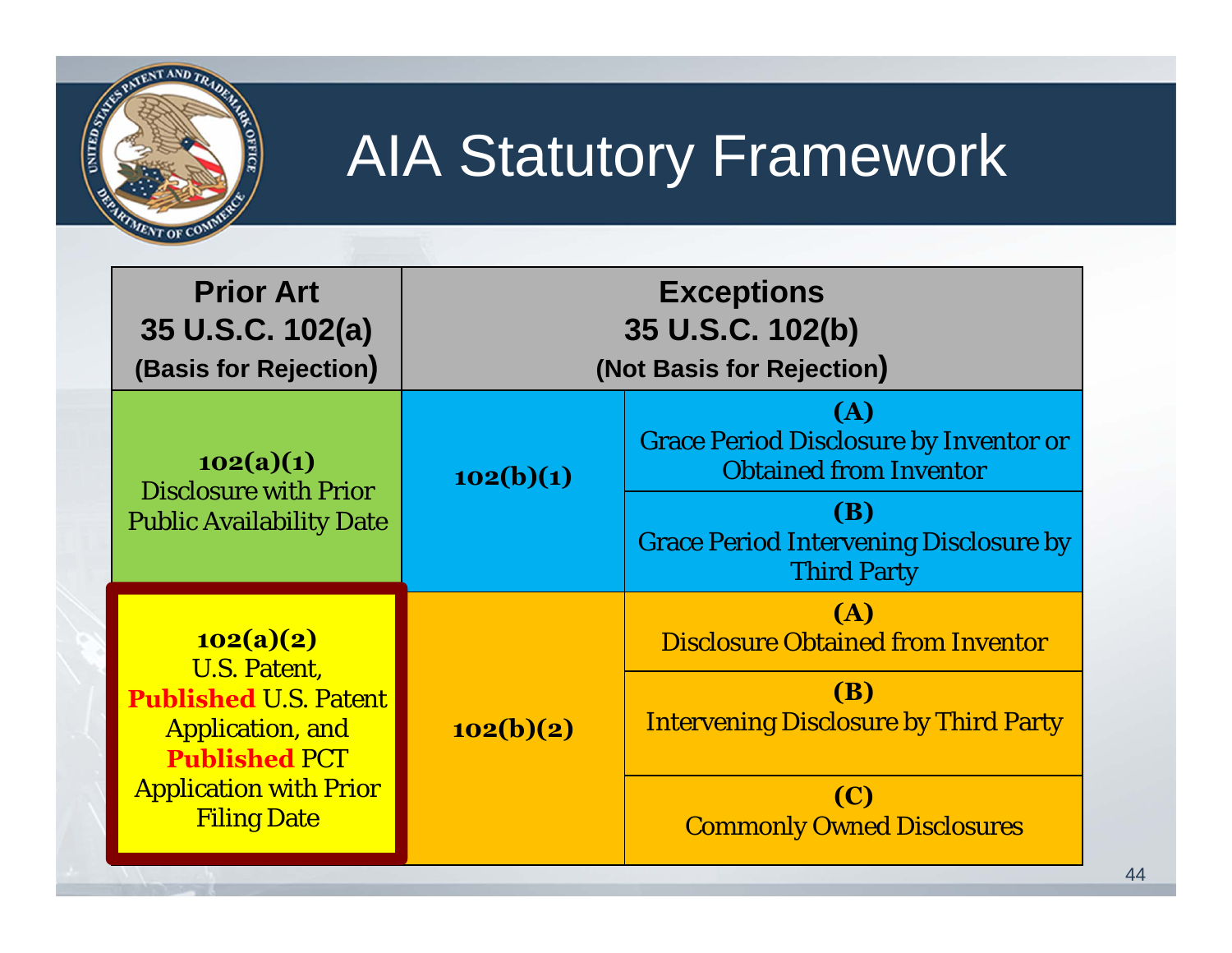

## AIA Statutory Framework

| <b>Prior Art</b><br>35 U.S.C. 102(a)<br>(Basis for Rejection)                                                       | <b>Exceptions</b><br>35 U.S.C. 102(b)<br>(Not Basis for Rejection) |                                                                                                                      |
|---------------------------------------------------------------------------------------------------------------------|--------------------------------------------------------------------|----------------------------------------------------------------------------------------------------------------------|
| 102(a)(1)<br><b>Disclosure with Prior</b>                                                                           | 102(b)(1)                                                          | (A)<br><b>Grace Period Disclosure by Inventor or</b><br><b>Obtained from Inventor</b>                                |
| <b>Public Availability Date</b>                                                                                     |                                                                    | <b>(B)</b><br><b>Grace Period Intervening Disclosure by</b><br><b>Third Party</b>                                    |
| 102(a)(2)<br><b>U.S. Patent,</b><br><b>Published U.S. Patent</b><br><b>Application, and</b><br><b>Published PCT</b> | 102(b)(2)                                                          | <b>(A)</b><br><b>Disclosure Obtained from Inventor</b><br><b>(B)</b><br><b>Intervening Disclosure by Third Party</b> |
| <b>Application with Prior</b><br><b>Filing Date</b>                                                                 |                                                                    | <b>(C)</b><br><b>Commonly Owned Disclosures</b>                                                                      |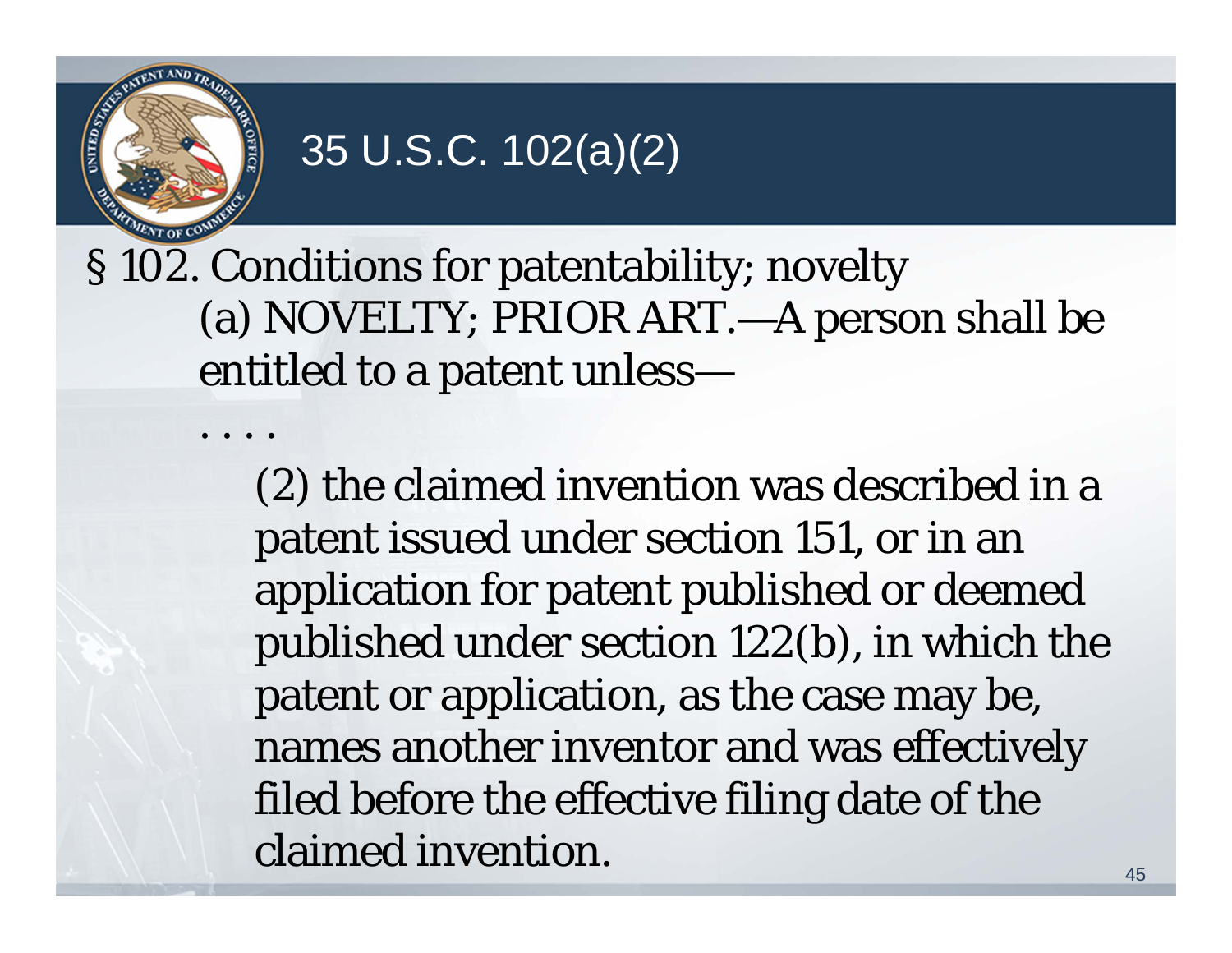

. . . .

### 35 U.S.C. 102(a)(2)

§ 102. Conditions for patentability; novelty (a) NOVELTY; PRIOR ART.—A person shall be entitled to a patent unless—

> (2) the claimed invention was described in a patent issued under section 151, or in an application for patent published or deemed published under section 122(b), in which the patent or application, as the case may be, names another inventor and was effectively filed before the effective filing date of the claimed invention.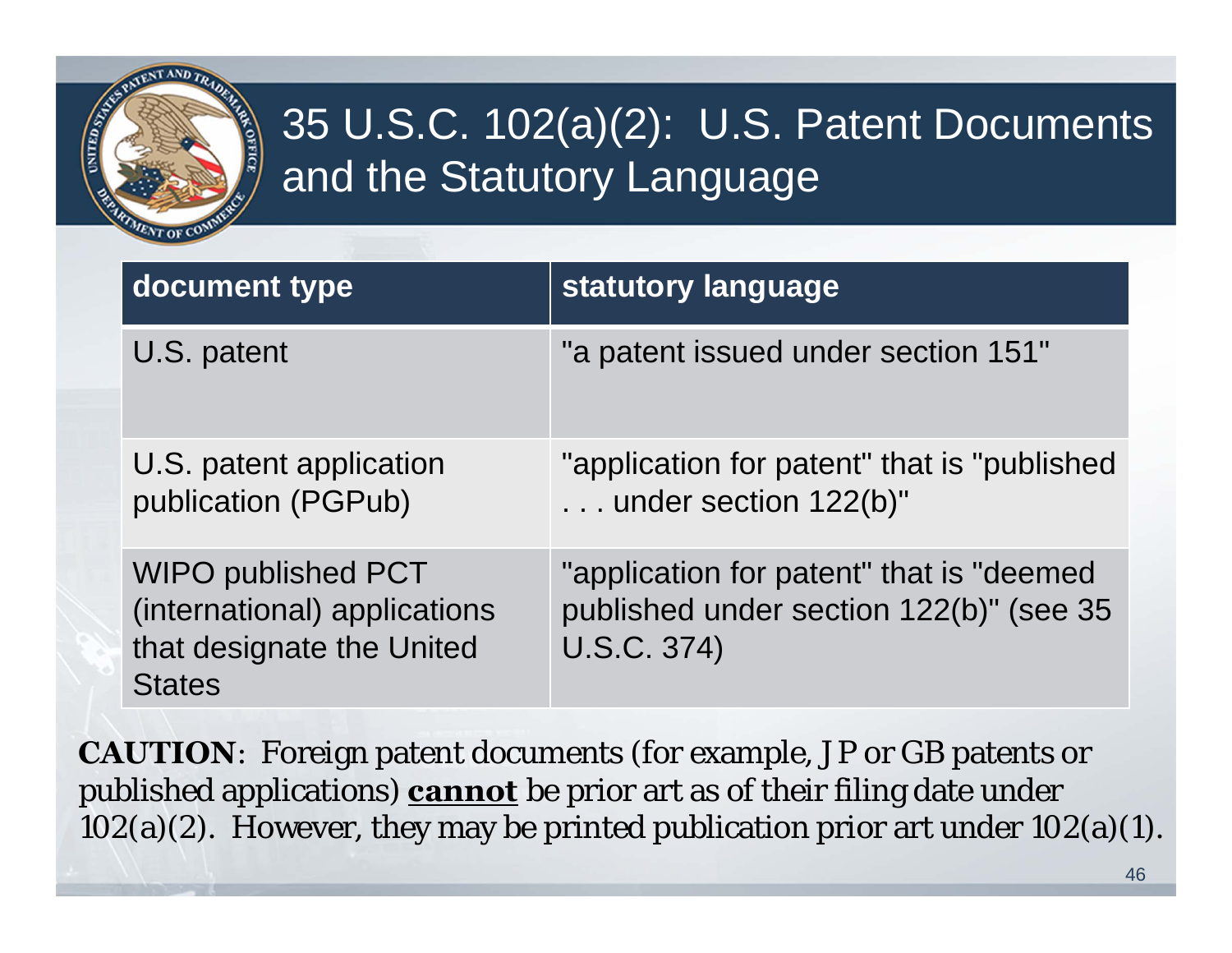

### 35 U.S.C. 102(a)(2): U.S. Patent Documents and the Statutory Language

| document type                                                                                           | statutory language                                                                                 |
|---------------------------------------------------------------------------------------------------------|----------------------------------------------------------------------------------------------------|
| U.S. patent                                                                                             | "a patent issued under section 151"                                                                |
| U.S. patent application<br>publication (PGPub)                                                          | "application for patent" that is "published<br>under section 122(b)"                               |
| <b>WIPO published PCT</b><br>(international) applications<br>that designate the United<br><b>States</b> | "application for patent" that is "deemed<br>published under section 122(b)" (see 35<br>U.S.C. 374) |

**CAUTION**: Foreign patent documents (for example, JP or GB patents or published applications) **cannot** be prior art as of their filing date under  $102(a)(2)$ . However, they may be printed publication prior art under  $102(a)(1)$ .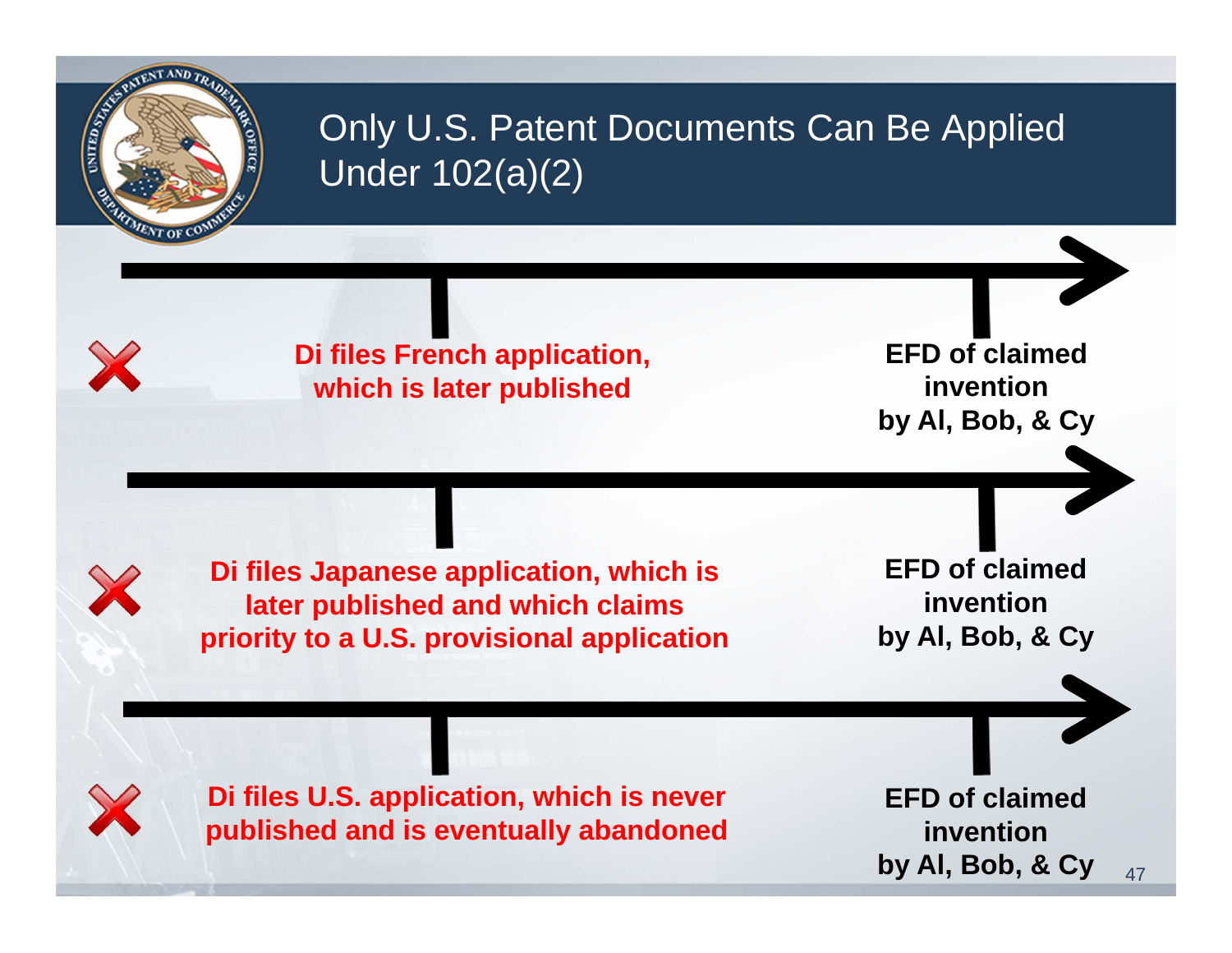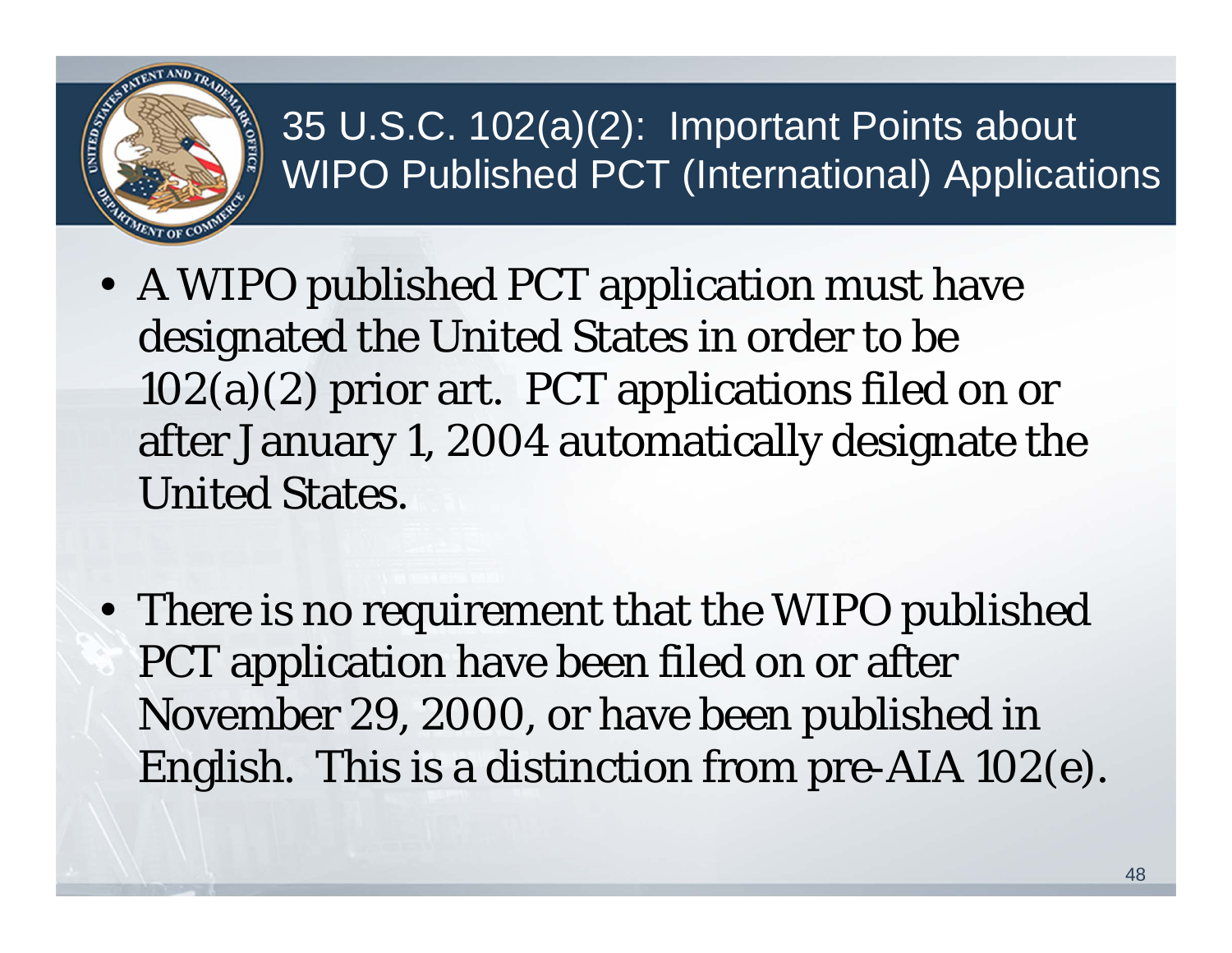

### 35 U.S.C. 102(a)(2): Important Points about WIPO Published PCT (International) Applications

- A WIPO published PCT application must have designated the United States in order to be 102(a)(2) prior art. PCT applications filed on or after January 1, 2004 automatically designate the United States.
- There is no requirement that the WIPO published PCT application have been filed on or after November 29, 2000, or have been published in English. This is a distinction from pre-AIA 102(e).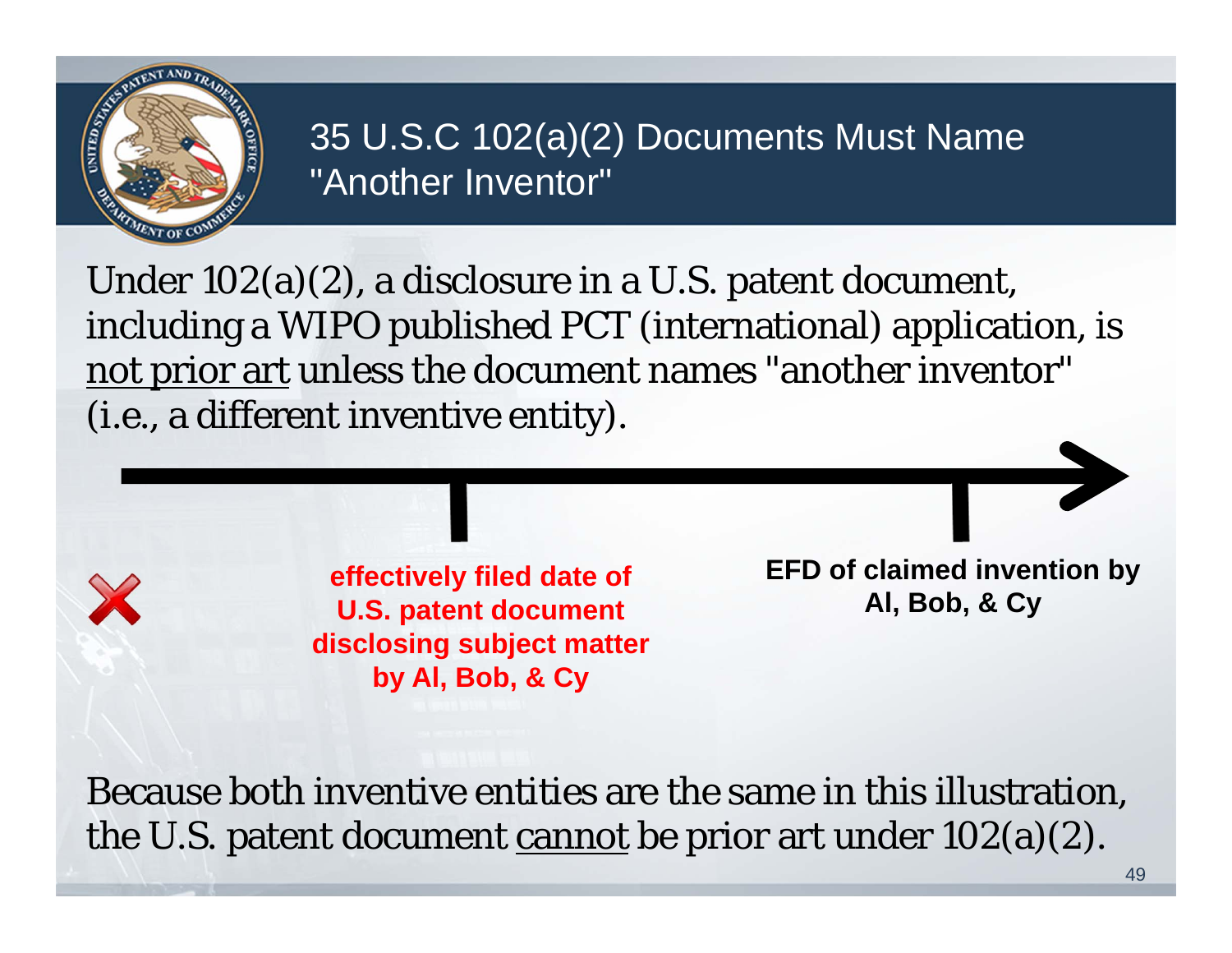

#### 35 U.S.C 102(a)(2) Documents Must Name "Another Inventor"

Under 102(a)(2), a disclosure in a U.S. patent document, including a WIPO published PCT (international) application, is not prior art unless the document names "another inventor" (i.e., a different inventive entity).

> **U.S. patent document disclosing subject matter by Al, Bob, & Cy**

**effectively filed date of EFD of claimed invention by**<br> **EFD of claimed invention by**<br> **AI, Bob, & Cv** 

Because both inventive entities are the same in this illustration, the U.S. patent document cannot be prior art under  $102(a)(2)$ .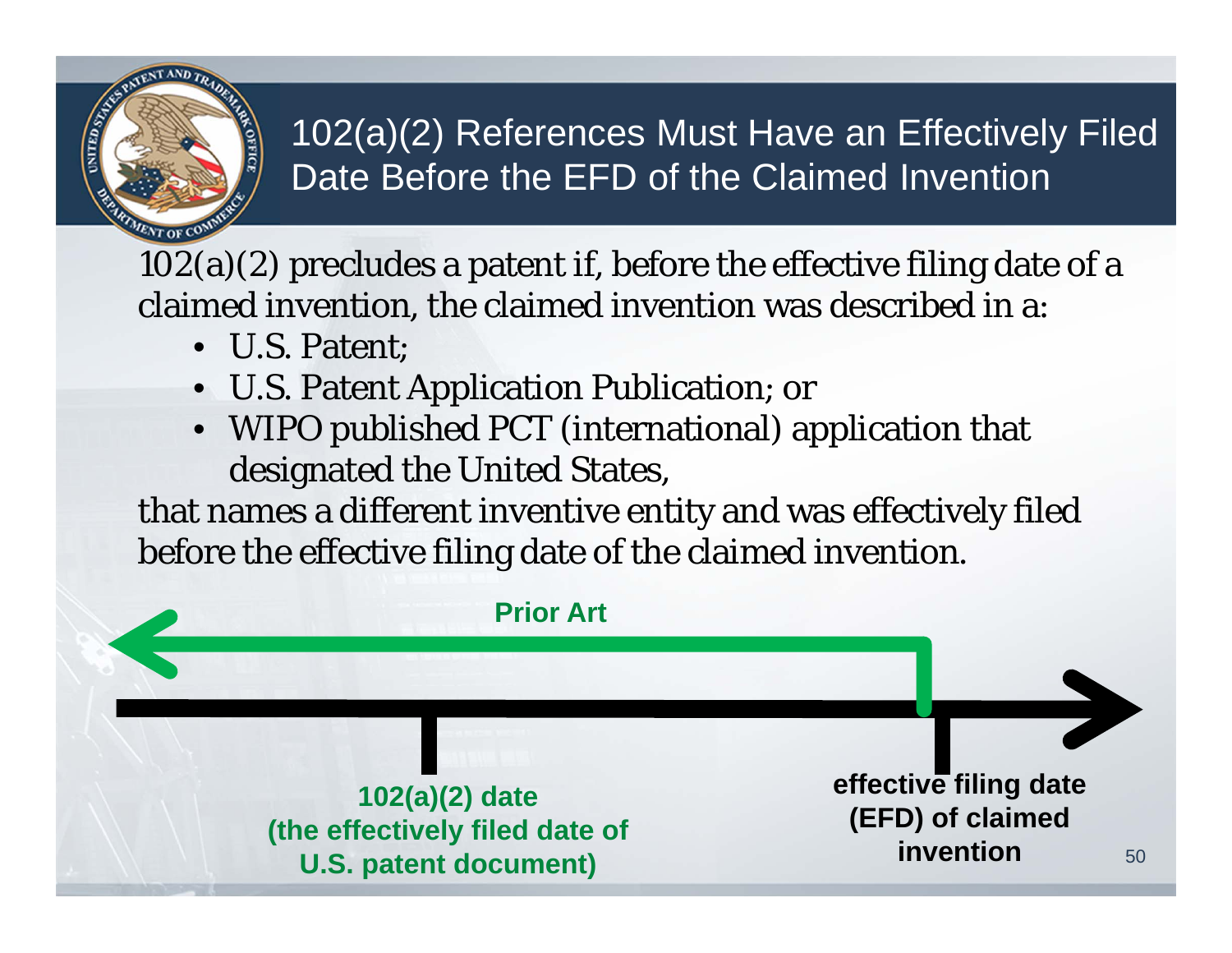

#### 102(a)(2) References Must Have an Effectively Filed Date Before the EFD of the Claimed Invention

 $102(a)(2)$  precludes a patent if, before the effective filing date of a claimed invention, the claimed invention was described in a:

- U.S. Patent;
- U.S. Patent Application Publication; or
- WIPO published PCT (international) application that designated the United States,

that names a different inventive entity and was effectively filed before the effective filing date of the claimed invention.

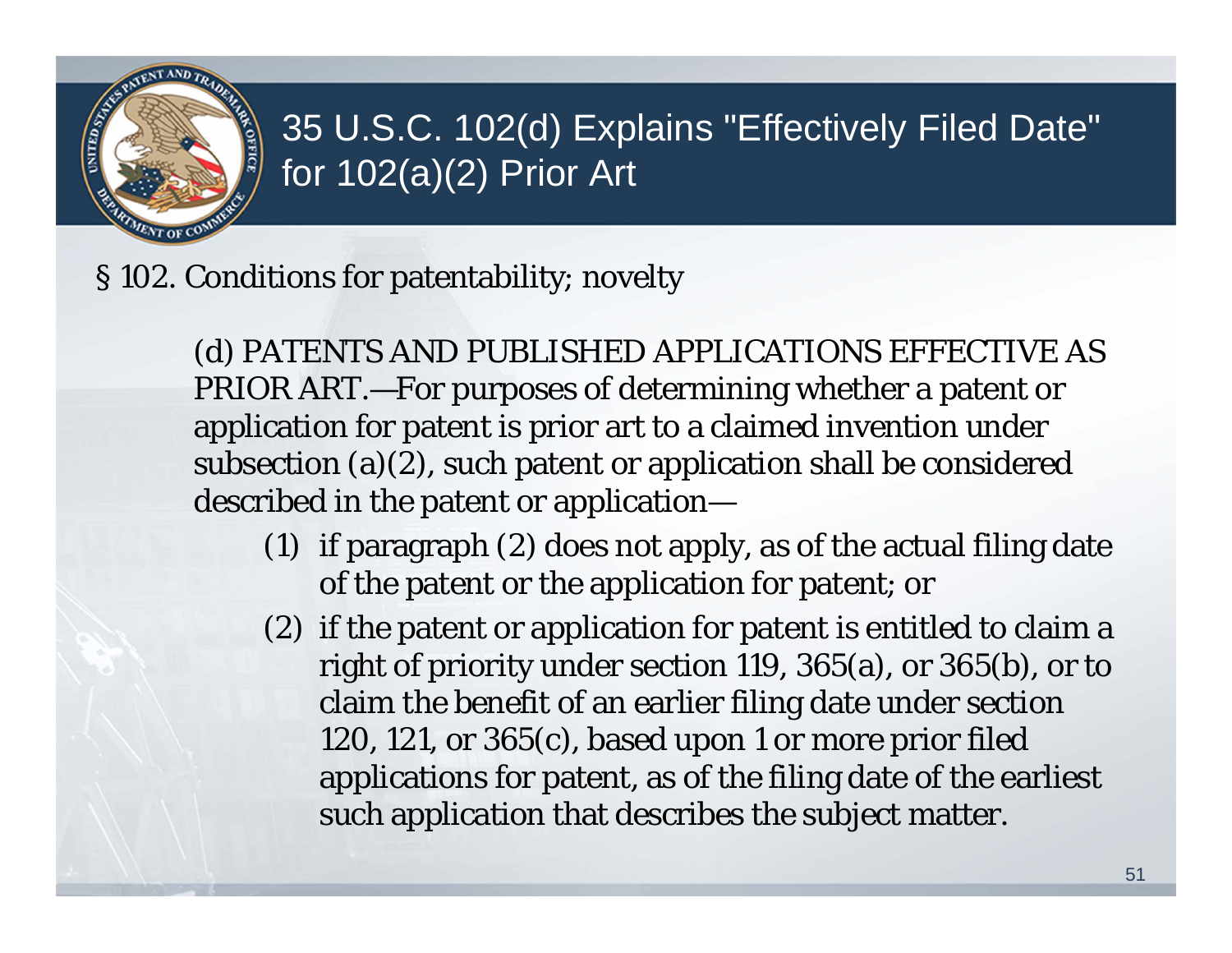

#### 35 U.S.C. 102(d) Explains "Effectively Filed Date" for 102(a)(2) Prior Art

§ 102. Conditions for patentability; novelty

(d) PATENTS AND PUBLISHED APPLICATIONS EFFECTIVE AS PRIOR ART.—For purposes of determining whether a patent or application for patent is prior art to a claimed invention under subsection (a)(2), such patent or application shall be considered described in the patent or application—

- (1) if paragraph (2) does not apply, as of the actual filing date of the patent or the application for patent; or
- (2) if the patent or application for patent is entitled to claim a right of priority under section 119, 365(a), or 365(b), or to claim the benefit of an earlier filing date under section 120, 121, or 365(c), based upon 1 or more prior filed applications for patent, as of the filing date of the earliest such application that describes the subject matter.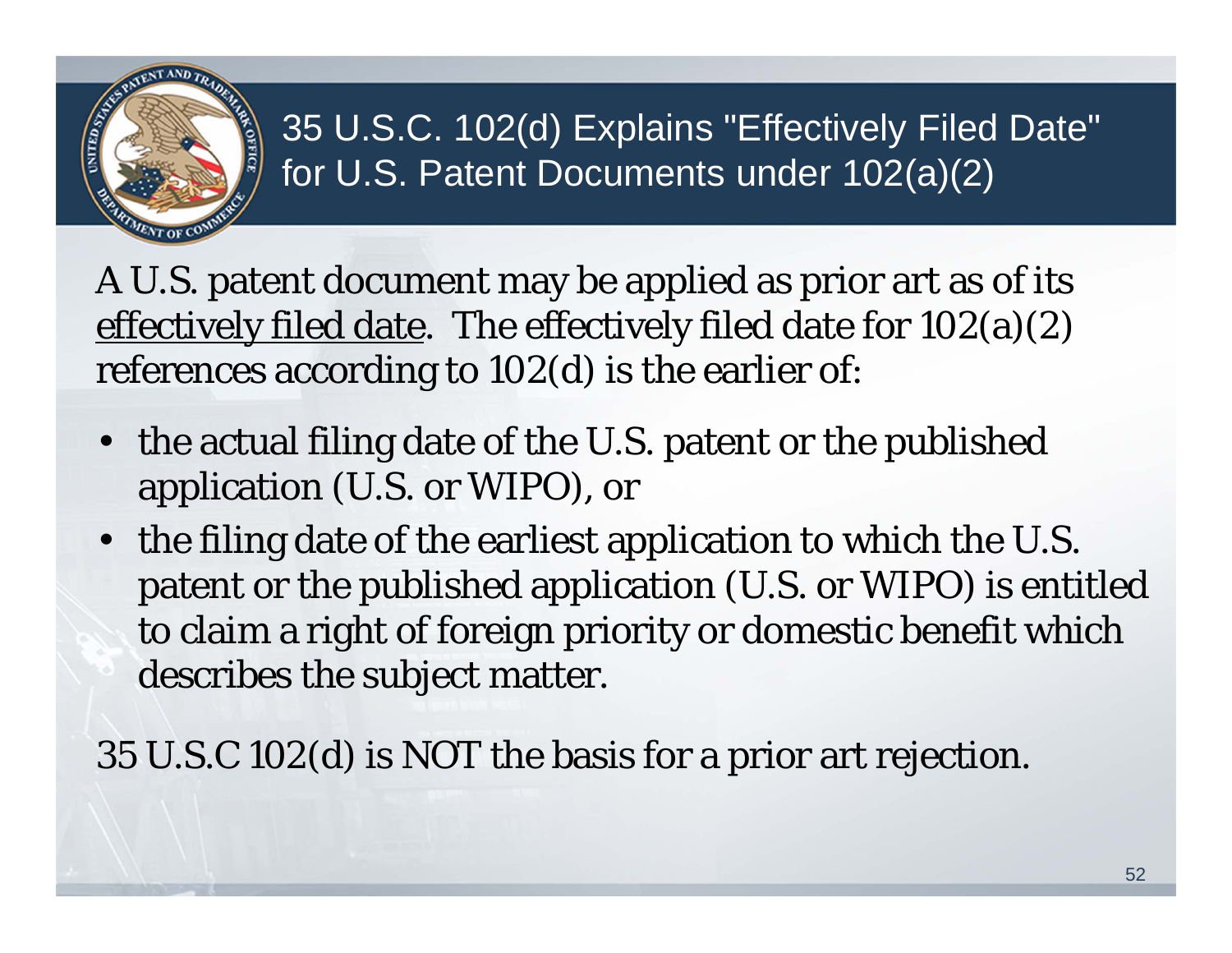

35 U.S.C. 102(d) Explains "Effectively Filed Date" for U.S. Patent Documents under 102(a)(2)

A U.S. patent document may be applied as prior art as of its effectively filed date. The effectively filed date for 102(a)(2) references according to 102(d) is the earlier of:

- • the actual filing date of the U.S. patent or the published application (U.S. or WIPO), or
- the filing date of the earliest application to which the U.S. patent or the published application (U.S. or WIPO) is entitled to claim a right of foreign priority or domestic benefit which describes the subject matter.

35 U.S.C 102(d) is NOT the basis for a prior art rejection.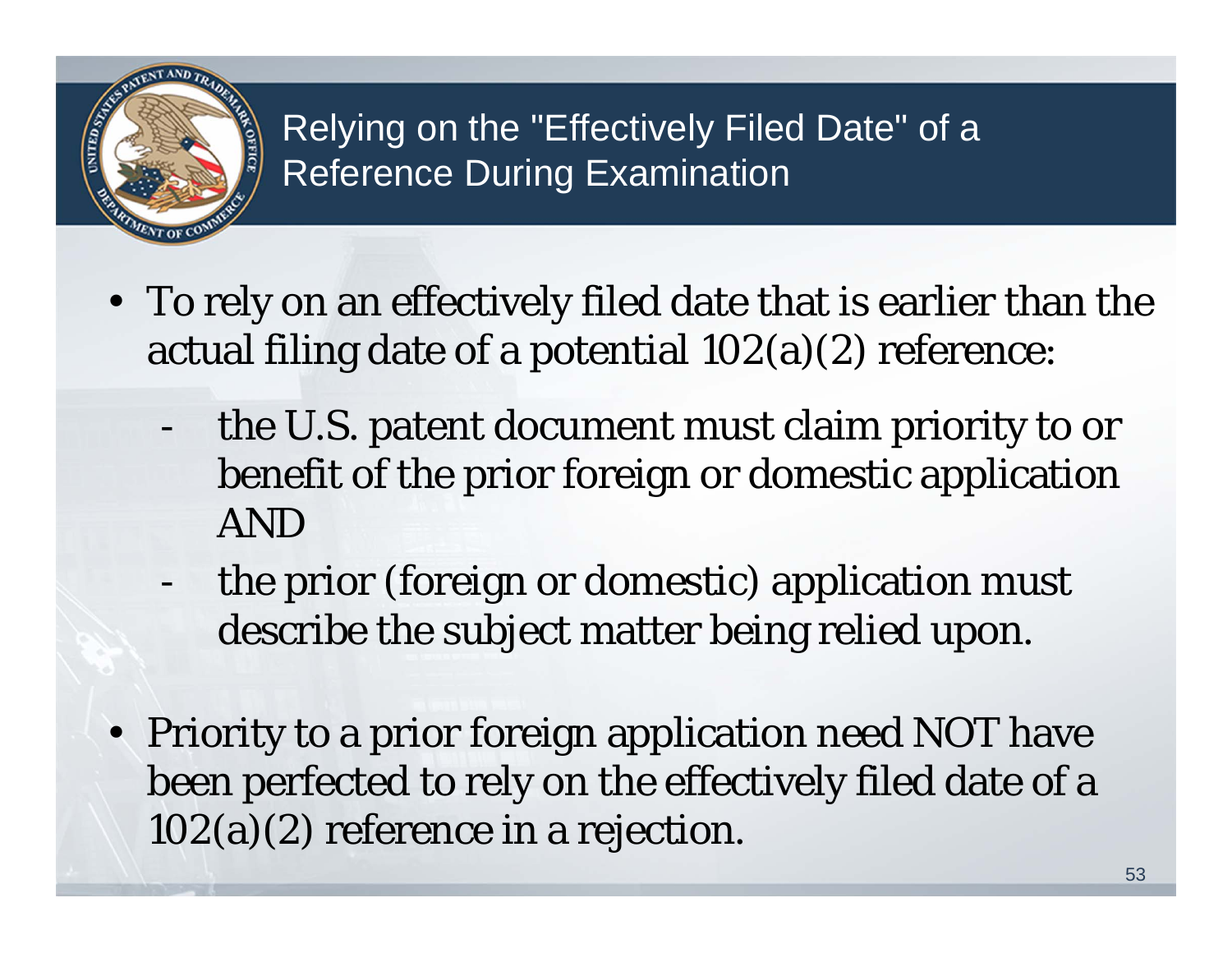

#### Relying on the "Effectively Filed Date" of a Reference During Examination

- To rely on an effectively filed date that is earlier than the actual filing date of a potential 102(a)(2) reference:
	- the U.S. patent document must claim priority to or benefit of the prior foreign or domestic application AND
	- the prior (foreign or domestic) application must describe the subject matter being relied upon.
- Priority to a prior foreign application need NOT have been perfected to rely on the effectively filed date of a 102(a)(2) reference in a rejection.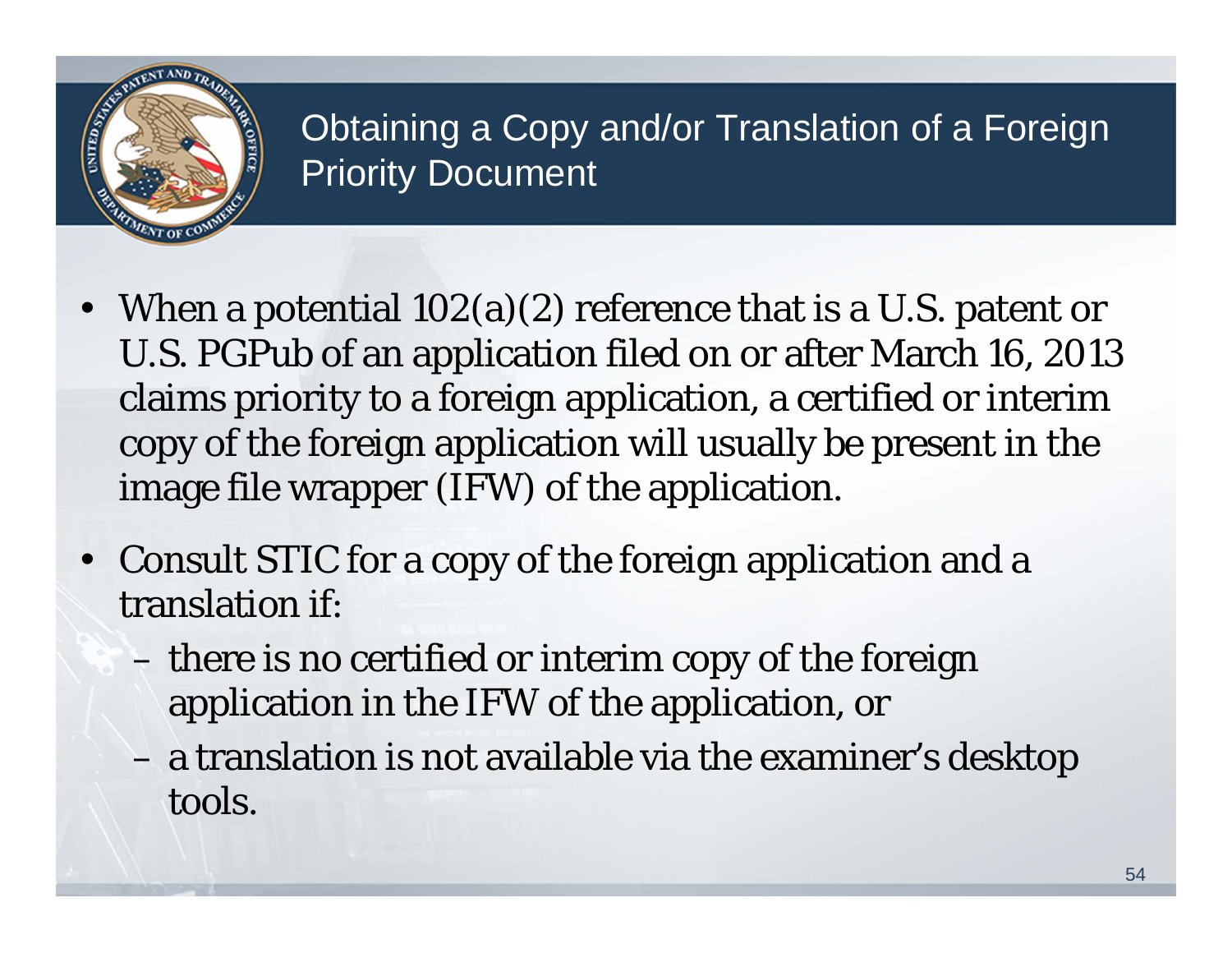

#### Obtaining a Copy and/or Translation of a Foreign Priority Document

- When a potential 102(a)(2) reference that is a U.S. patent or U.S. PGPub of an application filed on or after March 16, 2013 claims priority to a foreign application, a certified or interim copy of the foreign application will usually be present in the image file wrapper (IFW) of the application.
- Consult STIC for a copy of the foreign application and a translation if:
	- there is no certified or interim copy of the foreign application in the IFW of the application, or
	- a translation is not available via the examiner's desktop tools.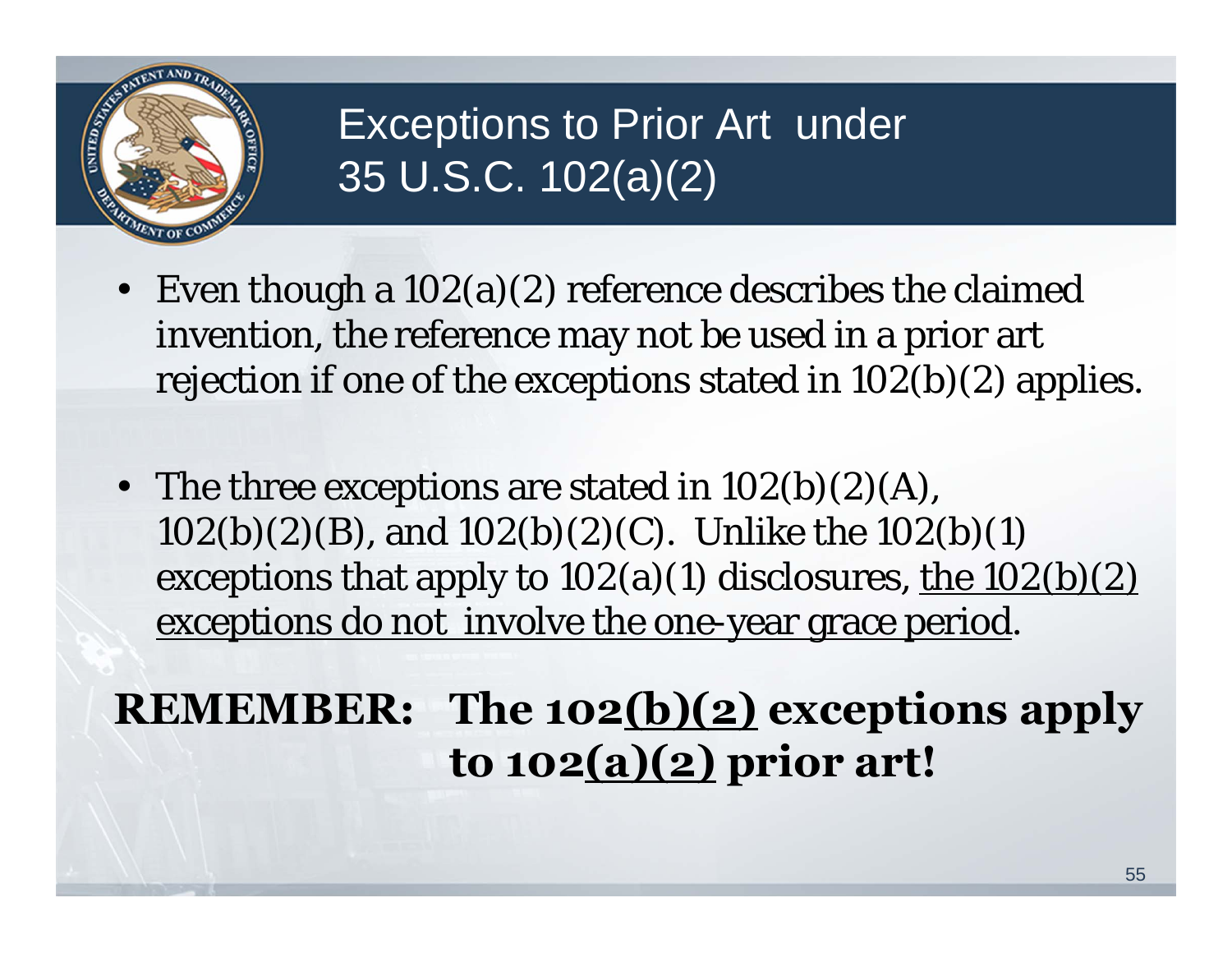

### Exceptions to Prior Art under 35 U.S.C. 102(a)(2)

- Even though a 102(a)(2) reference describes the claimed invention, the reference may not be used in a prior art rejection if one of the exceptions stated in 102(b)(2) applies.
- The three exceptions are stated in  $102(b)(2)(A)$ , 102(b)(2)(B), and 102(b)(2)(C). Unlike the 102(b)(1) exceptions that apply to  $102(a)(1)$  disclosures, the  $102(b)(2)$ exceptions do not involve the one-year grace period.

### **REMEMBER: The 102(b)(2) exceptions apply to 102(a)(2) prior art!**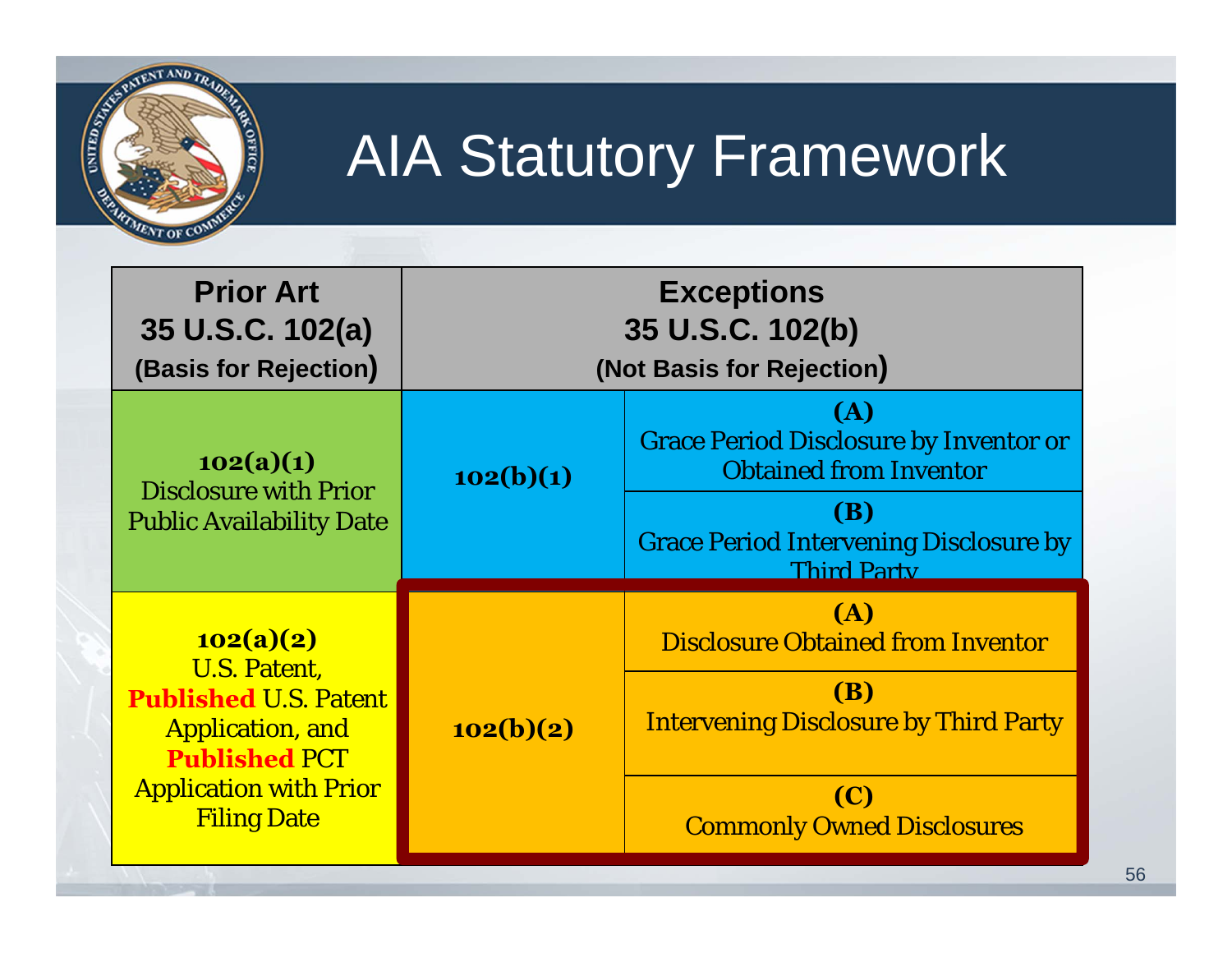

## AIA Statutory Framework

| <b>Prior Art</b><br>35 U.S.C. 102(a)<br>(Basis for Rejection)                                                                                                              | <b>Exceptions</b><br>35 U.S.C. 102(b)<br>(Not Basis for Rejection) |                                                                                                                                                                            |
|----------------------------------------------------------------------------------------------------------------------------------------------------------------------------|--------------------------------------------------------------------|----------------------------------------------------------------------------------------------------------------------------------------------------------------------------|
| 102(a)(1)<br><b>Disclosure with Prior</b><br><b>Public Availability Date</b>                                                                                               | 102(b)(1)                                                          | (A)<br><b>Grace Period Disclosure by Inventor or</b><br><b>Obtained from Inventor</b><br><b>(B)</b><br><b>Grace Period Intervening Disclosure by</b><br><b>Third Party</b> |
| 102(a)(2)<br><b>U.S. Patent,</b><br><b>Published U.S. Patent</b><br><b>Application, and</b><br><b>Published PCT</b><br><b>Application with Prior</b><br><b>Filing Date</b> | 102(b)(2)                                                          | <b>(A)</b><br><b>Disclosure Obtained from Inventor</b><br><b>(B)</b><br><b>Intervening Disclosure by Third Party</b><br>(C)<br><b>Commonly Owned Disclosures</b>           |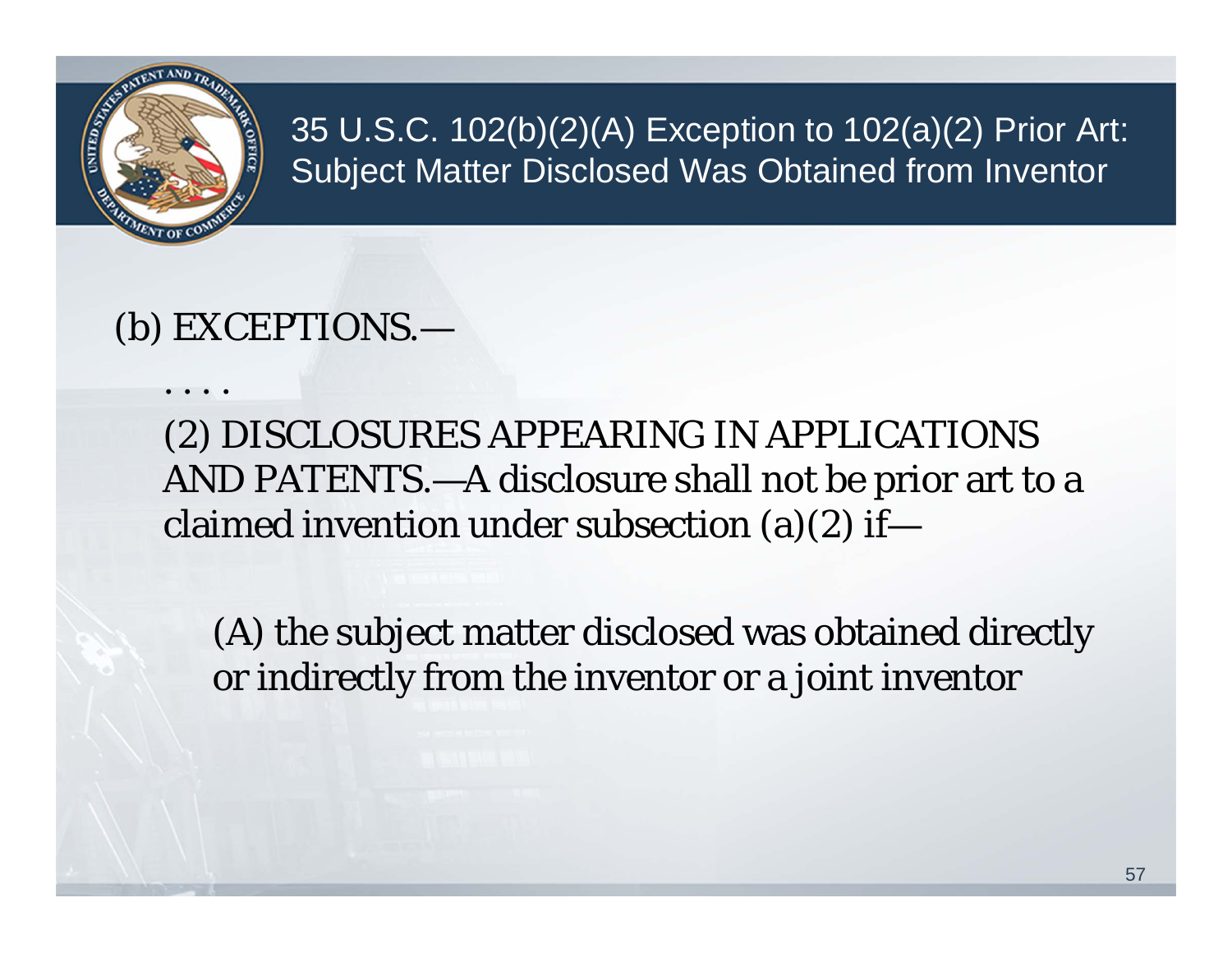

. . . .

35 U.S.C. 102(b)(2)(A) Exception to 102(a)(2) Prior Art: Subject Matter Disclosed Was Obtained from Inventor

#### (b) EXCEPTIONS.—

(2) DISCLOSURES APPEARING IN APPLICATIONS AND PATENTS.—A disclosure shall not be prior art to a claimed invention under subsection (a)(2) if—

(A) the subject matter disclosed was obtained directly or indirectly from the inventor or a joint inventor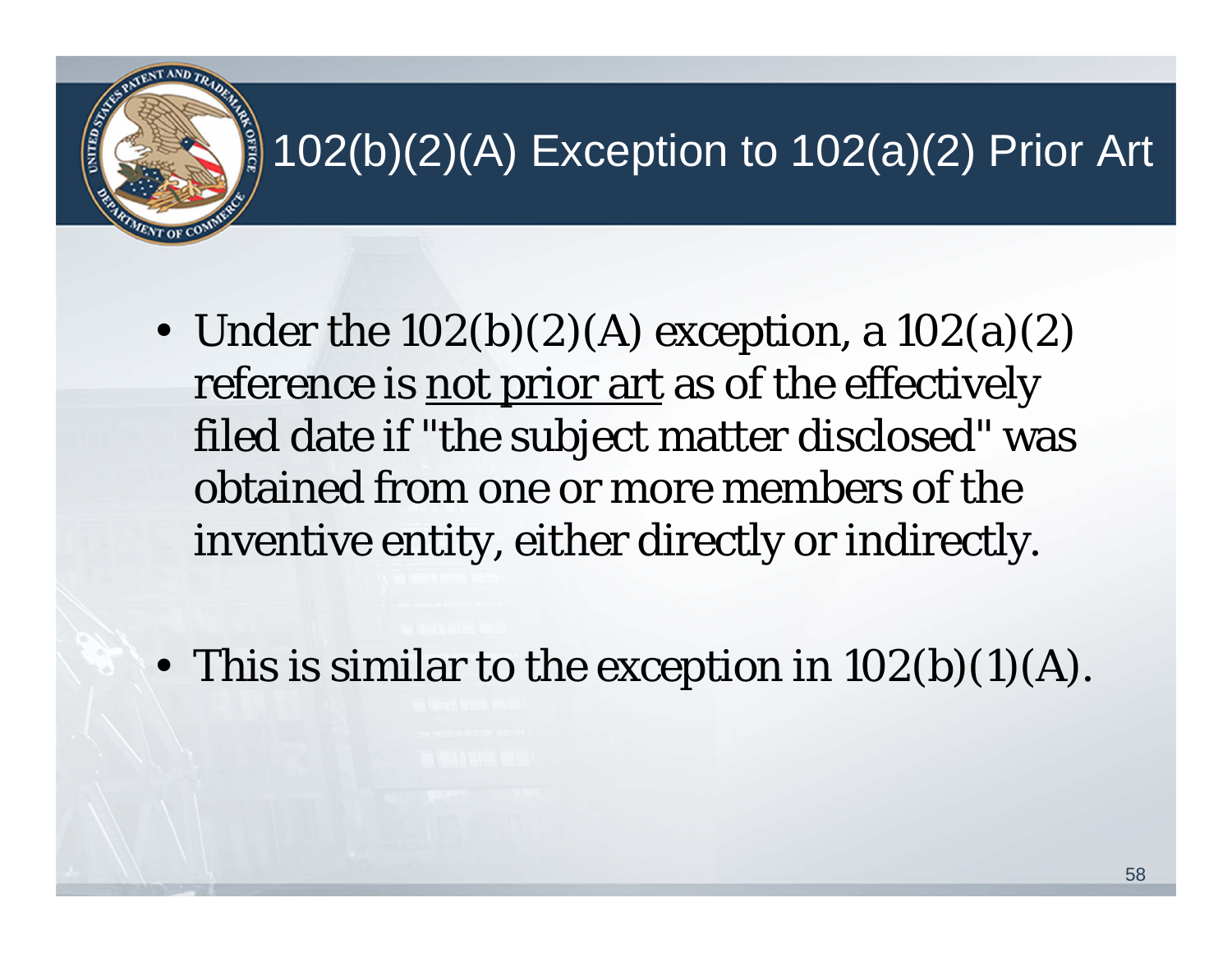### 102(b)(2)(A) Exception to 102(a)(2) Prior Art

• Under the  $102(b)(2)(A)$  exception, a  $102(a)(2)$ reference is not prior art as of the effectively filed date if "the subject matter disclosed" was obtained from one or more members of the inventive entity, either directly or indirectly.

**OFFIC** 

• This is similar to the exception in  $102(b)(1)(A)$ .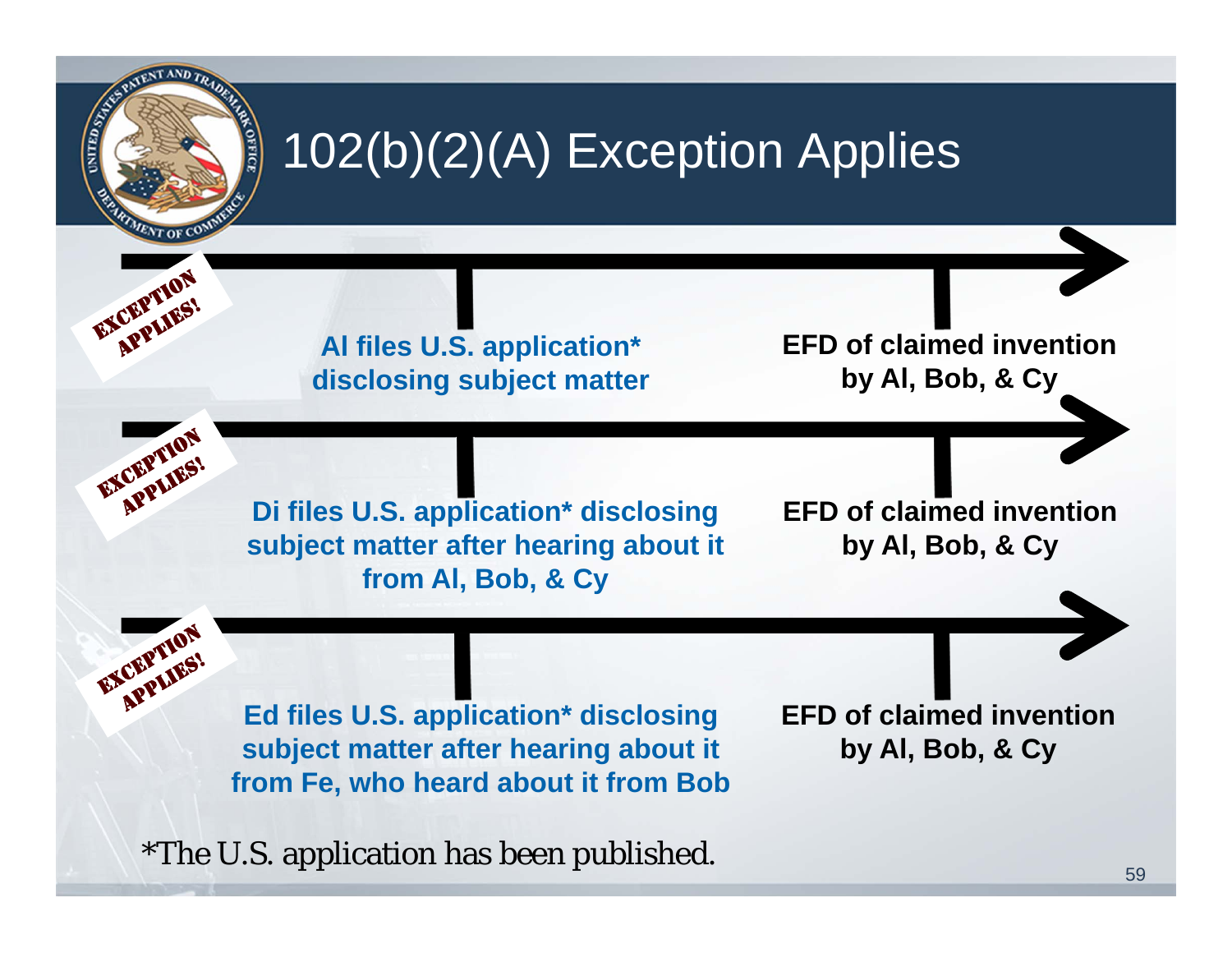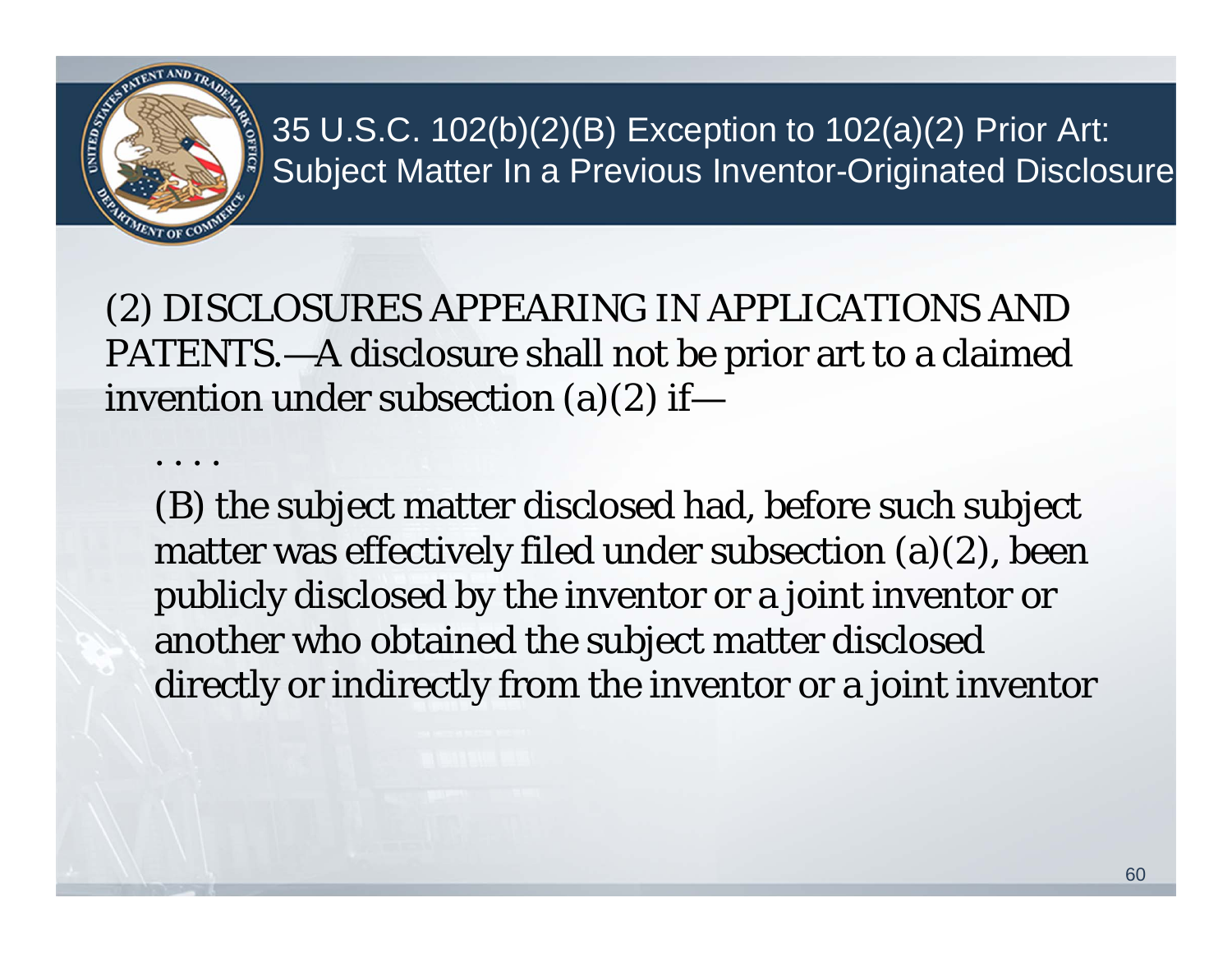

. . . .

#### 35 U.S.C. 102(b)(2)(B) Exception to 102(a)(2) Prior Art: Subject Matter In a Previous Inventor-Originated Disclosure

(2) DISCLOSURES APPEARING IN APPLICATIONS AND PATENTS.—A disclosure shall not be prior art to a claimed invention under subsection (a)(2) if—

(B) the subject matter disclosed had, before such subject matter was effectively filed under subsection (a)(2), been publicly disclosed by the inventor or a joint inventor or another who obtained the subject matter disclosed directly or indirectly from the inventor or a joint inventor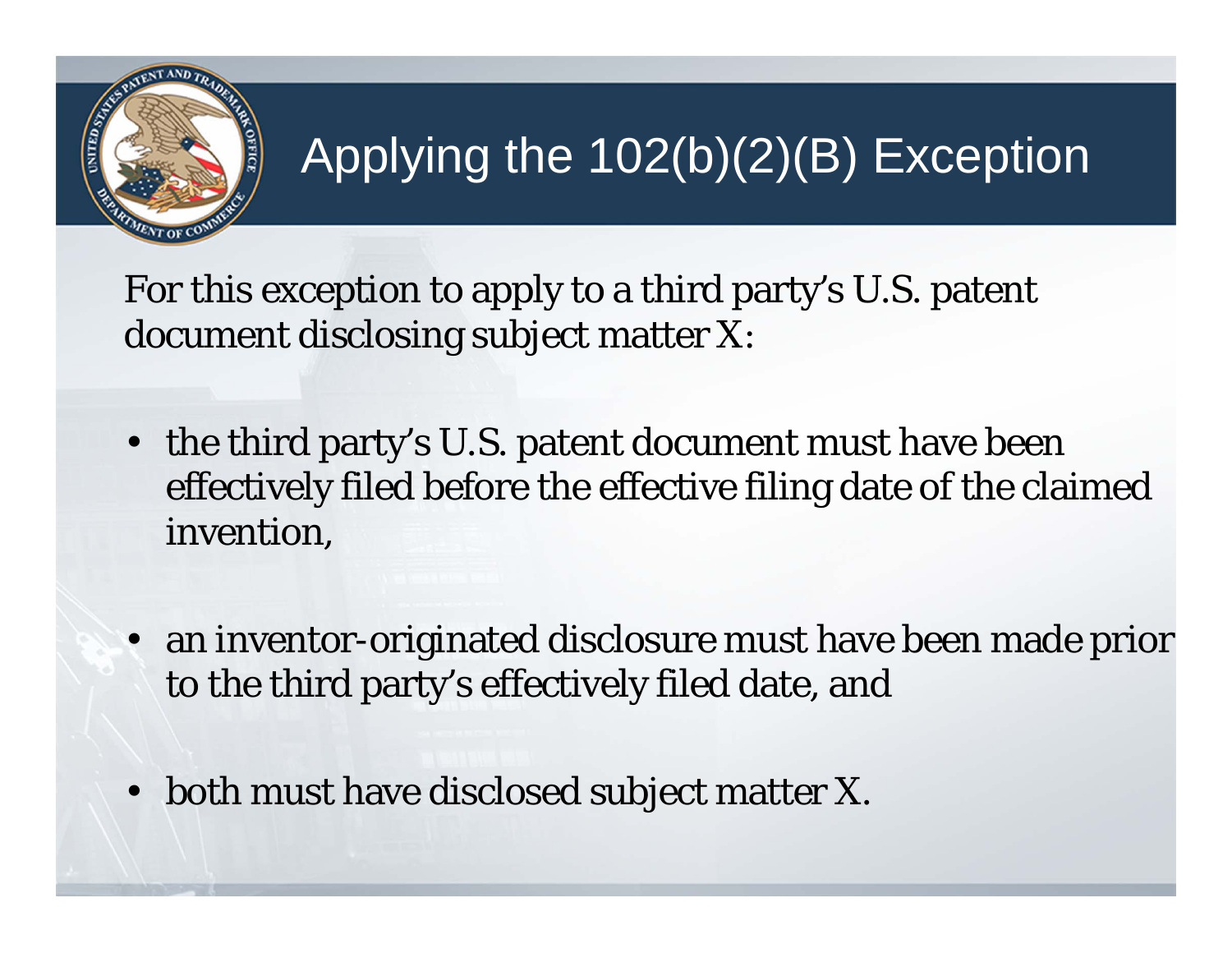

## Applying the 102(b)(2)(B) Exception

For this exception to apply to a third party's U.S. patent document disclosing subject matter X:

- the third party's U.S. patent document must have been effectively filed before the effective filing date of the claimed invention,
- an inventor-originated disclosure must have been made prior to the third party's effectively filed date, and
- •both must have disclosed subject matter X.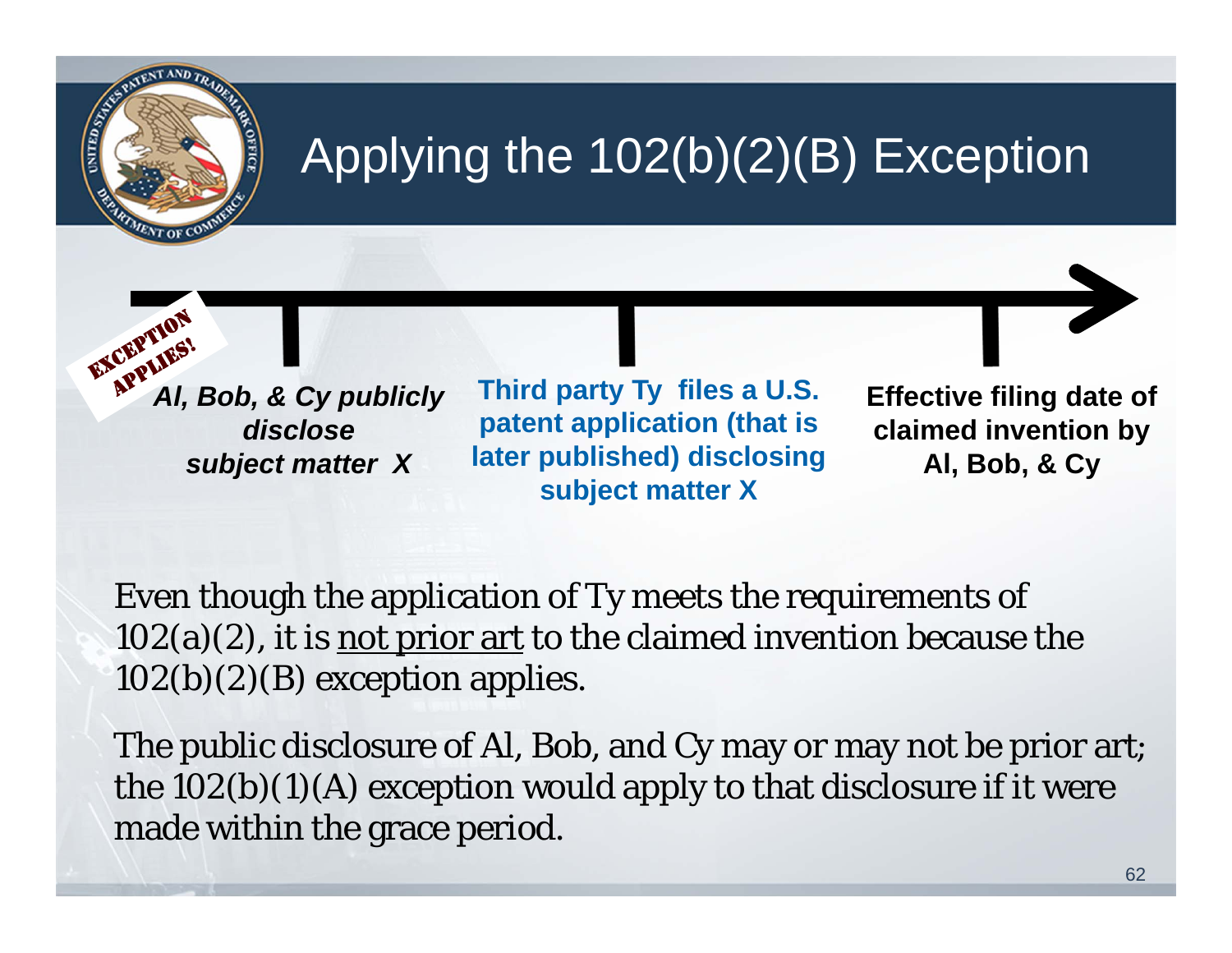## Applying the 102(b)(2)(B) Exception

EXCEPTY **All, Bob, & Cy publicly** *disclose subject matter X* 

**Third party Ty files a U.S. patent application (that is later published) disclosing subject matter X** 

**Effective filing date of claimed invention by Al, Bob, & Cy** 

Even though the application of Ty meets the requirements of  $102(a)(2)$ , it is not prior art to the claimed invention because the  $102(b)(2)(B)$  exception applies.

The public disclosure of Al, Bob, and Cy may or may not be prior art; the  $102(b)(1)(A)$  exception would apply to that disclosure if it were made within the grace period.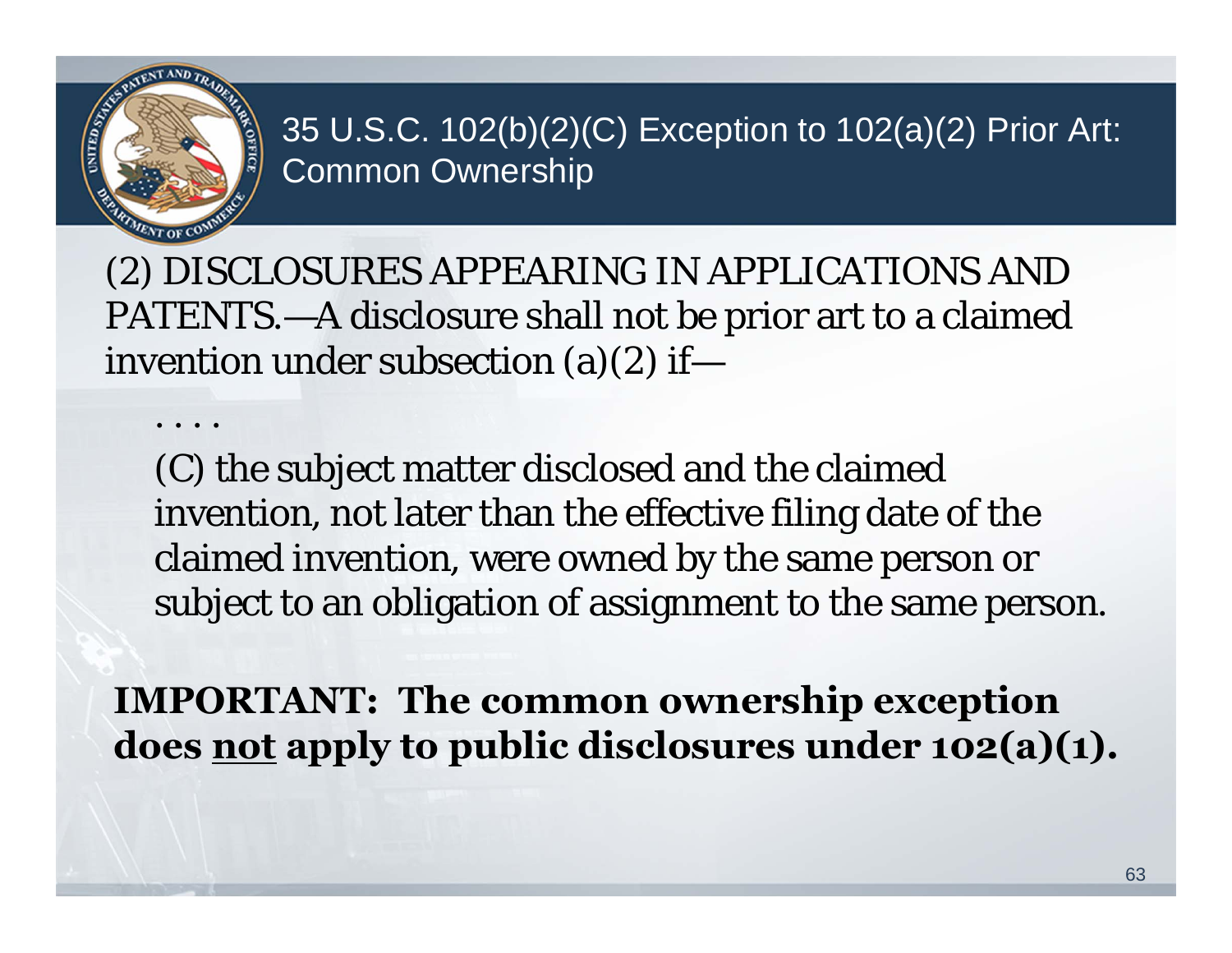

. . . .

35 U.S.C. 102(b)(2)(C) Exception to 102(a)(2) Prior Art: Common Ownership

(2) DISCLOSURES APPEARING IN APPLICATIONS AND PATENTS.—A disclosure shall not be prior art to a claimed invention under subsection (a)(2) if—

(C) the subject matter disclosed and the claimed invention, not later than the effective filing date of the claimed invention, were owned by the same person or subject to an obligation of assignment to the same person.

**IMPORTANT: The common ownership exception does not apply to public disclosures under 102(a)(1).**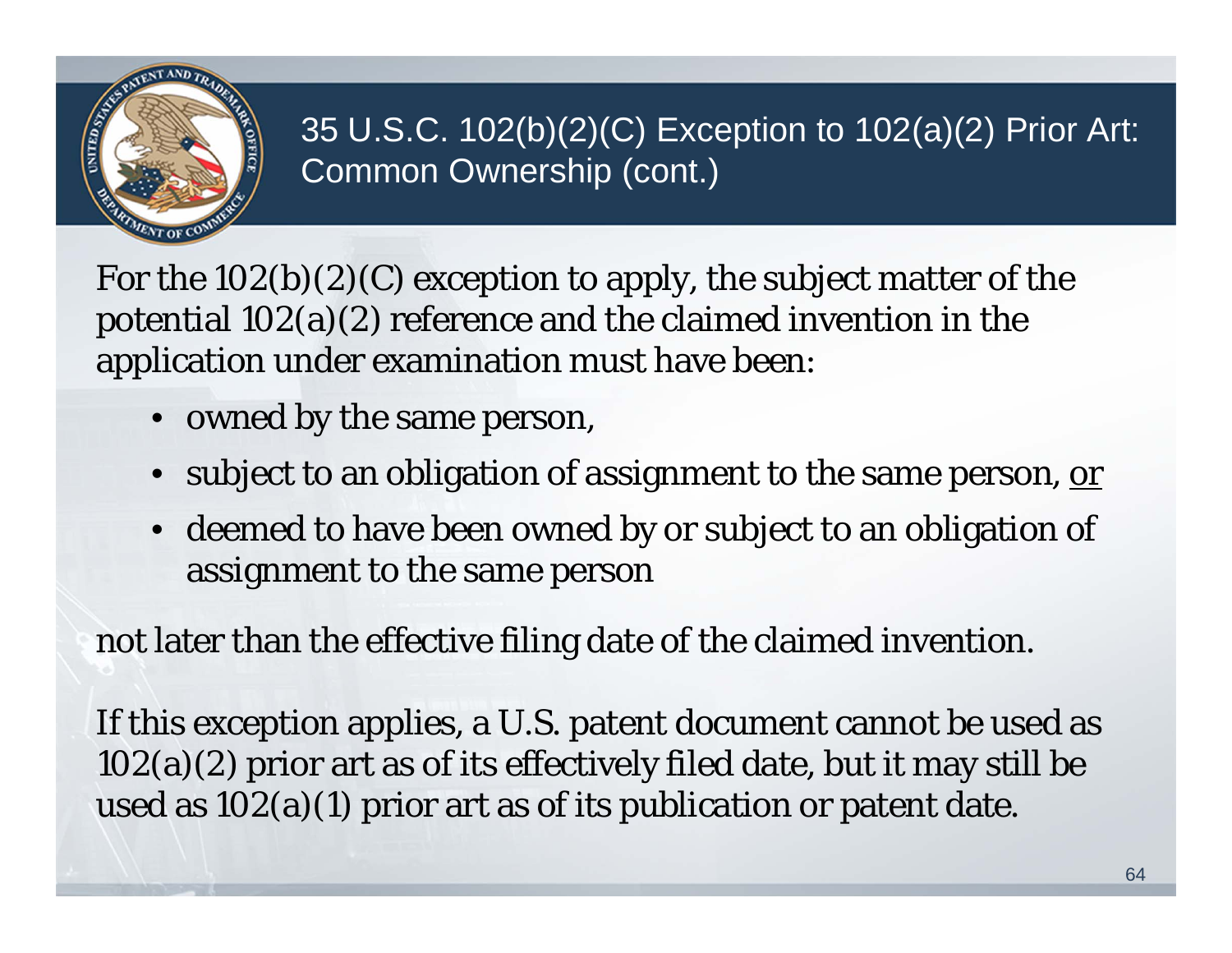

#### 35 U.S.C. 102(b)(2)(C) Exception to 102(a)(2) Prior Art: Common Ownership (cont.)

For the  $102(b)(2)(C)$  exception to apply, the subject matter of the potential 102(a)(2) reference and the claimed invention in the application under examination must have been:

- owned by the same person,
- $\bullet~$  subject to an obligation of assignment to the same person, <u>or</u>
- deemed to have been owned by or subject to an obligation of assignment to the same person

not later than the effective filing date of the claimed invention.

If this exception applies, a U.S. patent document cannot be used as 102(a)(2) prior art as of its effectively filed date, but it may still be used as 102(a)(1) prior art as of its publication or patent date.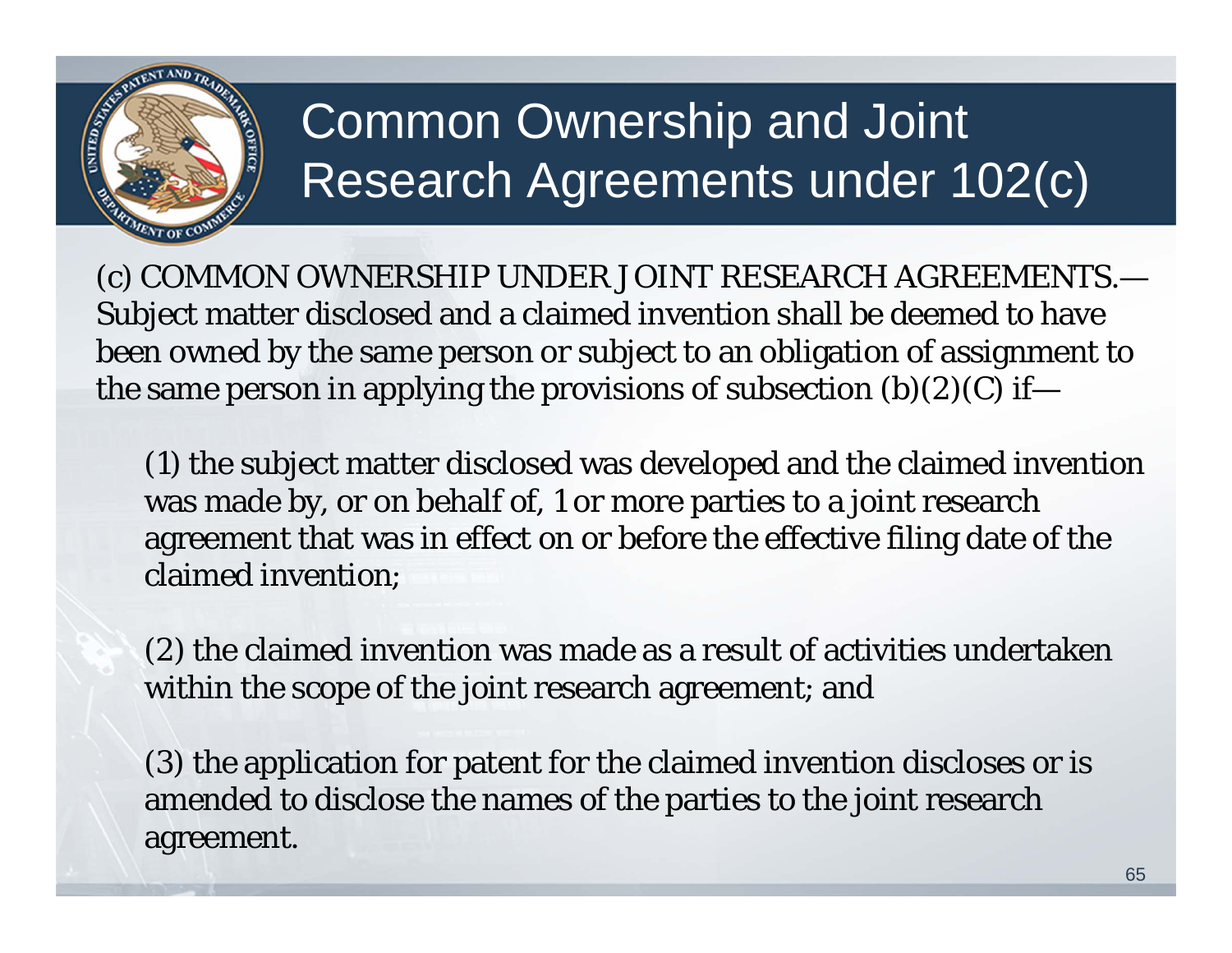

## Common Ownership and Joint Research Agreements under 102(c)

(c) COMMON OWNERSHIP UNDER JOINT RESEARCH AGREEMENTS.— Subject matter disclosed and a claimed invention shall be deemed to have been owned by the same person or subject to an obligation of assignment to the same person in applying the provisions of subsection  $(b)(2)(C)$  if—

(1) the subject matter disclosed was developed and the claimed invention was made by, or on behalf of, 1 or more parties to a joint research agreement that was in effect on or before the effective filing date of the claimed invention;

(2) the claimed invention was made as a result of activities undertaken within the scope of the joint research agreement; and

(3) the application for patent for the claimed invention discloses or is amended to disclose the names of the parties to the joint research agreement.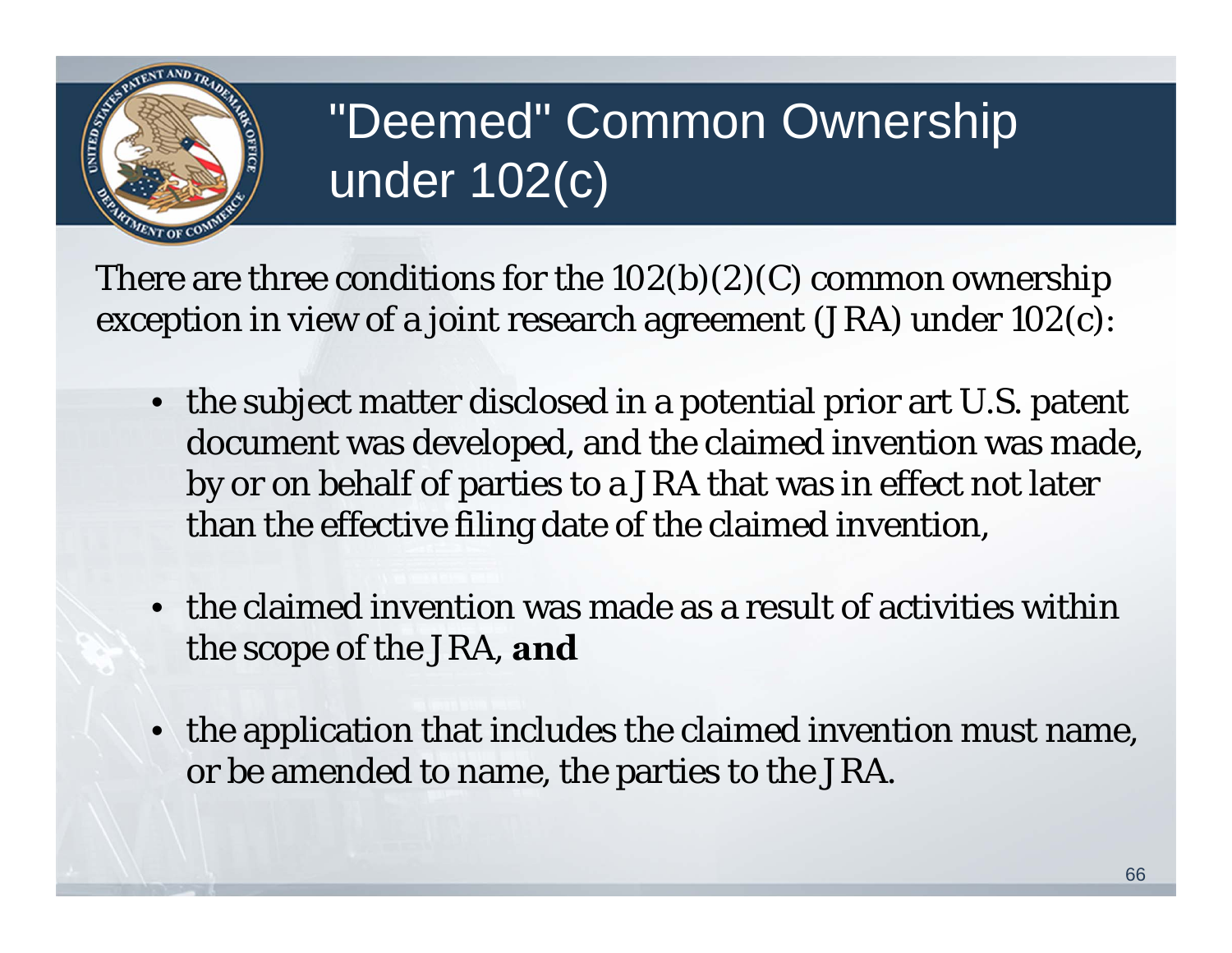

## "Deemed" Common Ownership under 102(c)

There are three conditions for the  $102(b)(2)(C)$  common ownership exception in view of a joint research agreement (JRA) under 102(c):

- the subject matter disclosed in a potential prior art U.S. patent document was developed, and the claimed invention was made, by or on behalf of parties to a JRA that was in effect not later than the effective filing date of the claimed invention,
- the claimed invention was made as a result of activities within the scope of the JRA, **and**
- the application that includes the claimed invention must name, or be amended to name, the parties to the JRA.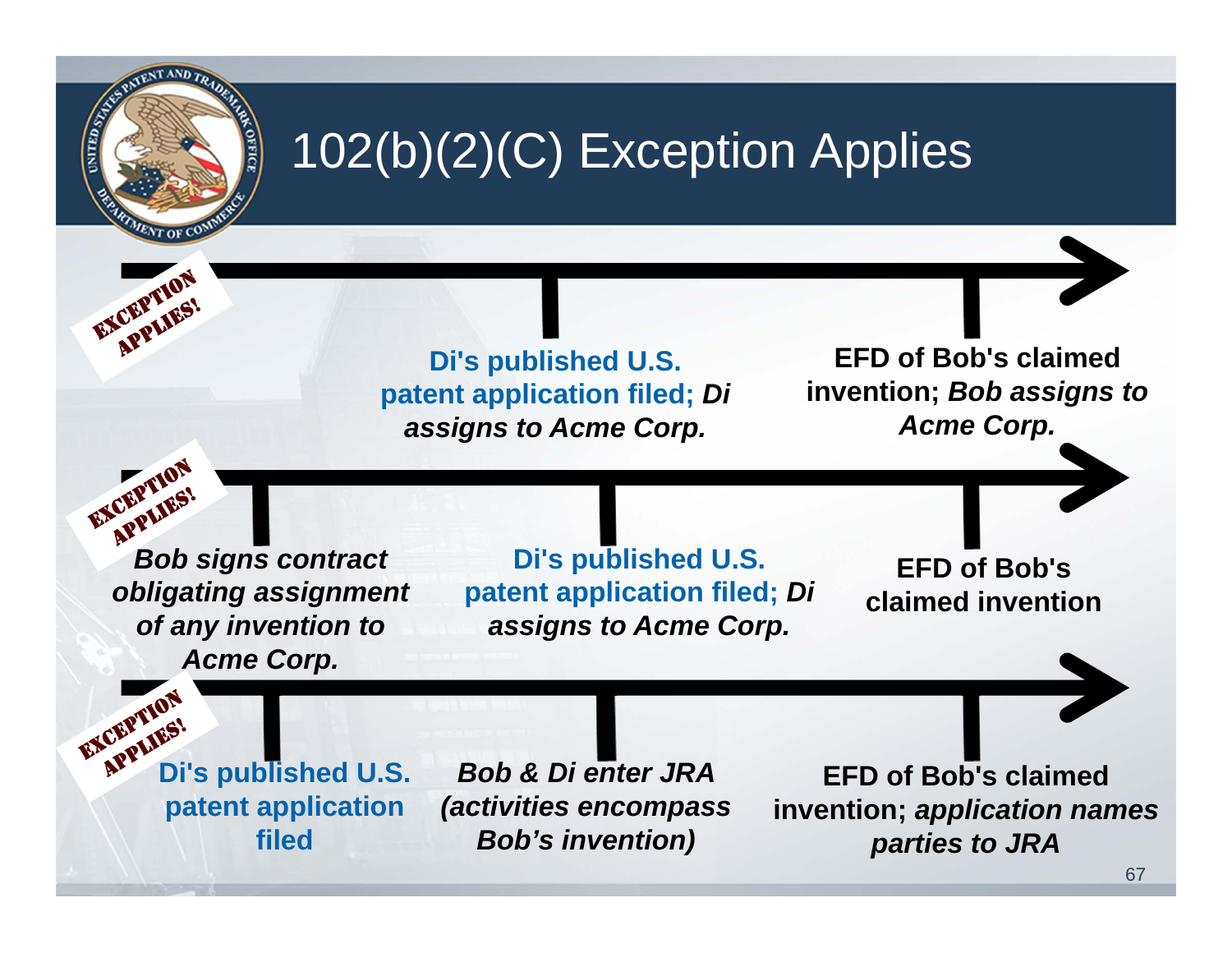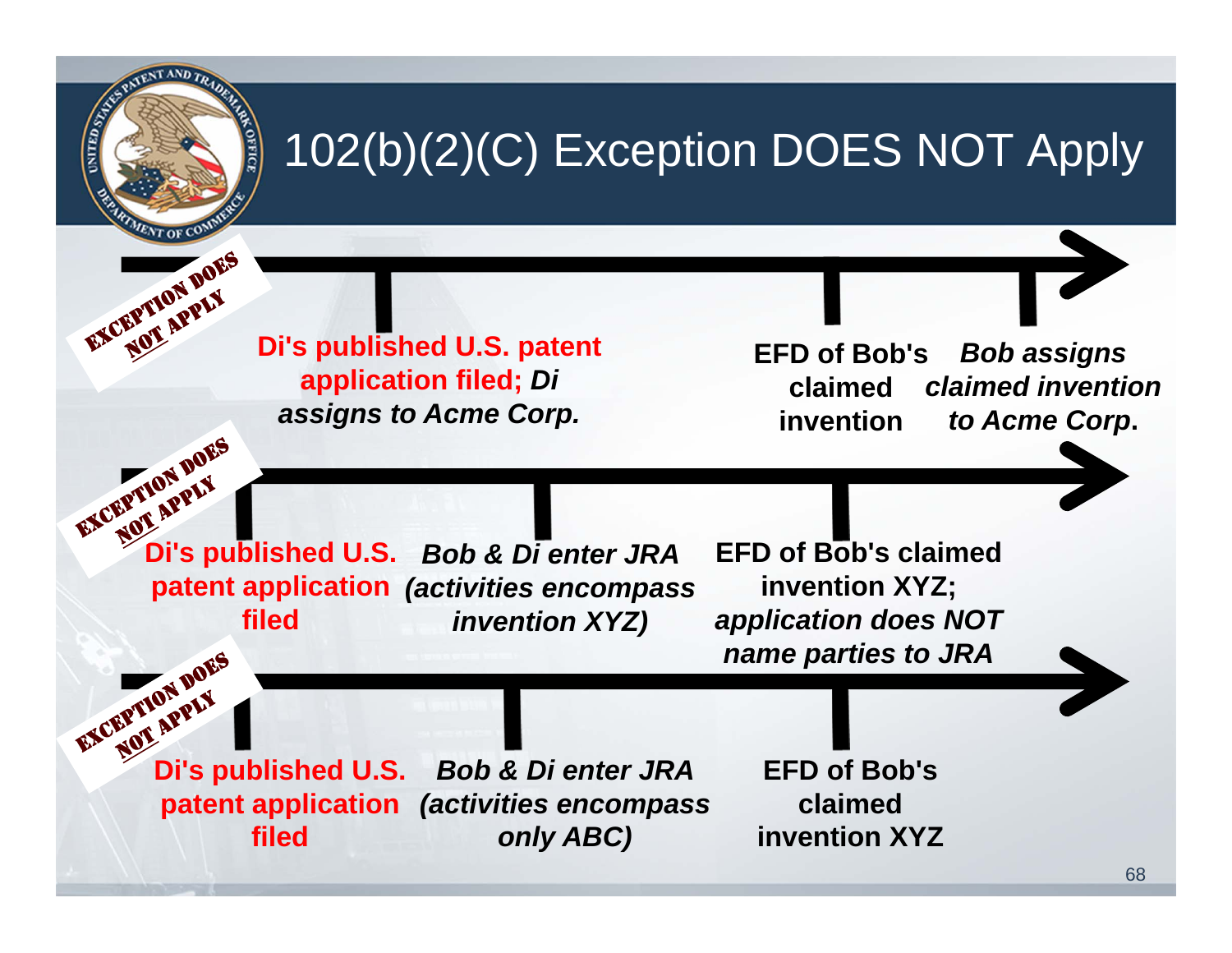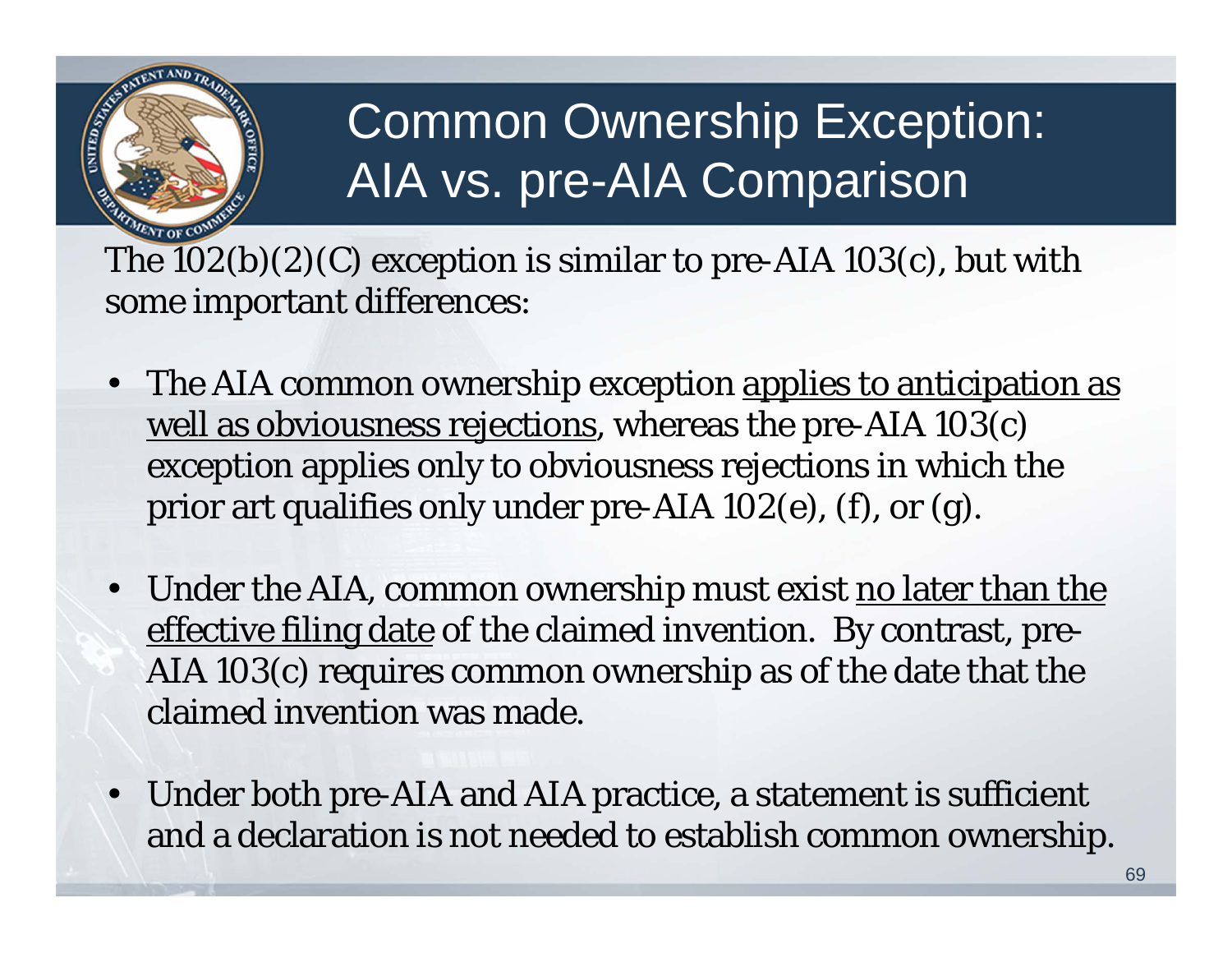

## Common Ownership Exception: AIA vs. pre-AIA Comparison

The  $102(b)(2)(C)$  exception is similar to pre-AIA  $103(c)$ , but with some important differences:

- $\bullet$ The AIA common ownership exception applies to anticipation as well as obviousness rejections, whereas the pre-AIA 103(c) exception applies only to obviousness rejections in which the prior art qualifies only under pre-AIA 102(e), (f), or (g).
- •Under the AIA, common ownership must exist no later than the effective filing date of the claimed invention. By contrast, pre-AIA 103(c) requires common ownership as of the date that the claimed invention was made.
- • Under both pre-AIA and AIA practice, a statement is sufficient and a declaration is not needed to establish common ownership.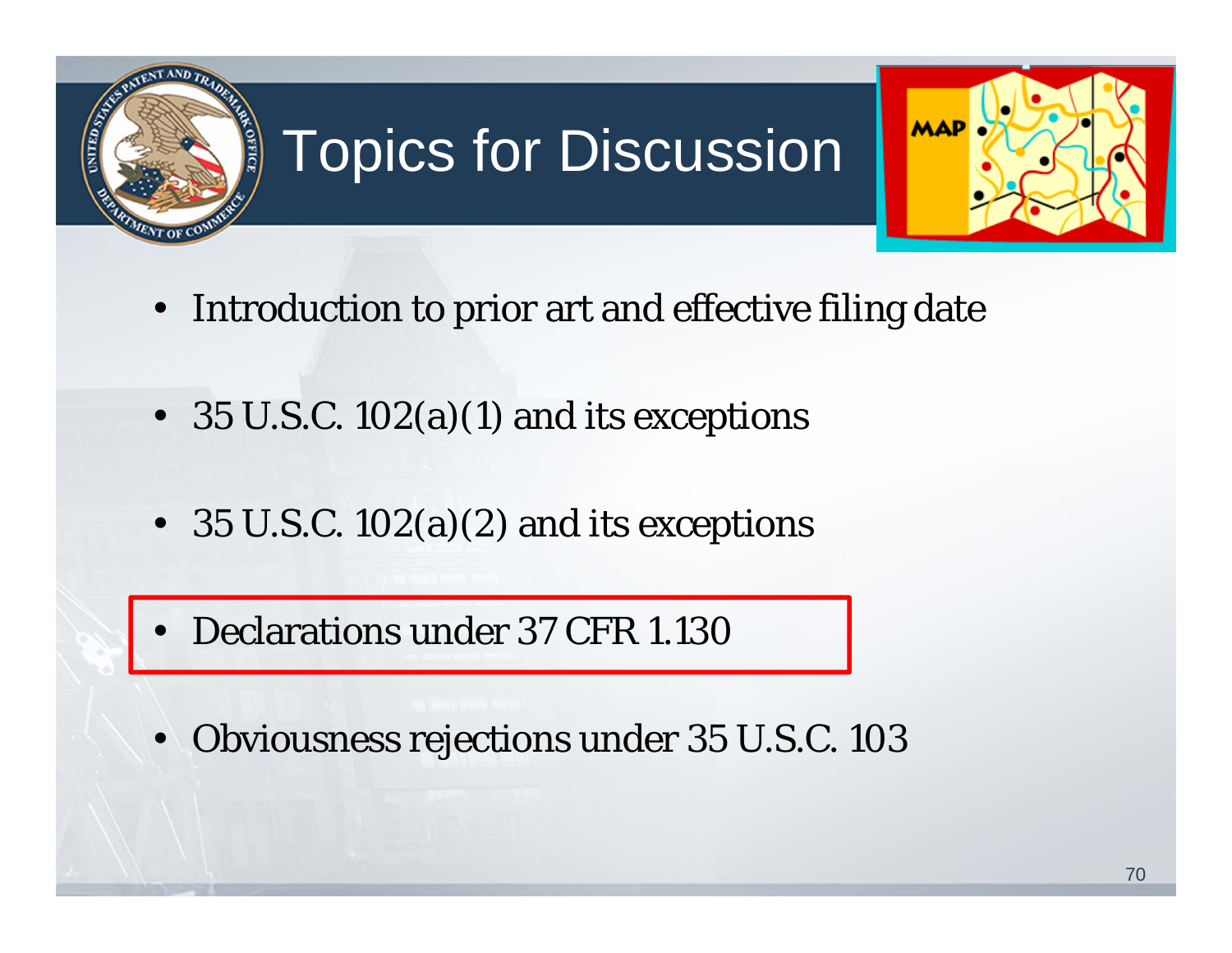

# Topics for Discussion



- Introduction to prior art and effective filing date
- 35 U.S.C. 102(a)(1) and its exceptions
- 35 U.S.C. 102(a)(2) and its exceptions
- Declarations under 37 CFR 1.130
- Obviousness rejections under 35 U.S.C. 103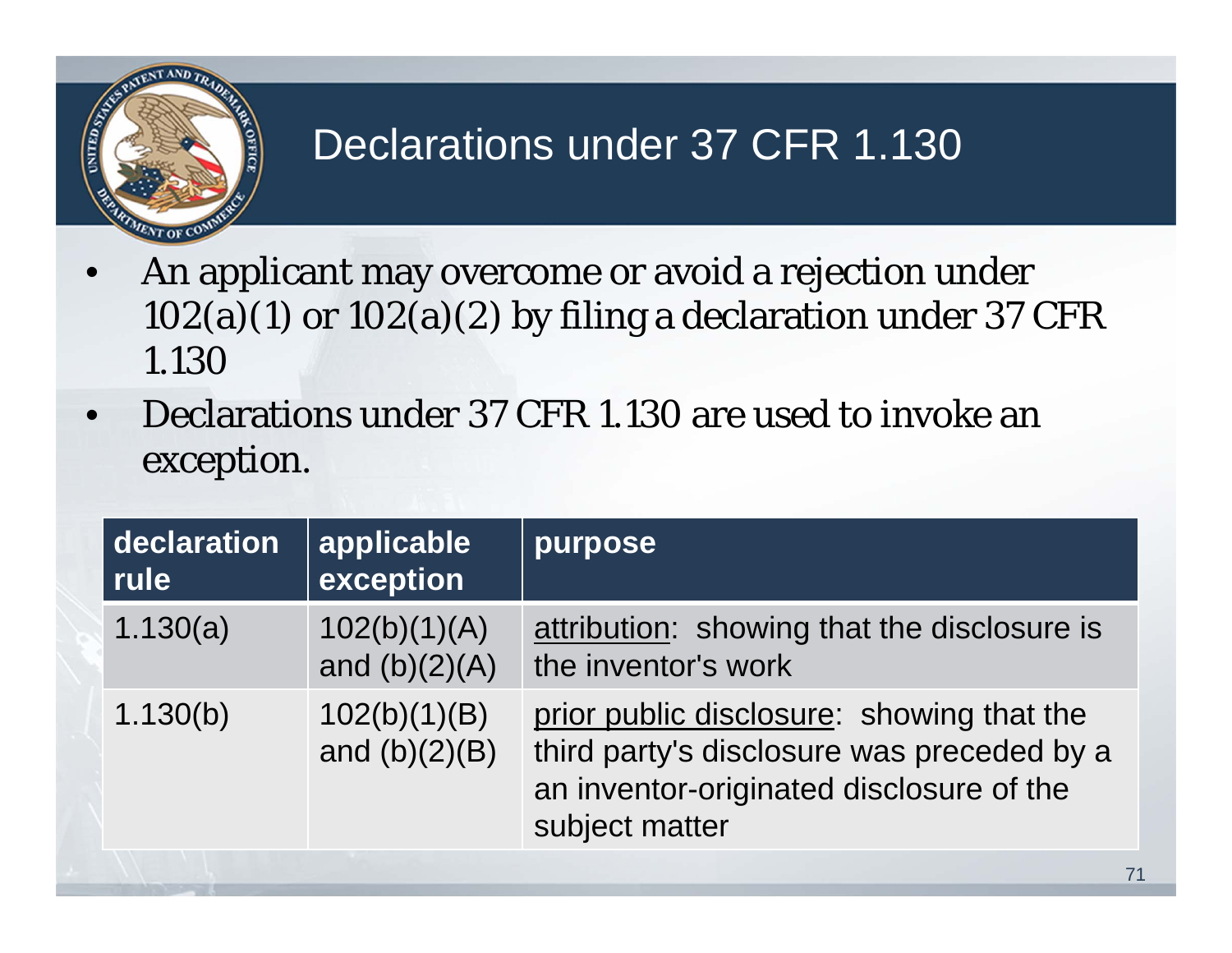

### Declarations under 37 CFR 1.130

- An applicant may overcome or avoid a rejection under  $102(a)(1)$  or  $102(a)(2)$  by filing a declaration under 37 CFR 1.130
- Declarations under 37 CFR 1.130 are used to invoke an exception.

| declaration<br>rule | applicable<br>exception         | purpose                                                                                                                                               |
|---------------------|---------------------------------|-------------------------------------------------------------------------------------------------------------------------------------------------------|
| 1.130(a)            | 102(b)(1)(A)<br>and $(b)(2)(A)$ | attribution: showing that the disclosure is<br>the inventor's work                                                                                    |
| 1.130(b)            | 102(b)(1)(B)<br>and $(b)(2)(B)$ | prior public disclosure: showing that the<br>third party's disclosure was preceded by a<br>an inventor-originated disclosure of the<br>subject matter |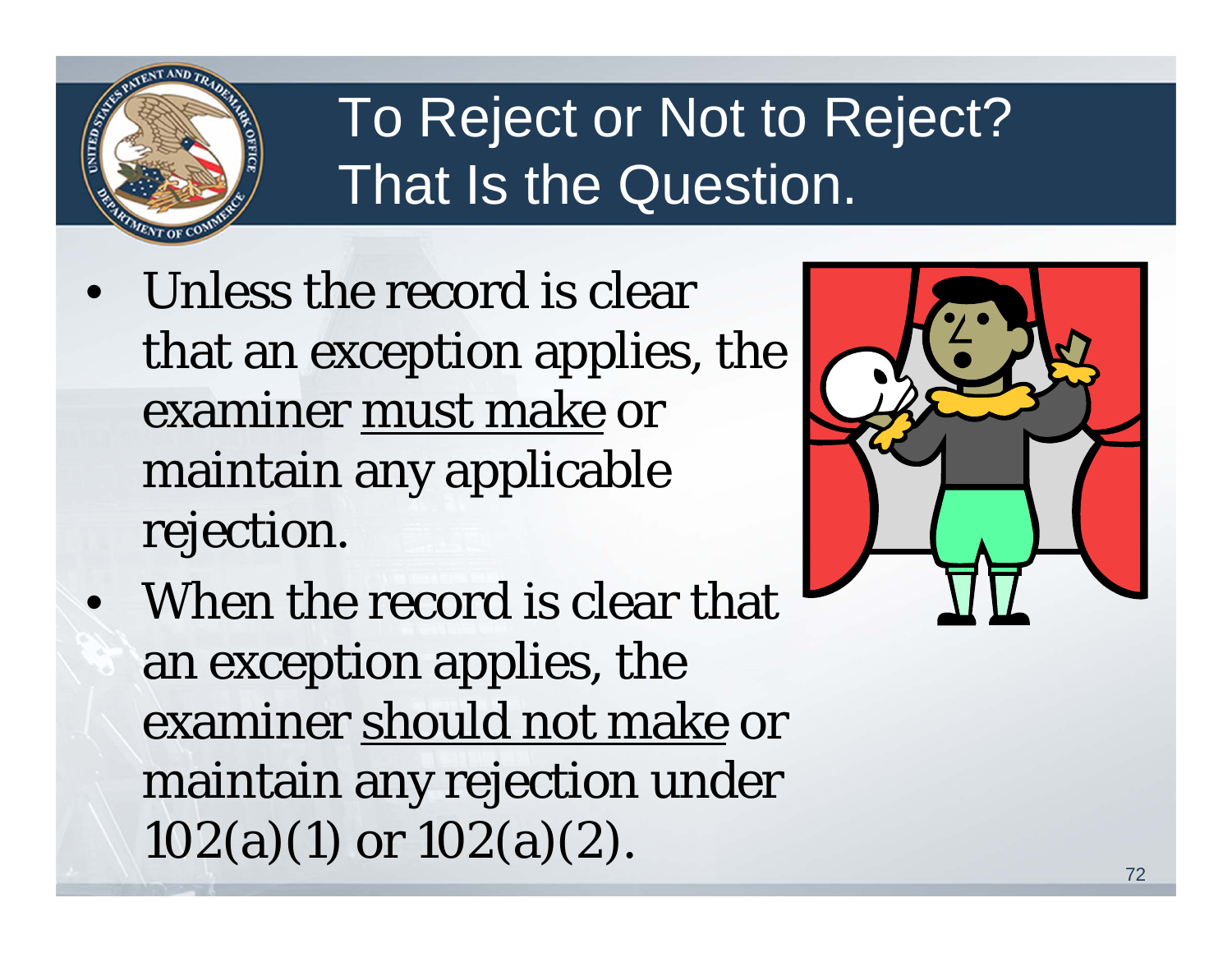

## To Reject or Not to Reject? That Is the Question.

- Unless the record is clear that an exception applies, the examiner must make or maintain any applicable rejection.
- When the record is clear that an exception applies, the examiner should not make or maintain any rejection under 102(a)(1) or 102(a)(2).

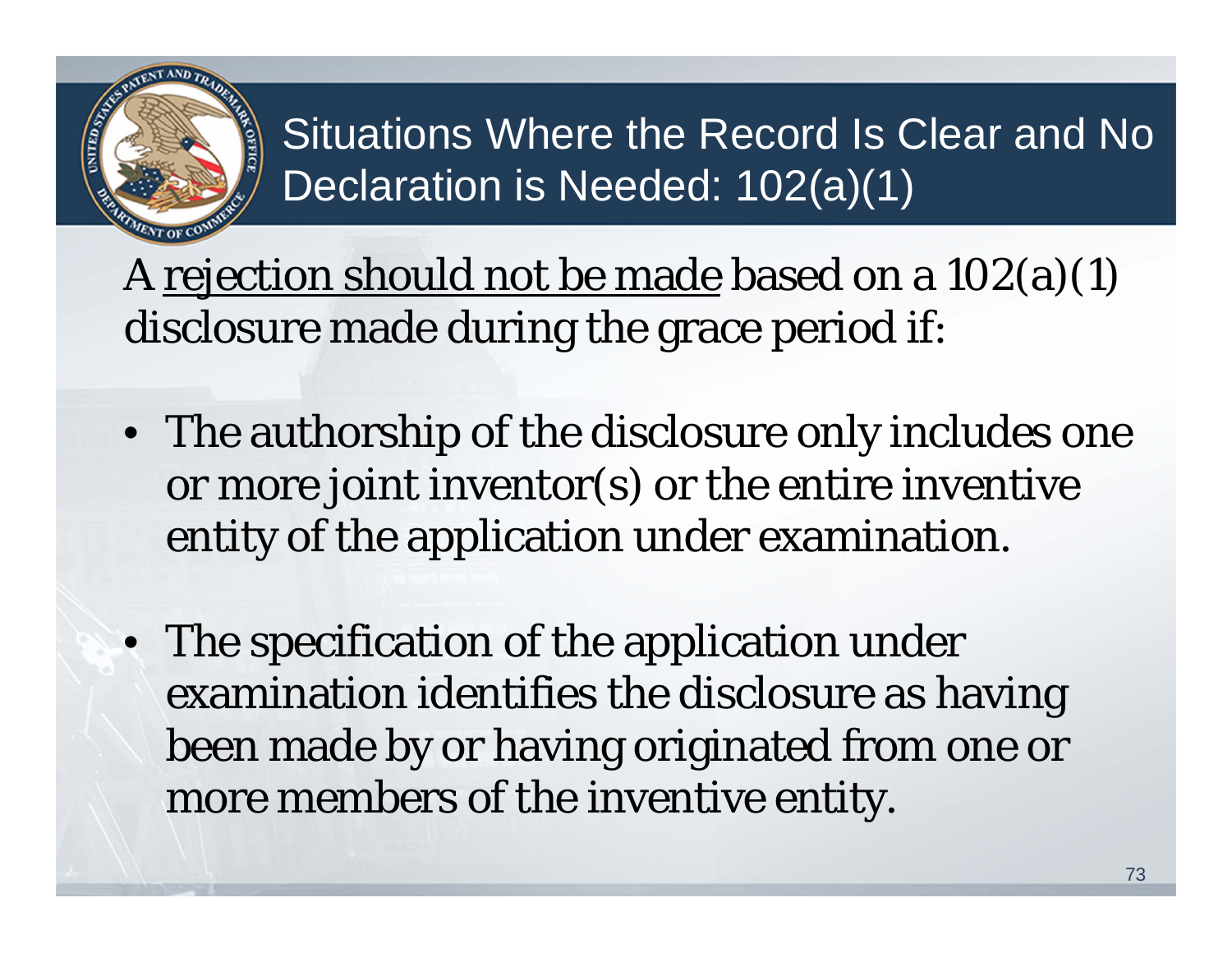

Situations Where the Record Is Clear and No Declaration is Needed: 102(a)(1)

A rejection should not be made based on a  $102(a)(1)$ disclosure made during the grace period if:

- The authorship of the disclosure only includes one or more joint inventor(s) or the entire inventive entity of the application under examination.
- The specification of the application under examination identifies the disclosure as having been made by or having originated from one or more members of the inventive entity.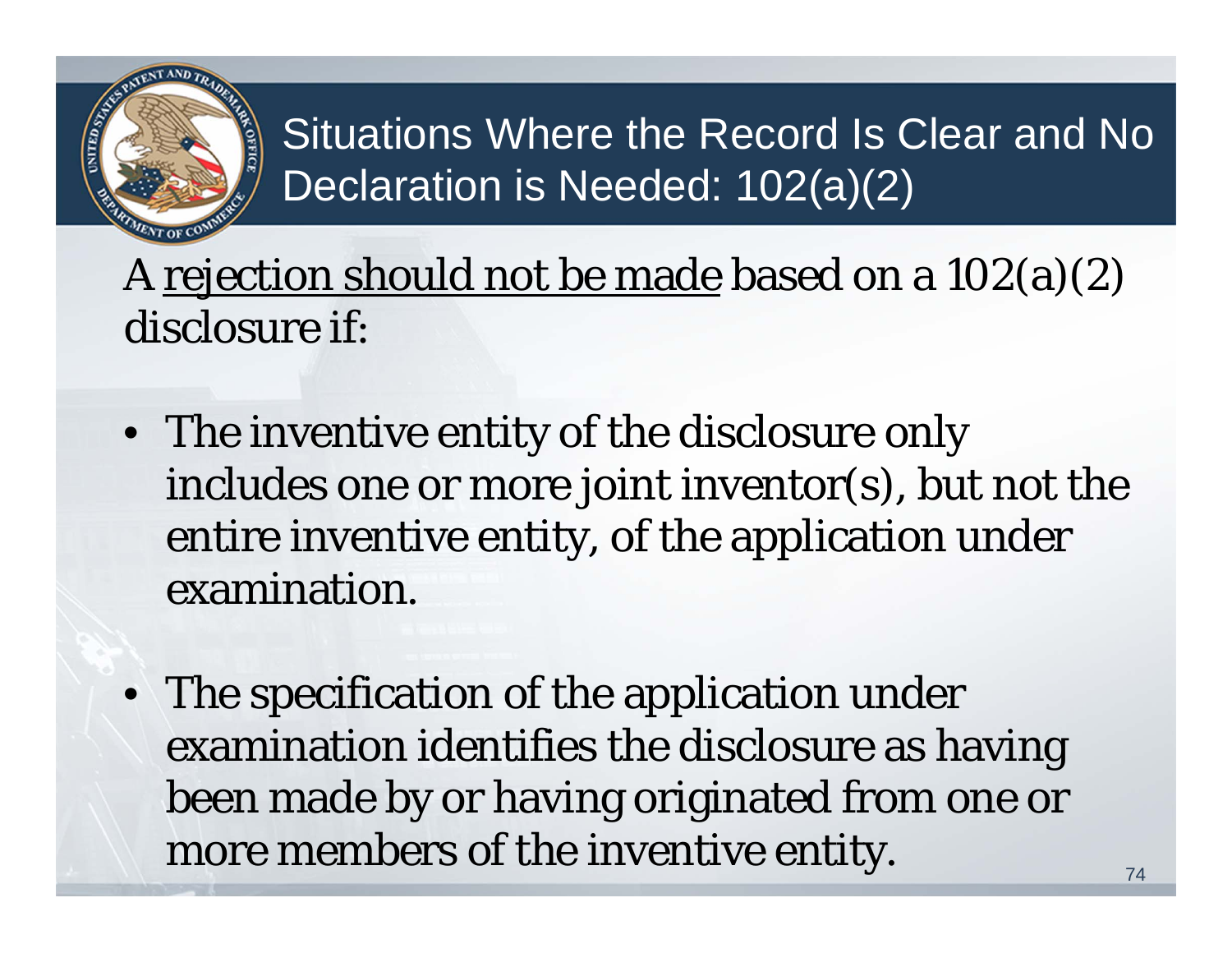

Situations Where the Record Is Clear and No Declaration is Needed: 102(a)(2)

A rejection should not be made based on a 102(a)(2) disclosure if:

- The inventive entity of the disclosure only includes one or more joint inventor(s), but not the entire inventive entity, of the application under examination.
- The specification of the application under examination identifies the disclosure as having been made by or having originated from one or more members of the inventive entity.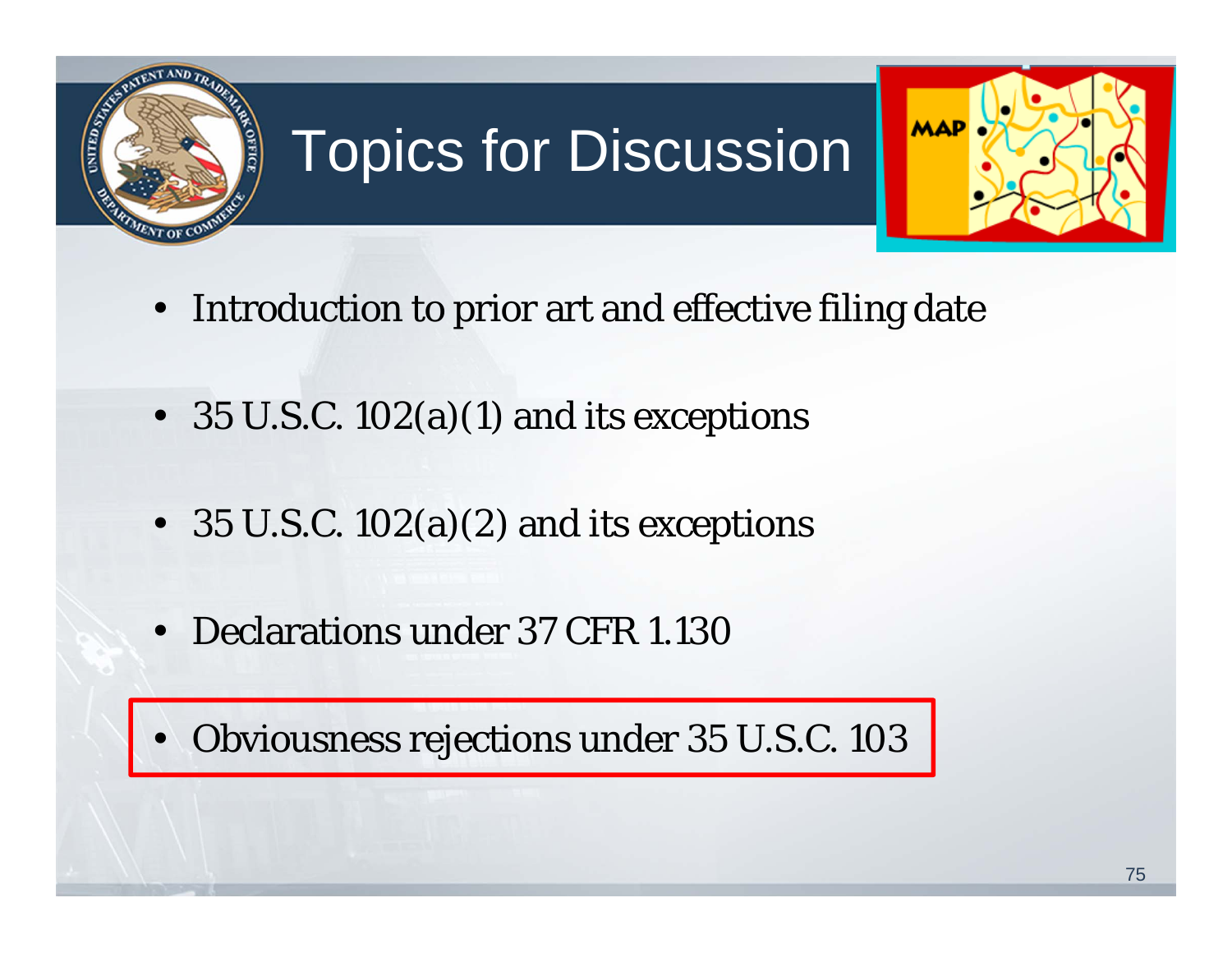

# Topics for Discussion



- Introduction to prior art and effective filing date
- 35 U.S.C. 102(a)(1) and its exceptions
- 35 U.S.C. 102(a)(2) and its exceptions
- Declarations under 37 CFR 1.130

• Obviousness rejections under 35 U.S.C. 103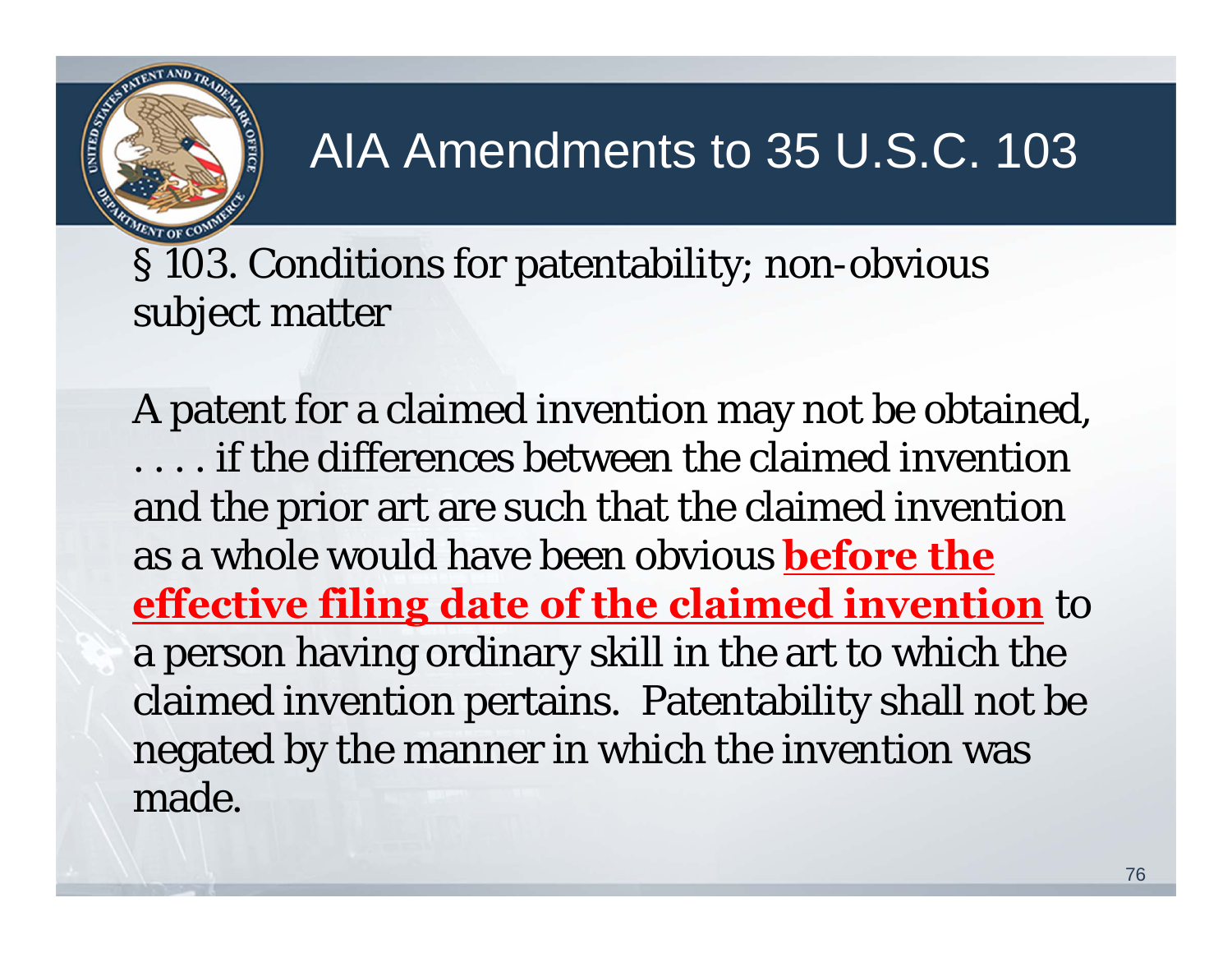

### AIA Amendments to 35 U.S.C. 103

§ 103. Conditions for patentability; non-obvious subject matter

A patent for a claimed invention may not be obtained, . . . . if the differences between the claimed invention and the prior art are such that the claimed invention as a whole would have been obvious **before the effective filing date of the claimed invention** to a person having ordinary skill in the art to which the claimed invention pertains. Patentability shall not be negated by the manner in which the invention was made.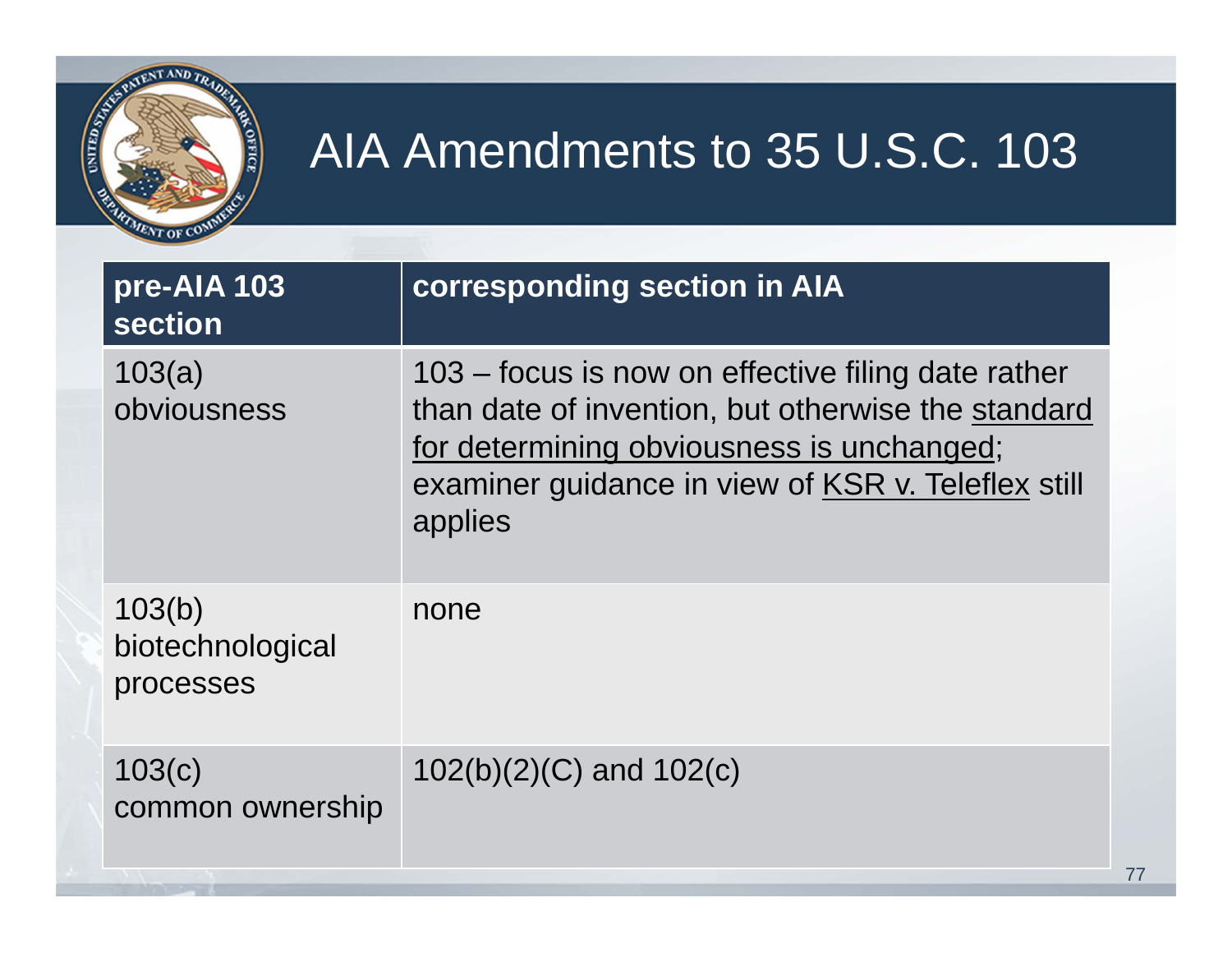

### AIA Amendments to 35 U.S.C. 103

| pre-AIA 103<br>section                  | corresponding section in AIA                                                                                                                                                                                           |
|-----------------------------------------|------------------------------------------------------------------------------------------------------------------------------------------------------------------------------------------------------------------------|
| 103(a)<br>obviousness                   | 103 – focus is now on effective filing date rather<br>than date of invention, but otherwise the standard<br>for determining obviousness is unchanged;<br>examiner guidance in view of KSR v. Teleflex still<br>applies |
| 103(b)<br>biotechnological<br>processes | none                                                                                                                                                                                                                   |
| 103(c)<br>common ownership              | $102(b)(2)(C)$ and $102(c)$                                                                                                                                                                                            |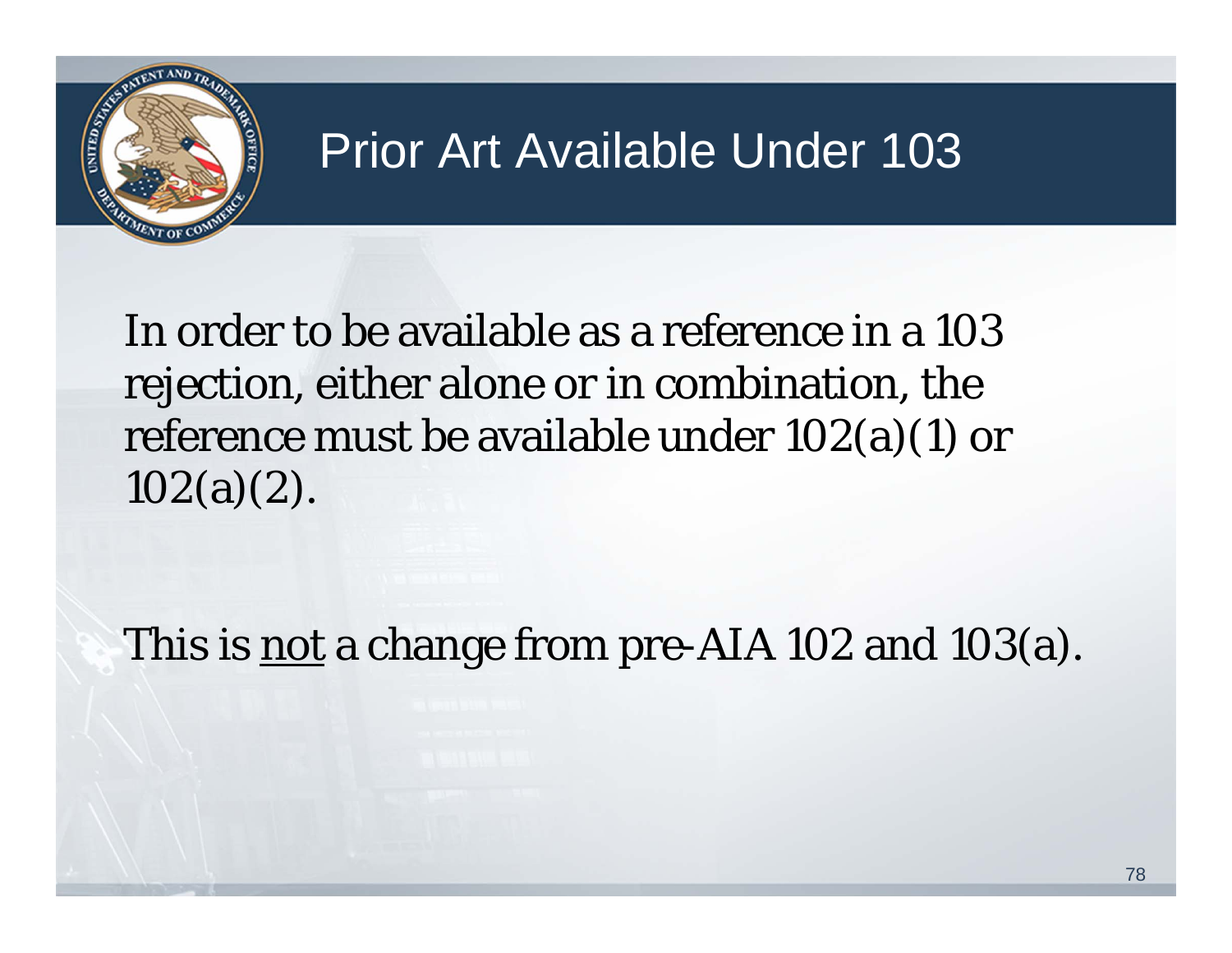

#### Prior Art Available Under 103

In order to be available as a reference in a 103 rejection, either alone or in combination, the reference must be available under 102(a)(1) or 102(a)(2).

This is <u>not</u> a change from pre-AIA 102 and 103(a).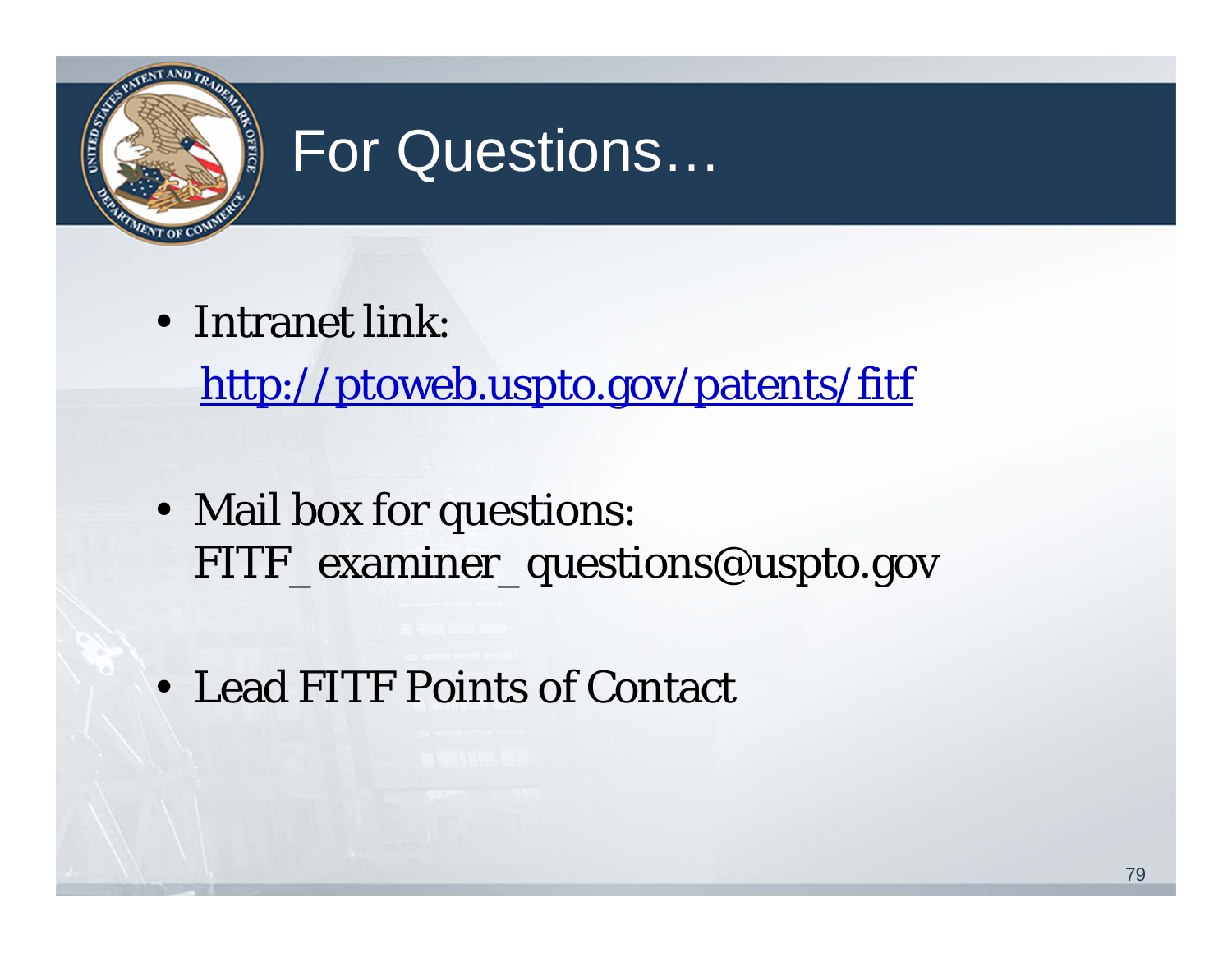

## For Questions…

• Intranet link:

http://ptoweb.uspto.gov/patents/fitf

- Mail box for questions: FITF\_examiner\_questions@uspto.gov
- Lead FITF Points of Contact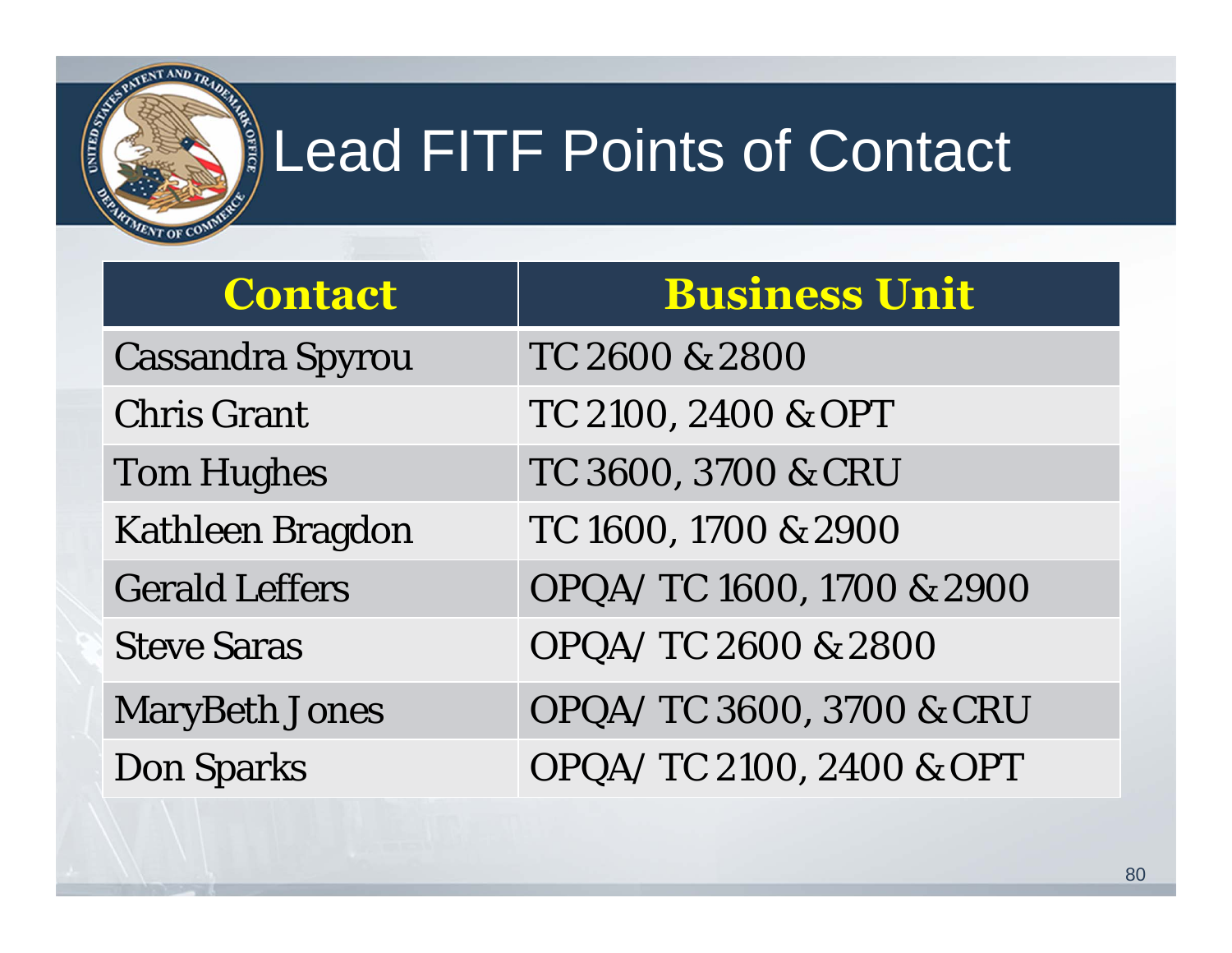

# Lead FITF Points of Contact

| <b>Contact</b>          | <b>Business Unit</b>      |
|-------------------------|---------------------------|
| <b>Cassandra Spyrou</b> | TC 2600 & 2800            |
| <b>Chris Grant</b>      | TC 2100, 2400 & OPT       |
| <b>Tom Hughes</b>       | TC 3600, 3700 & CRU       |
| <b>Kathleen Bragdon</b> | TC 1600, 1700 & 2900      |
| <b>Gerald Leffers</b>   | OPQA/TC 1600, 1700 & 2900 |
| <b>Steve Saras</b>      | OPQA/TC 2600 & 2800       |
| <b>MaryBeth Jones</b>   | OPQA/TC 3600, 3700 & CRU  |
| <b>Don Sparks</b>       | OPQA/TC 2100, 2400 & OPT  |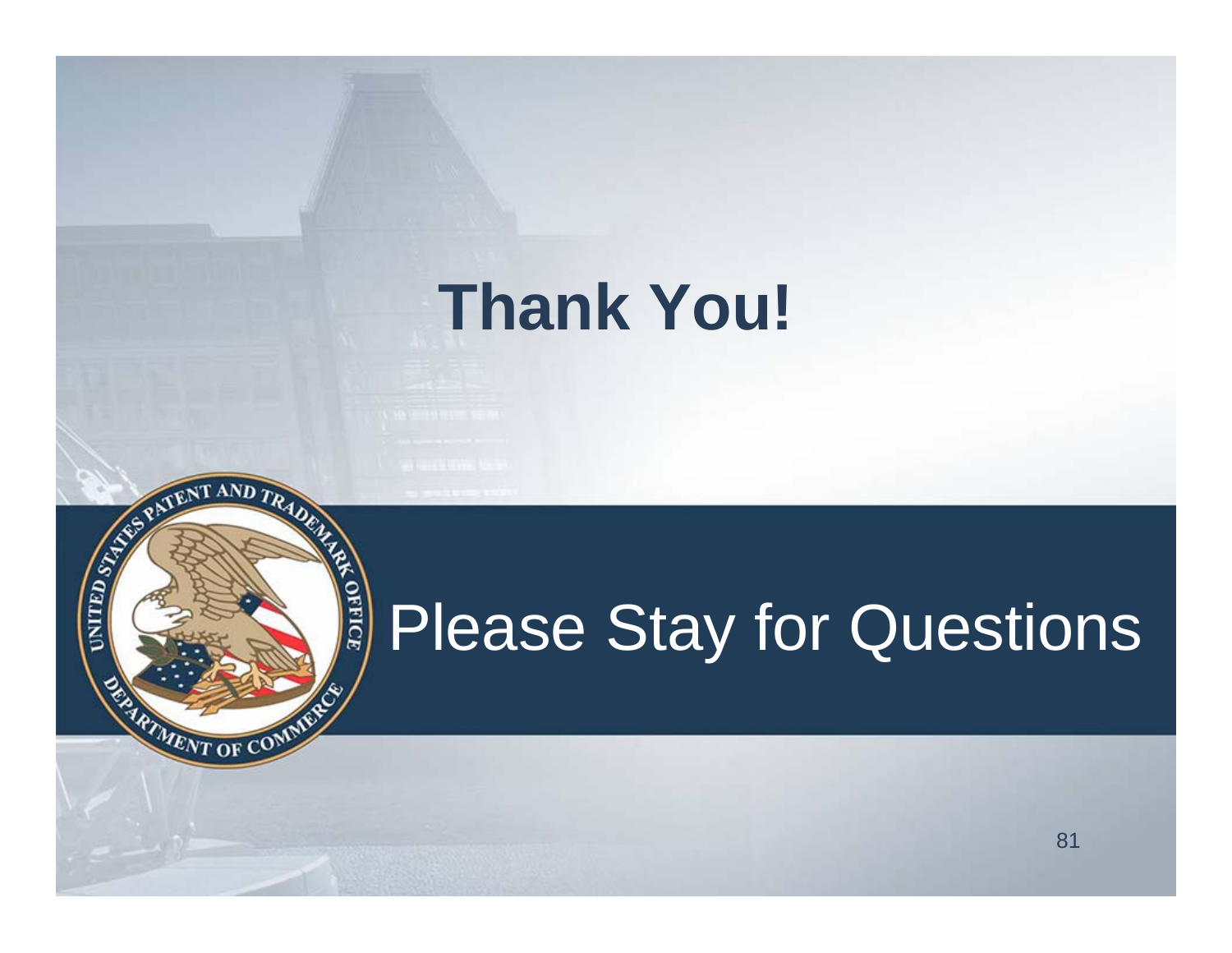# **Thank You!**

**READERS PATERNALLY READERS** 

**ERARTMENT OF COMMENT** 

#### **OFFICE** Please Stay for Questions